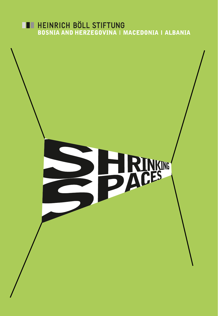# **EXECUTE HEINRICH BÖLL STIFTUNG<br>BOSNIA AND HERZEGOVINA I MACEDONIA I ALBANIA**

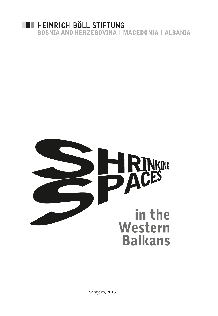

**BOSNIA AND HERZEGOVINA I MACEDONIA I ALBANIA** 



Sarajevo, 2016.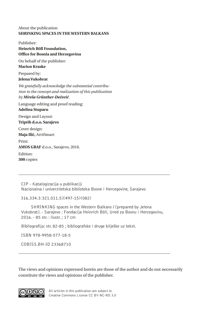#### About the publication **SHRINKING SPACES IN THE WESTERN BALKANS**

Publisher: **Heinrich Böll Foundation, Office for Bosnia and Herzegovina** On behalf of the publisher: **Marion Kraske** Prepared by: **Jelena Vukobrat** *We gratefully acknowledge the substantial contribution to the concept and realization of this publication by Mirela Grünther-Đečević.*  Language editing and proof reading: **Adelina Stuparu** Design and Layout: **Triptih d.o.o. Sarajevo** Cover design: **Maja Ilić,** Art4Smart Print: **AMOS GRAF** d.o.o., Sarajevo, 2016. Edition: **300** copies

CIP - Katalogizacija u publikaciji Nacionalna i univerzitetska biblioteka Bosne i Hercegovine, Sarajevo

316.334.3:321.011.5](497-15)(082)

 SHRINKING spaces in the Western Balkans / [prepared by Jelena Vukobrat]. - Sarajevo : Fondacija Heinrich Böll, Ured za Bosnu i Hercegovinu, 2016. - 85 str. : ilustr. ; 17 cm

Bibliografija: str. 82-85 ; bibliografske i druge bilješke uz tekst.

ISBN 978-9958-577-18-5

COBISS.BH-ID 23368710

The views and opinions expressed herein are those of the author and do not necessarily constitute the views and opinions of the publisher.



All articles in this publication are subject to Creative Commons License CC BY-NC-ND 3.0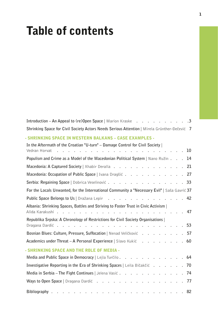## Table of contents

| Introduction - An Appeal to (re)Open Space   Marion Kraske<br>$\cdot$ 3                                      |
|--------------------------------------------------------------------------------------------------------------|
| Shrinking Space for Civil Society Actors Needs Serious Attention   Mirela Grünther-Đečević 7                 |
| - SHRINKING SPACE IN WESTERN BALKANS – CASE EXAMPLES -                                                       |
| In the Aftermath of the Croatian "U-turn" - Damage Control for Civil Society  <br>Vedran Horvat<br>10        |
| Populism and Crime as a Model of the Macedonian Political System   Nano Ružin<br>14                          |
| Macedonia: A Captured Society   Xhabir Deralla<br>21                                                         |
| Macedonia: Occupation of Public Space   Ivana Dragšić<br>27                                                  |
| Serbia: Regaining Space   Dobrica Veselinović<br>33                                                          |
| For the Locals Unwanted, for the International Community a "Necessary Evil"   Saša Gavrić 37                 |
| Public Space Belongs to Us   Dražana Lepir<br>42<br>$\mathbb{R}^{\mathbb{Z}}$                                |
| Albania: Shrinking Spaces, Battles and Striving to Foster Trust in Civic Activism  <br>47<br>Alida Karakushi |
| Republika Srpska: A Chronology of Restrictions for Civil Society Organisations  <br>53<br>Dragana Dardić.    |
| Bosnian Blues: Culture, Pressure, Suffocation   Nenad Veličković<br>57                                       |
| <b>Academics under Threat – A Personal Experience</b> Slavo Kukić<br>60                                      |
| <b>SHRINKING SPACE AND THE ROLE OF MEDIA -</b>                                                               |
| Media and Public Space in Democracy   Lejla Turčilo<br>64                                                    |
| Investigative Reporting in the Era of Shrinking Spaces   Leila Bičakčić<br>70<br>$\overline{a}$              |
| Media in Serbia - The Fight Continues   Jelena Vasić<br>74                                                   |
| Ways to Open Space   Dragana Dardić<br>77                                                                    |
| 82<br>Bibliography                                                                                           |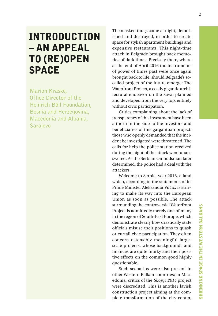### INTRODUCTION – AN APPEAL TO (RE)OPEN SPACE

Marion Kraske, Office Director of the Heinrich Böll Foundation, Bosnia and Herzegovina, Macedonia and Albania, Sarajevo

The masked thugs came at night, demolished and destroyed, in order to create space for stylish apartment buildings and expensive restaurants. This night-time attack in Belgrade brought back memories of dark times. Precisely there, where at the end of April 2016 the instruments of power of times past were once again brought back to life, should Belgrade's socalled project of the future emerge: The Waterfront Project, a costly gigantic architectural endeavor on the Sava, planned and developed from the very top, entirely without civic participation.

Critics complaining about the lack of transparency of this investment have been a thorn in the side to the investors and beneficiaries of this gargantuan project: those who openly demanded that the incident be investigated were threatened. The calls for help the police station received during the night of the attack went unanswered. As the Serbian Ombudsman later determined, the police had a deal with the attackers.

Welcome to Serbia, year 2016, a land which, according to the statements of its Prime Minister Aleksandar Vučić, is striving to make its way into the European Union as soon as possible. The attack surrounding the controversial Waterfront Project is admittedly merely one of many in the region of South-East Europe, which demonstrate clearly how drastically state officials misuse their positions to quash or curtail civic participation. They often concern ostensibly meaningful largescale projects, whose backgrounds and finances are quite murky and their positive effects on the common good highly questionable.

Such scenarios were also present in other Western Balkan countries; in Macedonia, critics of the *Skopje 2014* project were discredited. This is another lavish construction project aiming at the complete transformation of the city center,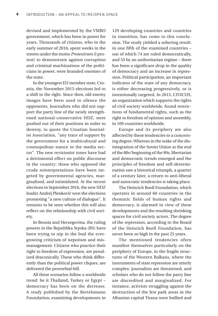devised and implemented by the VMRO government, which has been in power for years. Thousands of citizens, who in the early summer of 2016, spent weeks in the streets under the motto *Protestiram* (I protest) to demonstrate against corruption and criminal machinations of the politicians in power, were branded enemies of the state.

In the youngest EU member state, Croatia, the November 2015 elections led to a shift to the right. Since then, old enemy images have been used to silence the opponents. Journalists who did not support the party line of the newly strengthened national-conservative HDZ, were pushed out of their positions in order to destroy, to quote the Croatian Journalist Association, "any trace of support by the government for a multicultural and cosmopolitan stance in the media sector". The new revisionist tones have had a detrimental effect on public discourse in the country: those who opposed the crude reinterpretations have been targeted by governmental agencies, marginalized, and intimidated. At the recent elections in September 2016, the new HDZ leader Andrej Plenković won the elections promoting "a new culture of dialogue". It remains to be seen whether this will also reflect on the relationship with civil society.

In Bosnia and Herzegovina, the ruling powers in the Republika Srpska (RS) have been trying to nip in the bud the evergrowing criticism of nepotism and mismanagement. Citizens who practice their right to freedom of expression, are penalized draconically. Those who think differently than the political power cliques, are delivered the proverbial bill.

All these scenarios follow a worldwide trend: be it Thailand, Turkey or Egypt – democracy has been on the decrease. A study published by the Bertelsmann Foundation, examining developments in

129 developing countries and countries in transition, has come to this conclusion. The study yielded a sobering result: in one fifth of the examined countries – out of which 74 are ruled democratically, and 55 by an authoritarian regime – there has been a significant drop in the quality of democracy and an increase in repression. Political participation, an important indicator of the state of any democracy, is either decreasing progressively, or is intentionally targeted. In 2015, CIVICUS, an organization which supports the rights of civil society worldwide, found restrictions of fundamental rights, such as the right to freedom of opinion and assembly, in 109 countries worldwide.

Europe and its periphery are also affected by these tendencies to a concerning degree. Whereas in the wake of the disintegration of the Soviet Union at the end of the 80s/beginning of the 90s, libertarian and democratic trends emerged and the principles of freedom and self-determination saw a historical triumph, a quarter of a century later, a return to anti-liberal and autocratic tendencies is taking place.

The Heinrich Boell Foundation, which operates in around 60 countries in the thematic fields of human rights and democracy, is alarmed in view of these developments and the resulting shrinking spaces for civil society actors. The degree of the repression, according to the Board of the Heinrich Boell Foundation, has never been so high in the past 25 years.

The mentioned tendencies often manifest themselves particularly on the periphery of Europe, in the fragile structures of the Western Balkans, where the instruments of state repression are utterly complex: journalists are threatened, and scholars who do not follow the party line are discredited and marginalized. For instance, activists struggling against the destruction of the few park areas in the Albanian capital Tirana were bullied and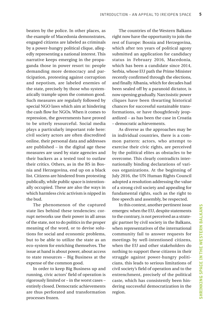beaten by the police. In other places, as the example of Macedonia demonstrates, engaged citizens are labeled as criminals by a power-hungry political clique, allegedly representing a national interest. This narrative keeps emerging in the propaganda those in power resort to: people demanding more democracy and participation, protesting against corruption and nepotism, are labeled enemies of the state, precisely by those who systematically trample upon the common good. Such measures are regularly followed by special NGO laws which aim at hindering the cash flow for NGOs. When it comes to repression, the governments have proved to be utterly resourceful. Social media plays a particularly important role here: civil society actors are often discredited online, their personal data and addresses are published – in the digital age these measures are used by state agencies and their backers as a tested tool to outlaw their critics. Others, as in the RS in Bosnia and Herzegovina, end up on a black list. Citizens are hindered from protesting publically, while public space is intentionally occupied. These are also the ways in which harmless civic activism is nipped in the bud.

The phenomenon of the captured state lies behind these tendencies: corrupt networks use their power in all areas of the state, not to do politics in the proper meaning of the word, or to devise solutions for social and economic problems, but to be able to utilize the state as an eco-system for enriching themselves. The issue at hand is about power, about access to state resources – Big Business at the expense of the common good.

In order to keep Big Business up and running, civic actors' field of operation is rigorously limited or – in the worst cases – entirely closed. Democratic achievements are thus perforated and transformation processes frozen.

The countries of the Western Balkans right now have the opportunity to join the rest of Europe: Bosnia and Herzegovina, which after ten years of political agony submitted an application for candidacy status in February 2016, Macedonia, which has been a candidate since 2014, Serbia, whose EU path the Prime Minister recently confirmed through the elections, and finally Albania, which for decades had been sealed off by a paranoid dictator, is now opening gradually. Narcissistic power cliques have been thwarting historical chances for successful sustainable transformations, or have thoughtlessly jeopardized – as has been the case in Croatia – democratic achievements.

As diverse as the approaches may be in individual countries, there is a common pattern: actors, who attempt to exercise their civic rights, are perceived by the political elites as obstacles to be overcome. This clearly contradicts internationally binding declarations of various organizations. At the beginning of July 2016, the UN Human Rights Council adopted a resolution addressing the value of a strong civil society and appealing for fundamental rights, such as the right to free speech and assembly, be respected.

In this context, another pertinent issue emerges: when the EU, despite statements to the contrary, is not perceived as a strategic partner by civil society in the Balkans, when representatives of the international community fail to answer requests for meetings by well-intentioned citizens, when the EU and other stakeholders do nothing to support these citizens in their struggle against power-hungry politicians, this leads to serious limitations of civil society's field of operation and to the entrenchment, precisely of the political caste, which has consistently been hindering successful democratization in the region.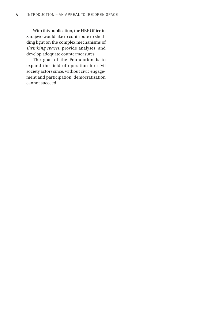With this publication, the HBF Office in Sarajevo would like to contribute to shedding light on the complex mechanisms of *shrinking spaces*, provide analyses, and develop adequate countermeasures.

The goal of the Foundation is to expand the field of operation for civil society actors since, without civic engagement and participation, democratization cannot succeed.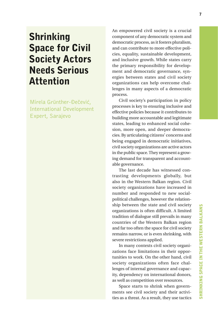### Shrinking Space for Civil Society Actors Needs Serious Attention

Mirela Grünther-Đečević, International Development Expert, Sarajevo

An empowered civil society is a crucial component of any democratic system and democratic process, as it fosters pluralism, and can contribute to more effective policies, equality, sustainable development, and inclusive growth. While states carry the primary responsibility for development and democratic governance, synergies between states and civil society organizations can help overcome challenges in many aspects of a democratic process.

Civil society's participation in policy processes is key to ensuring inclusive and effective policies because it contributes to building more accountable and legitimate states, leading to enhanced social cohesion, more open, and deeper democracies. By articulating citizens' concerns and being engaged in democratic initiatives, civil society organizations are active actors in the public space. They represent a growing demand for transparent and accountable governance.

The last decade has witnessed contrasting developments globally, but also in the Western Balkan region. Civil society organizations have increased in number and responded to new socialpolitical challenges, however the relationship between the state and civil society organizations is often difficult. A limited tradition of dialogue still prevails in many countries of the Western Balkan region and far too often the space for civil society remains narrow, or is even shrinking, with severe restrictions applied.

In many contexts civil society organizations face limitations in their opportunities to work. On the other hand, civil society organizations often face challenges of internal governance and capacity, dependency on international donors, as well as competition over resources.

Space starts to shrink when governments see civil society and their activities as a threat. As a result, they use tactics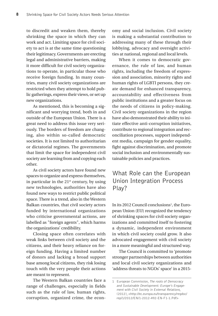to discredit and weaken them, thereby shrinking the space in which they can work and act. Limiting space for civil society to act is at the same time questioning their legitimacy. Governments are erecting legal and administrative barriers, making it more difficult for civil society organizations to operate, in particular those who receive foreign funding. In many countries, many civil society organizations are restricted when they attempt to hold public gatherings, express their views, or set up new organizations.

As mentioned, this is becoming a significant and worrying trend, both in and outside of the European Union. There is a great need to address this issue very seriously. The borders of freedom are changing, also within so-called democratic societies. It is not limited to authoritarian or dictatorial regimes. The governments that limit the space for independent civil society are learning from and copying each other.

As civil society actors have found new spaces to organize and express themselves, in particular in the  $21<sup>st</sup>$  century, by using new technologies, authorities have also found new ways to restrict public political space. There is a trend, also in the Western Balkan countries, that civil society actors funded by international organizations who criticise governmental actions, are labelled as "foreign agents", which harms the organizations' credibility.

Closing space often correlates with weak links between civil society and the citizens, and their heavy reliance on foreign funding. Having a limited number of donors and lacking a broad support base among local citizens, they risk losing touch with the very people their actions are meant to represent.

The Western Balkan countries face a range of challenges, especially in fields such as the rule of law, human rights, corruption, organized crime, the economy and social inclusion. Civil society is making a substantial contribution to addressing many of these through their lobbying, advocacy and oversight activities at national, regional and local levels.

When it comes to democratic governance, the rule of law, and human rights, including the freedom of expression and association, minority rights and human rights of LGBTI persons, they create demand for enhanced transparency, accountability and effectiveness from public institutions and a greater focus on the needs of citizens in policy-making. Civil society organizations in the region have also demonstrated their ability to initiate effective anti-corruption initiatives, contribute to regional integration and reconciliation processes, support independent media, campaign for gender equality, fight against discrimination, and promote social inclusion and environmentally sustainable policies and practices.

#### What Role can the European Union Integration Process Play?

In its 2012 Council conclusions<sup>1</sup>, the European Union (EU) recognized the tendency of shrinking spaces for civil society organizations and committed itself to fostering a dynamic, independent environment in which civil society could grow. It also advocated engagement with civil society in a more meaningful and structured way.

The Council is committed to 'promote stronger partnerships between authorities and local civil society organizations and 'address threats to NGOs' space' in a 2015-

<sup>1</sup> European Commission, The roots of Democracy and Sustainable Development: Europe's Engagement with Civil Society in External Relations, (2012), <http://ec.europa.eu/transparency/regdoc/ rep/1/2012/EN/1-2012-492-EN-F1-1.Pdf>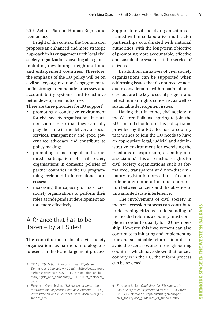2019 Action Plan on Human Rights and Democracy<sup>2</sup>.

In light of this context, the Commission proposes an enhanced and more strategic approach in its engagement with local civil society organizations covering all regions, including developing, neighbourhood and enlargement countries. Therefore, the emphasis of the EU policy will be on civil society organizations' engagement to build stronger democratic processes and accountability systems, and to achieve better development outcomes.

There are three priorities for EU support $^{\rm 3:}$ 

- promoting a conducive environment for civil society organisations in partner countries so that they can fully play their role in the delivery of social services, transparency and good governance advocacy and contribute to policy making;
- promoting a meaningful and structured participation of civil society organisations in domestic policies of partner countries, in the EU programming cycle and in international processes;
- increasing the capacity of local civil society organisations to perform their roles as independent development actors more effectively.

#### A Chance that has to be Taken – by all Sides!

The contribution of local civil society organizations as partners in dialogue is foreseen in the EU enlargement process. Support to civil society organizations is framed within collaborative multi-actor partnerships coordinated with national authorities, with the long-term objective of promoting more accountable, effective and sustainable systems at the service of citizens.

In addition, initiatives of civil society organizations can be supported when addressing issues that do not receive adequate consideration within national policies, but are the key to social progress and reflect human rights concerns, as well as sustainable development issues.

Having that in mind, civil society in the Western Balkans aspiring to join the EU can and should use this policy frame provided by the EU. Because a country that wishes to join the EU needs to have an appropriate legal, judicial and administrative environment for exercising the freedoms of expression, assembly and association.4 This also includes rights for civil society organizations such as formalized, transparent and non-discriminatory registration procedures, free and independent operation and cooperation between citizens and the absence of unwarranted state interference.

The involvement of civil society in the pre-accession process can contribute to deepening citizens' understanding of the needed reforms a country must complete in order to qualify for EU membership. However, this involvement can also contribute to initiating and implementing true and sustainable reforms, in order to avoid the scenarios of some neighbouring countries which have shown that, once a country is in the EU, the reform process can be reversed.

<sup>2</sup> EEAS, EU Action Plan on Human Rights and Democracy 2015-2019, (2015), <http://eeas.europa. eu/factsheets/docs/150720\_eu\_action\_plan\_on\_human\_rights\_and\_democracy\_2015-2019\_factsheet en.pdf>

<sup>3</sup> European Commission, Civil society organisations international cooperation and development, (2013), <https://ec.europa.eu/europeaid/civil-society-organisations\_en>

<sup>4</sup> European Union, Guidelines for EU support to civil society in enlargement countries 2014-2020, (2014), <http://ec.europa.eu/enlargement/pdf/ civil\_society/doc\_guidelines\_cs\_support.pdf>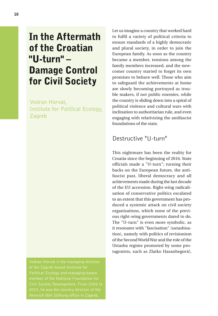### In the Aftermath of the Croatian "U-turn" – Damage Control for Civil Society

Vedran Horvat, Institute for Political Ecology, Zagreb

Vedran Horvat is the managing director of the Zagreb-based Institute for Civil Society Development. From 2005 to Let us imagine a country that worked hard to fulfil a variety of political criteria to ensure standards of a highly democratic and plural society, in order to join the European family. As soon as the country became a member, tensions among the family members increased, and the newcomer country started to forget its own promises to behave well. Those who aim to safeguard the achievements at home are slowly becoming portrayed as trouble makers, if not public enemies, while the country is sliding down into a spiral of political violence and cultural wars with inclination to authoritarian rule, and even engaging with relativizing the antifascist foundations of the state.

#### Destructive "U-turn"

This nightmare has been the reality for Croatia since the beginning of 2016. State officials made a "U-turn"; turning their backs on the European future, the antifascist past, liberal democracy and all achievements made during the last decade of the EU accession. Right-wing radicalisation of conservative politics escalated to an extent that this government has produced a systemic attack on civil society organisations, which none of the previous right-wing governments dared to do. The "U-turn" is even more symbolic, as it resonates with "fascisation" (ustashisation), namely with politics of revisionism of the Second World War and the role of the Ustasha regime promoted by some protagonists, such as Zlatko Hasanbegović,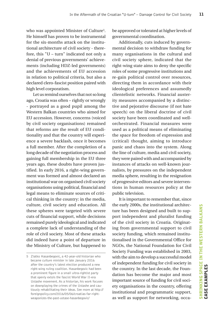who was appointed Minister of Culture5 . He himself has proven to be instrumental for the six-months attack on the institutional architecture of civil society - therefore, this "U – turn" indicated not only a denial of previous governments' achievements (including HDZ-led governments) and the achievements of EU accession in relation to political criteria, but also a declared clero-fascist position paired with high level corporatism.

Let us remind ourselves that not so long ago, Croatia was often – rightly or wrongly - portrayed as a good pupil among the Western Balkan countries who aimed for EU accession. However, concerns (voiced by civil society organisations) remained that reforms are the result of EU conditionality and that the country will experience a severe backlash, once it becomes a full member. After the completion of a long decade of the negotiation process and gaining full membership in the EU three years ago, these doubts have proven justified. In early 2016, a right-wing government was formed and almost declared an institutional war on organised civil society organisations using political, financial and legal means to eliminate sources of critical thinking in the country: in the media, culture, civil society and education. All these spheres were targeted with severe cuts of financial support, while decisions remained purely ideological and indicated a complete lack of understanding of the role of civil society. Most of these attacks did indeed have a point of departure in the Ministry of Culture, but happened to

be approved or tolerated at higher levels of governmental coordination.

Additionally, cuts induced by governmental decision to withdraw funding for many organisations in the cultural and civil society sphere, indicated that the right-wing state aims to deny the specific roles of some progressive institutions and re-gain political control over resources, directing them in accordance with their ideological preferences and assumedly clientelistic networks. Financial austerity measures accompanied by a distinctive and pejorative discourse (if not hate speech) on the liberal doctrine of civil society have been coordinated and wellorchestrated. Financial measures were used as a political means of eliminating the space for freedom of expression and (critical) thought, aiming to introduce panic and chaos into the system. Along the line of culture, media and civil society, they were paired with and accompanied by instances of attacks on well-known journalists, by pressures on the independent media sphere, resulting in the resignation of progressive editors and severe interventions in human resources policy at the public television.

It is important to remember that, since the early 2000s, the institutional architecture has been designed and built to support independent and pluralist funding of the civil society in Croatia. Originating from governmental support to civil society funding, which remained institutionalised in the Governmental Office for NGOs, the National Foundation for Civil Society Funding was established in 2003, with the aim to develop a successful model of independent funding for civil society in the country. In the last decade, the Foundation has become the major and most important source of funding for civil society organisations in the country, offering institutional and programmatic support, as well as support for networking, occa-

<sup>5</sup> Zlatko Hasanbegovic, a 42-year-old historian who became culture minister in late January 2016 after the country's latest election produced a new right-wing ruling coalition. Hasanbegovic had been a prominent figure in a small ultra-rightist party that openly extols the fascist World War II-era Ustashe movement. As a historian, his work focuses on downplaying the crimes of the Ustashe and cautiously rehabilitating their ideas. See more at http:// foreignpolicy.com/2016/05/06/croatias-far-rightweaponizes-the-past-ustase-hasanbegovic/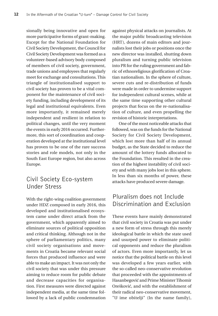sionally being innovative and open for more participative forms of grant-making. Except for the National Foundation for Civil Society Development, the Council for Civil Society Development was formed as a volunteer-based advisory body composed of members of civil society, government, trade unions and employees that regularly meet for exchange and consultations. This triangle of institutionalised support to civil society has proven to be a vital component for the maintenance of civil society funding, including development of its legal and institutional equivalents. Even more importantly, it remained merely independent and resilient in relation to political changes, until the very moment the events in early 2016 occurred. Furthermore, this sort of coordination and cooperation developed at the institutional level has proven to be one of the rare success stories and role models, not only in the South East Europe region, but also across Europe.

#### Civil Society Eco-system Under Stress

With the right-wing coalition government under HDZ composed in early 2016, this developed and institutionalised ecosystem came under direct attack from the government, which apparently aimed to eliminate sources of political opposition and critical thinking. Although not in the sphere of parliamentary politics, many civil society organisations and movements in Croatia became relevant social forces that produced influence and were able to make an impact. It was not only the civil society that was under this pressure aiming to reduce room for public debate and decrease capacities for organisation. First measures were directed against independent media, at the same time followed by a lack of public condemnation

against physical attacks on journalists. At the major public broadcasting television (HRT), dozens of main editors and journalists lost their jobs or positions once the new director was installed, shutting down pluralism and turning public television into PR for the ruling government and fabric of ethnoreligious glorification of Croatian nationalism. In the sphere of culture, severe cuts and re-distribution of funds were made in order to undermine support for independent cultural scenes, while at the same time supporting other cultural projects that focus on the re-nationalisation of culture, and even propelling the revision of historic interpretations.

One of the most noticeable attacks that followed, was on the funds for the National Society for Civil Society Development, which lost more than half of its annual budget, as the State decided to reduce the amount of the lottery funds allocated to the Foundation. This resulted in the creation of the highest instability of civil society and with many jobs lost in this sphere. In less than six months of power, these attacks have produced severe damage.

#### Pluralism does not Include Discrimination and Exclusion

These events have mainly demonstrated that civil society in Croatia was put under a new form of stress through this merely ideological battle in which the state used and usurped power to eliminate political opponents and reduce the pluralism of actors. Even more importantly, let us notice that the political battle on this level was developed a few years earlier, with the so-called neo-conservative revolution that proceeded with the appointments of Hasanbegović and Prime Minister Tihomir Orešković, and with the establishment of their radical neo-conservative movement, "U ime obitelji" (In the name family),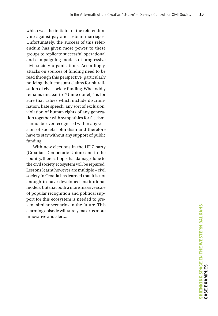which was the initiator of the referendum vote against gay and lesbian marriages. Unfortunately, the success of this referendum has given more power to these groups to replicate successful operational and campaigning models of progressive civil society organisations. Accordingly, attacks on sources of funding need to be read through this perspective, particularly noticing their constant claims for pluralisation of civil society funding. What oddly remains unclear to "U ime obitelji" is for sure that values which include discrimination, hate speech, any sort of exclusion, violation of human rights of any generation together with sympathies for fascism, cannot be ever recognised within any version of societal pluralism and therefore have to stay without any support of public funding.

With new elections in the HDZ party (Croatian Democratic Union) and in the country, there is hope that damage done to the civil society ecosystem will be repaired. Lessons learnt however are multiple – civil society in Croatia has learned that it is not enough to have developed institutional models, but that both a more massive scale of popular recognition and political support for this ecosystem is needed to prevent similar scenarios in the future. This alarming episode will surely make us more innovative and alert...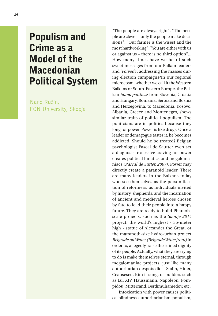### Populism and Crime as a Model of the Macedonian Political System

Nano Ružin, FON University, Skopje

"The people are always right", "The people are clever – only the people make decisions", "Our farmer is the wisest and the most hardworking", "You are either with us or against us – there is no third option"... How many times have we heard such sweet messages from our Balkan leaders and '*voivode',* addressing the masses during election campaigns?In our regional microcosm, whether we call it the Western Balkans or South-Eastern Europe, the Balkan *homo politicus* from Slovenia, Croatia and Hungary, Romania, Serbia and Bosnia and Herzegovina, to Macedonia, Kosovo, Albania, Greece and Montenegro, shows similar traits of political populism. The politicians are in politics because they long for power. Power is like drugs. Once a leader or demagogue tastes it, he becomes addicted. Should he be treated? Belgian psychologist Pascal de Sautter even set a diagnosis: excessive craving for power creates political lunatics and megalomaniacs (*Pascal de Sutter, 2007)*. Power may directly create a paranoid leader. There are many leaders in the Balkans today who see themselves as the personification of reformers, as individuals invited by history, shepherds, and the incarnation of ancient and medieval heroes chosen by fate to lead their people into a happy future. They are ready to build Pharaohscale projects, such as the *Skopje 2014* project, the world's highest - 35-meter high - statue of Alexander the Great, or the mammoth-size hydro-urban project *Belgrade on Water (Belgrade Waterfront)* in order to, allegedly, raise the ruined dignity of its people. Actually, what they are trying to do is make themselves eternal, through megalomaniac projects, just like many authoritarian despots did – Stalin, Hitler, Ceausescu, Kim il-sung, or builders such as Lui XIV, Haussmann, Napoleon, Pompidou, Mitterrand, Berdimuhamedov, etc.

Intoxication with power causes political blindness, authoritarianism, populism,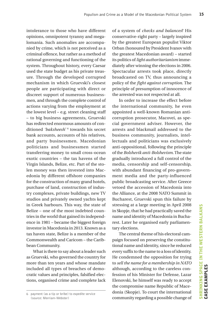intolerance to those who have different opinions, omnipotent tyranny and megalomania. Such anomalies are accompanied by crime, which is not perceived as a criminal offence, but rather as a method of rational governing and functioning of the system. Throughout history, every Caesar used the state budget as his private treasure. Through the developed corrupted mechanism in which Gruevski's closest people are participating with direct or discreet support of numerous businessmen, and through the complete control of actions varying from the employment at the lowest level – e.g. street cleaning staff – to big business agreements, Gruevski has redirected enormous amounts of conditioned *'baksheesh'* <sup>6</sup> towards his secret bank accounts, accounts of his relatives, and party businessmen. Macedonian politicians and businessmen started transferring money to small cross-ocean exotic countries – the tax havens of the Virgin Islands, Belize, etc. Part of the stolen money was then invested into Macedonia by different offshore companies for the construction of many grand hotels, purchase of land, construction of industry complexes, private buildings, new TV studios and privately owned yachts kept in Greek harbours. This way, the state of Belize – one of the most indebted countries in the world that gained its independence in 1981 – became the biggest foreign investor in Macedonia in 2013. Known as a tax haven state, Belize is a member of the Commonwealth and Caricom – the Caribbean Community.

What is there to say about a leader such as Gruevski, who governed the country for more than ten years and whose mandate included all types of breaches of democratic values and principles, falsified elections, organised crime and complete lack

6 payment (as a tip or bribe) to expedite service (source: Merriam-Webster)

of a system of *checks and balances*? His conservative-right party – largely inspired by the greatest European populist Viktor Orban (honoured by President Ivanov with the greatest Macedonian award) – started its politics of *light authoritarianism* immediately after winning the elections in 2006. Spectacular arrests took place, directly broadcasted on TV, thus announcing a policy of the *fight against corruption*. The principle of presumption of innocence of the arrested was not respected at all.

In order to increase the effect before the international community, he even appointed a well-known Romanian anticorruption prosecutor, Macovei, as special government adviser. However, the arrests and blackmail addressed to the business community, journalists, intellectuals and politicians was exclusively anti-oppositional, following the principle of the *Bolshevik anti-Bolshevism*. The state gradually introduced a full control of the media, censorship and self-censorship, with abundant financing of pro-government media and the party-influenced public broadcasting service. After Greece vetoed the accession of Macedonia into the Alliance, at the 2008 NATO Summit in Bucharest, Gruevski spun this failure by stressing at a large meeting in April 2008 in Skopje, that he had practically saved the name and identity of Macedonia in Bucharest. Later he organised early parliamentary elections.

The central theme of his electoral campaign focused on preserving the constitutional name and identity, since he reduced every suffix to the name to a loss of identity. He condemned the opposition for trying to *sell the name for a membership in NATO*  although, according to the careless confession of his Minister for Defense, Lazar Elenovski, he himself was ready to accept the compromise name Republic of Macedonia (Skopje). To court the international community regarding a possible change of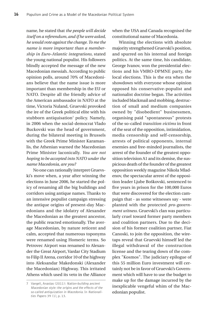name, he stated that *the people will decide itself on a referendum, and if he were asked, he would vote against the change. To me the name is more important than a membership in Euro-Atlantic integrations,* stated the young national populist. His followers blindly accepted the message of the new Macedonian messiah. According to public opinion polls, around 70% of Macedonians believe that the name issue is more important than membership in the EU or NATO. Despite all the friendly advice of the American ambassador in NATO at the time, Victoria Nuland, Gruevski provoked the ire of the Greek political elite with his stubborn antiquisation<sup>7</sup> policy. Namely, in 2006 when the social-democrat Vlado Buckovski was the head of government, during the bilateral meeting in Brussels with the Greek Prime Minister Karamanlis, the Athenian warned the Macedonian Prime Minister laconically. *You are not hoping to be accepted into NATO under the name Macedonia, are you?*

No one can rationally interpret Gruevski's move when, a year after winning the elections in June 2006, he started the policy of renaming all the big buildings and corridors using antique names. Thanks to an intensive populist campaign stressing the antique origins of present-day Macedonians and the idolatry of Alexander the Macedonian as the greatest ancestor, the public reacted emotionally. The average Macedonian, by nature reticent and calm, accepted that numerous toponyms were renamed using Homeric terms. So Petrovec Airport was renamed to Alexander the Great Airport, Vardar City Stadium to Filip II Arena, corridor 10 of the highway into Aleksandar Makedonski (Alexander the Macedonian) Highway. This irritated Athens which used its veto in the Alliance when the USA and Canada recognised the constitutional name of Macedonia.

Winning the elections with absolute majority strengthened Gruevski's position, and spurred on his internal and foreign politics. At the same time, his candidate, George Ivanov, won the presidential elections and his VMRO-DPMNE party, the local elections. This is the era when the showdown with everyone whose opinion opposed his conservative-populist and nationalist doctrine began. The activities included blackmail and mobbing, destruction of small and medium companies owned by "disobedient" businessmen, organising paid "spontaneous" protests of the so-called *transition victims* in front of the seat of the opposition, intimidation, media censorship and self-censorship, arrests of political opponents, internal enemies and free-minded journalists, the arrest of the founder of the greatest opposition television A1 and its demise, the suspicious death of the founder of the greatest opposition weekly magazine Nikola Mladenov, the spectacular arrest of the opposition leader Ljube Boškovski, sentenced to five years in prison for the 100,000 Euros that were discovered for the election campaign that - as some witnesses say - were planted with the protected *pro-government witness*. Gruevski's clan was particularly cruel toward former party members and coalition partners. Due to the decision of his former coalition partner, Fiat Canoski, to join the opposition, the wiretaps reveal that Gruevski himself led the illegal withdrawal of the construction license and the tearing down of the complex "Kosmos". The judiciary epilogue of this 55 million Euro investment will certainly not be in favor of Gruevski's Government which will have to use the budget to make up for the damage incurred by the inexplicable vengeful whim of the Macedonian populist.

<sup>7</sup> Vangeli, Anastas (2011): Nation-building ancient Macedonian style: the origins and the effects of the so-called antiquization in Macedonia. In Nationalities Papers 39 (1), p. 13.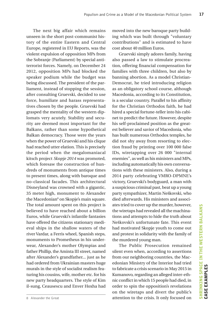The next big affair which remains unseen in the short post-communist history of the entire Eastern and Central Europe, registered in EU Reports, was the violent expulsion of opposition MPs from the Sobranje (Parliament) by special antiterrorist forces. Namely, on December 24 2012, opposition MPs had blocked the speaker podium while the budget was being discussed. The president of the parliament, instead of stopping the session, after consulting Gruevski, decided to use force, humiliate and harass representatives chosen by the people. Gruevski had grasped the mentality of the western diplomats very acutely. Stability and security are deemed most important for the Balkans, rather than some hypothetical Balkan democracy. Those were the years when the power of Gruevski and his clique had reached utter elation. This is precisely the period when the megalomaniacal kitsch project *Skopje 2014* was promoted, which foresaw the construction of hundreds of monuments from antique times to present times, along with baroque and no-classical facades. This architectural Disneyland was crowned with a gigantic, 35 meter high, monument to Alexander the Macedonian<sup>8</sup> on Skopje's main square. The total amount spent on this project is believed to have reached about a billion Euros, while Gruevski's infantile fantasies have offered the citizens stationary medieval ships in the shallow waters of the river Vardar, a Ferris wheel, Spanish steps, monuments to Prometheus in his underwear, Alexander's mother Olympias and father Phillip, the Aminta III street, named after Alexander's grandfather... just as he had ordered from Ukrainian masters huge murals in the style of socialist realism featuring his cousins, wife, mother etc. for his new party headquarters. The style of Kim il-sung, Ceausescu and Enver Hoxha had moved into the new baroque party building which was built through "voluntary contributions" and is estimated to have cost about 40 million Euros.

Gruevski simply adores family, having also passed a law to stimulate procreation, offering financial compensation for families with three children, but also by banning abortion. As a model Christian-Democrat, he tried introducing religion as an obligatory school course, although Macedonia, according to its Constitution, is a secular country. Parallel to his affinity for the Christian Orthodox faith, he had hired a special fortune-teller into his cabinet to predict the future. However, despite his self-proclaimed position as the greatest believer and savior of Macedonia, who has built numerous Orthodox temples, he did not shy away from resorting to election fraud by printing over 100 000 false IDs, wiretapping over 26 000 "internal enemies", as well as his ministers and MPs, including automatically his own conversations with these ministers. Also, during a 2014 party celebrating VMRO-DPMNE's victory, Gruevski's bodyguard, a man with a suspicious criminal past, beat up a young party sympathizer, Martin Neškovski, who died afterwards. His ministers and associates tried to cover up the murder, however, the wiretaps had revealed all the machinations and attempts to hide the truth about Neškovski's unfortunate fate. This event had motivated Skopje youth to come out and protest in solidarity with the family of the murdered young man.

The Public Prosecution remained silent even when, according to assertions from our neighboring countries, the Macedonian Ministry of the Interior had tried to fabricate a crisis scenario in May 2015 in Kumanovo, regarding an alleged inter-ethnic conflict in which 15 people had died, in order to spin the opposition's revelations on the wiretaps and divert the public's attention to the crisis. It only focused on

<sup>8</sup> Alexander the Great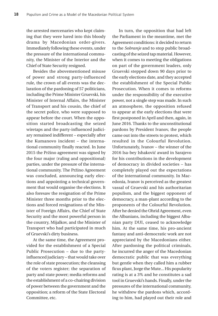the arrested mercenaries who kept claiming that they were lured into this bloody drama by Macedonian order-givers. Immediately following these events, under the pressure of the international community, the Minister of the Interior and the Chief of State Security resigned.

Besides the abovementioned misuse of power and strong party-influenced rule, the crown of all events was the declaration of the pardoning of 57 politicians, including the Prime Minister Gruevski, his Minister of Internal Affairs, the Minister of Transport and his cousin, the chief of the secret police, who were supposed to appear before the court. When the opposition started broadcasting the seized wiretaps and the party-influenced judiciary remained indifferent – especially after the Kumanovo incident – the international community finally reacted. In June 2015 the Pržino agreement was signed by the four major (ruling and oppositional) parties, under the pressure of the international community. The Pržino Agreement was concluded, announcing early elections and appointing a technical government that would organise the elections. It also foresaw the resignation of the Prime Minister three months prior to the elections and forced resignations of the Minister of Foreign Affairs, the Chief of State Security and the most powerful person in the country, Mijalkov, and the Minister of Transport who had participated in much of Gruevski's dirty business.

At the same time, the Agreement provided for the establishment of a Special Public Prosecution – due to the partyinfluenced judiciary – that would take over the role of state prosecution; the cleansing of the voters register; the separation of party and state power; media reforms and the establishment of a co-chairing division of power between the government and the opposition; a reform of the State Electoral Committee, etc.

In turn, the opposition that had left the Parliament in the meantime, met the Agreement conditions: it decided to return to the *Sobranje* and to stop public broadcasting of the seized tap material. However, when it comes to meeting the obligations on part of the government leaders, only Gruevski stepped down 90 days prior to the early elections date, and they accepted the establishment of the Special Public Prosecution. When it comes to reforms under the responsibility of the executive power, not a single step was made. In such an atmosphere, the opposition refused to appear at the early elections that were first postponed in April and then, again, in June 2016. Thanks to the unconstitutional pardons by President Ivanov, the people came out into the streets to protest, which resulted in the Colourful Revolution. Unfortunately, Ivanov – the winner of the 2016 Isa-bey Ishaković award in Sarajevo for his contributions in the development of democracy in divided societies – has completely played out the expectations of the international community. In Macedonia, Ivanov is perceived as the greatest vassal of Gruevski and his authoritarian populism, and the biggest opponent of democracy, a man-plant according to the proponents of the Colourful Revolution. After he denied the Ohrid Agreement, even the Albanians, including the biggest Albanian party DUI, ceased to acknowledge him. At the same time, his pro-ancient fantasy and anti-democratic work are not appreciated by the Macedonians either. After pardoning the political criminals, he incurred the anger of the Macedonian democratic public that was everything but gentle when they called him a rubber ficus plant, Jorge the Mute... His popularity rating is at a 3% and he constitutes a sad tool in Gruevski's hands. Finally, under the pressures of the international community, he withdrew the pardons which, according to him, had played out their role and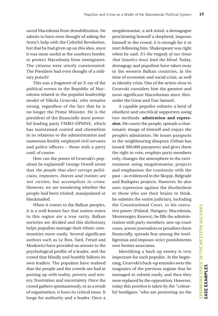saved Macedonia from destabilization. He admits to have even thought of asking the Army's help with the Colorful Revolution, but that he had given up on this idea, since it was more useful at the southern border, to protect Macedonia from immigrants. The citizens were utterly consternated. The President had even thought of a military putsch!

This was a fragment of an X-ray of the political events in the Republic of Macedonia related to the populist leadership model of Nikola Gruevski, who remains strong, regardless of the fact that he is no longer the Prime Minister. He is the president of the financially most powerful leading party VMRO-DPMNE, which has maintained control and clientelism in its relations to the administration and numerous freshly employed civil servants and police officers – those with a party card, of course.

How can the power of Gruevski's populism be explained? George Orwell wrote that *the people that elect corrupt politicians, imposters, thieves and traitors are not victims, but accomplices in crime*. However, we are wondering whether the people had been tricked, manipulated or blackmailed.

When it comes to the Balkan peoples, it is a well-known fact that nation-states in this region are a true rarity. Balkan societies are divided and this dichotomy helps populists manage their ethnic communities more easily. Several significant authors such as Le Bon, Tard, Freud and Moskovici have provided an answer to the psychological profile of a leader, and the crowd that blindly and humbly follows its own leaders. The populists have realised that the people and the crowds are bad at putting up with reality, poverty and misery, frustration and uncertainty. Once the crowd gathers spontaneously, or as a result of organisation, it loses its critical mass. It longs for authority and a leader. Once a megalomaniac, a sick mind, a demagogue proclaiming himself a shepherd, imposes himself to the crowd, it is enough for it to start following him. Shakespeare was right when he said: *It's the tragedy of our times that lunatics must lead the blind*. Today, demagogy and populism have taken sway in the western Balkan countries, in the time of economic and social crisis, as well as identity crisis. One of the artists close to Gruevski considers him the greatest and most significant Macedonian since Alexander the Great and Tzar Samuel.

A capable populist submits a herd of obedient and uncritical supporters using two methods: **admiration and repression**. He courts the people, spreads a charismatic image of himself and enjoys the people's admiration. He issues passports to the neighbouring diaspora (Orban has issued 500,000 passports) and gives them the right to vote, employs party members only, changes the atmosphere in the environment using megalomaniac projects and emphasises the continuity with the past – as evidenced in the Skopje, Belgrade and Budapest projects. However, he also uses repression against the disobedient or those who use their brains to think, he submits the entire judiciary, including the Constitutional Court, to his executive power (Poland, Hungary, Macedonia, Montenegro, Kosovo), he fills the administration with party members, sets-up court cases, arrests journalists or penalizes them financially, spreads fear among the intelligentsia and imposes strict punishments over former associates.

Identifying a back-up enemy is very important for each populist. At the beginning, Gruevski's back-up enemies were the magnates of the previous regime that he managed to submit easily, and then they were replaced by the opposition. However, today this *position* is taken by the "colourful hooligans "who are protesting on the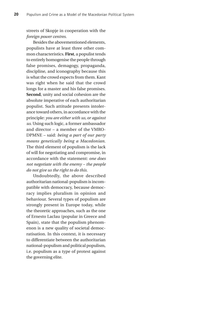streets of Skopje in cooperation with the *foreign power centres*.

Besides the abovementioned elements, populists have at least three other common characteristics. **First**, a populist tends to entirely homogenise the people through false promises, demagogy, propaganda, discipline, and iconography because this is what the crowd expects from them. Kant was right when he said that the crowd longs for a master and his false promises. **Second**, unity and social cohesion are the absolute imperative of each authoritarian populist. Such attitude presents intolerance toward others, in accordance with the principle: *you are either with us, or against us*. Using such logic, a former ambassador and director – a member of the VMRO-DPMNE – said: *being a part of our party means genetically being a Macedonian*. The third element of populism is the lack of will for negotiating and compromise, in accordance with the statement: *one does not negotiate with the enemy – the people do not give us the right to do this.*

Undoubtedly, the above described authoritarian national-populism is incompatible with democracy, because democracy implies pluralism in opinion and behaviour. Several types of populism are strongly present in Europe today, while the theoretic approaches, such as the one of Ernesto Laclau (popular in Greece and Spain), state that the populism phenomenon is a new quality of societal democratisation. In this context, it is necessary to differentiate between the authoritarian national-populism and political populism, i.e. populism as a type of protest against the governing elite.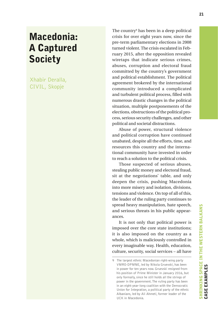### Macedonia: A Captured **Society**

Xhabir Deralla, CIVIL, Skopje

The country 9 has been in a deep political crisis for over eight years now, since the pre-term parliamentary elections in 2008 turned violent. The crisis escalated in Feb ruary 2015, after the opposition revealed wiretaps that indicate serious crimes, abuses, corruption and electoral fraud committed by the country's government and political establishment. The political agreement brokered by the international community introduced a complicated and turbulent political process, filled with numerous drastic changes in the political situation, multiple postponements of the elections, obstructions of the political pro cess, serious security challenges, and other political and societal distractions.

Abuse of power, structural violence and political corruption have continued unabated, despite all the efforts, time, and resources this country and the interna tional community have invested in order to reach a solution to the political crisis.

Those suspected of serious abuses, stealing public money and electoral fraud, sit at the negotiations' table, and only deepen the crisis, pushing Macedonia into more misery and isolation, divisions, tensions and violence. On top of all of this, the leader of the ruling party continues to spread heavy manipulation, hate speech, and serious threats in his public appear ances.

It is not only that political power is imposed over the core state institutions; it is also imposed on the country as a whole, which is maliciously controlled in every imaginable way. Health, education, culture, security, social services – all have

<sup>9</sup> The largest ethnic Macedonian right-wing party VMRO-DPMNE, led by Nikola Gruevski, has been in power for ten years now. Gruevski resigned from his position of Prime Minister in January 2016, but only formally, since he still holds all the strings of power in the government. The ruling party has been in an eight-year-long coalition with the Democratic Union for Integration, a political party of the ethnic Albanians, led by Ali Ahmeti, former leader of the UCK in Macedonia.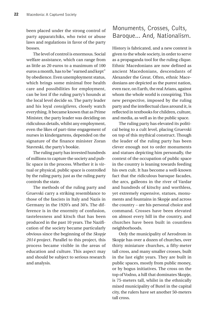been placed under the strong control of party apparatchiks, who twist or abuse laws and regulations in favor of the party bosses.

The level of control is enormous. Social welfare assistance, which can range from as little as 20 euros to a maximum of 100 euros a month, has to be "earned and kept" by obedience. Even unemployment status, which brings some minimal free health care and possibilities for employment, can be lost if the ruling party's hounds at the local level decide so. The party leader and his loyal *consiglieres,* closely watch everything. It became known that as Prime Minister, the party leader was deciding on ridiculous details, whilst any employment, even the likes of part-time engagement of nurses in kindergartens, depended on the signature of the finance minister Zoran Stavreski, the party's bookie.

The ruling party has invested hundreds of millions to capture the society and public space in the process. Whether it is virtual or physical, public space is controlled by the ruling party, just as the ruling party controls the state.

The methods of the ruling party and Gruevski carry a striking resemblance to those of the fascists in Italy and Nazis in Germany in the 1920's and 30's. The difference is in the enormity of confusion, tastelessness and kitsch that has been produced in the past 10 years. The Nazification of the society became particularly obvious since the beginning of the *Skopje 2014* project. Parallel to this project, this process became visible in the areas of education and culture. This aspect may and should be subject to serious research and analysis.

#### Monuments, Crosses, Cults, Baroque... And, Nationalism.

History is fabricated, and a new context is given to the whole society, in order to serve as a propaganda tool for the ruling clique. Ethnic Macedonians are now defined as ancient Macedonians, descendants of Alexander the Great. Often, ethnic Macedonians are depicted as the purest nation, even race, on Earth, the real Arians, against whom the whole world is conspiring. This new perspective, imposed by the ruling party and the intellectual class around it, is reflected in textbooks for children, culture, and media, as well as in the public space.

The ruling party has elevated its political being to a cult level, placing Gruevski on top of this mythical construct. Though the leader of the ruling party has been clever enough not to order monuments and statues depicting him personally, the context of the occupation of public space in the country is leaning towards feeding his own cult. It has become a well-known fact that the ridiculous baroque facades, the arcs, galleons in the river of Vardar and hundreds of kitschy and worthless, yet extremely expensive, statues, monuments and fountains in Skopje and across the country – are his personal choice and command. Crosses have been elevated on almost every hill in the country, and churches have been built in countless neighborhoods.

Only the municipality of Aerodrom in Skopje has over a dozen of churches, over thirty miniature churches, a fifty-meter tall cross, and many smaller crosses, built in the last eight years. They are built in public spaces, mostly from public money, or by bogus initiatives. The cross on the top of Vodno, a hill that dominates Skopje, is 75-meters tall, whilst in the ethnically mixed municipality of Butel in the capital city, the rulers have set another 50-meters tall cross.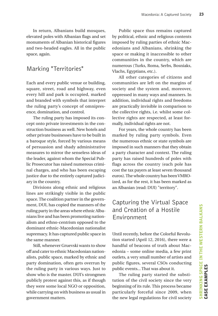In return, Albanians build mosques, elevated poles with Albanian flags and set monuments of Albanian historical figures and two-headed eagles. All in the public space, again.

#### Marking "Territories"

Each and every public venue or building, square, street, road and highway, even every hill and park is occupied, marked and branded with symbols that interpret the ruling party's concept of omnipresence, domination, and control.

The ruling party has imposed its concept onto private investments in the construction business as well. New hotels and other private businesses have to be built in a baroque style, forced by various means of persuasion and shady administrative measures to mirror the senseless ideas of the leader, against whom the Special Public Prosecutor has raised numerous criminal charges, and who has been escaping justice due to the entirely captured judiciary in the country.

Divisions along ethnic and religious lines are strikingly visible in the public space. The coalition partner in the government, DUI, has copied the manners of the ruling party in the areas where ethnic Albanians live and has been promoting nationalism and ethno-centrism opposed to the dominant ethnic-Macedonian nationalist supremacy. It has captured public space in the same manner.

Still, whenever Gruevski wants to show off and cater to ethnic Macedonian nationalists, public space, marked by ethnic and party domination, often gets overrun by the ruling party in various ways. Just to show who is the master. DUI's strongmen publicly protest against this, as if though they were some local NGO or opposition, while carrying on with business as usual in government matters.

Public space thus remains captured by political, ethnic and religious contents imposed by ruling parties of ethnic Macedonians and Albanians, shrinking the space or making it inaccessible to other communities in the country, which are numerous (Turks, Roma, Serbs, Bosniaks, Vlachs, Egyptians, etc.).

All other categories of citizens and communities are left on the margins of society and the system and, moreover, oppressed in many ways and manners. In addition, individual rights and freedoms are practically invisible in comparison to the collective rights, i.e. whilst some collective rights are respected, at least formally, individual rights are not.

For years, the whole country has been marked by ruling party symbols. Even the numerous ethnic or state symbols are imposed in such manners that they obtain a party character and context. The ruling party has raised hundreds of poles with flags across the country (each pole has cost the tax payers at least seven thousand euros). The whole country has been VMROized, as for the rest, it has been marked as an Albanian (read: DUI) "territory".

#### Capturing the Virtual Space and Creation of a Hostile Environment

Until recently, before the Colorful Revolution started (April 12, 2016), there were a handful of beacons of truth about Macedonia – some online media, a few print outlets, a very small number of artists and public figures, several CSOs conducting public events... That was about it.

The ruling party started the substitution of the civil society since the very beginning of its rule. This process became particularly forceful since 2009, when the new legal regulations for civil society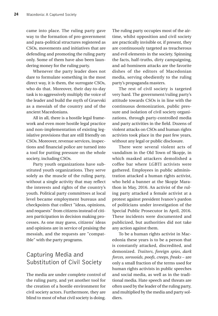came into place. The ruling party gave way to the formation of pro-government and para-political structures registered as CSOs, movements and initiatives that are defending and promoting the ruling party only. Some of them have also been laundering money for the ruling party.

Whenever the party leader does not dare to formulate something in the most direct way, it is them, the surrogate CSOs, who do that. Moreover, their day-to-day task is to aggressively multiply the voice of the leader and build the myth of Gruevski as a messiah of the country and of the ancient Macedonians.

All in all, there is a hostile legal framework and even more hostile legal practice and non-implementation of existing legislative provisions that are still friendly on CSOs. Moreover, revenue services, inspections and financial police are turned into a tool for putting pressure on the whole society, including CSOs.

Party youth organizations have substituted youth organizations. They serve solely as the muscle of the ruling party, without a single activity that may reflect the interests and rights of the country's youth. Political party committees at local level became employment bureaus and checkpoints that collect "ideas, opinions, and requests" from citizens instead of citizen participation in decision making processes. As one may guess, citizens' ideas and opinions are in service of praising the messiah, and the requests are "compatible" with the party programs.

#### Capturing Media and Substitution of Civil Society

The media are under complete control of the ruling party, and yet another tool for the creation of a hostile environment for civil society actors. Furthermore, they are blind to most of what civil society is doing. The ruling party occupies most of the airtime, whilst opposition and civil society are practically invisible or, if present, they are continuously targeted as treacherous and evil elements in the society. Spinning the facts, half-truths, dirty campaigning, and ad-hominem attacks are the favorite dishes of the editors of Macedonian media, serving obediently to the ruling party's propaganda masters.

The rest of civil society is targeted very hard. The government/ruling party's attitude towards CSOs is in line with the continuous demonization, public pressure and isolation of civil society organizations, through party-controlled media and party activities in the field. Dozens of violent attacks on CSOs and human rights activists took place in the past few years, without any legal or public disclosure.

There were several violent acts of vandalism in the Old Town of Skopje, in which masked attackers demolished a coffee bar where LGBTI activists were gathered. Employees in public administration attacked a human rights activist, who held a banner at the Skopje Marathon in May, 2016. An activist of the ruling party attacked a female activist at a protest against president Ivanov's pardon of politicians under investigation of the Special Public Prosecutor in April, 2016. These incidents were documented and publicized, but authorities did not take any action against them.

To be a human rights activist in Macedonia these years is to be a person that is constantly attacked, discredited, and demonized. *Traitors, foreign spies, dark forces, sorosoids, poofs, creeps, freaks* – are only a small fraction of the terms used for human rights activists in public speeches and social media, as well as in the traditional media. Hate speech and threats are often used by the leader of the ruling party, and multiplied by the media and party soldiers.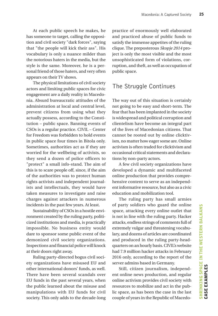At each public speech he makes, he has someone to target, calling the opposition and civil society "dark forces", saying that "the people will kick their ass". His vocabulary is only a nuance milder than the notorious haters in the media, but the style is the same. Moreover, he is a personal friend of those haters, and very often appears on their TV shows.

The physical limitations of civil society actors and limiting public spaces for civic engagement are a daily reality in Macedonia. Absurd bureaucratic attitudes of the administration at local and central level, prevent citizens from using what they actually possess, according to the Constitution – public space. Banning events of CSOs is a regular practice. CIVIL – Center for Freedom was forbidden to hold events in public space four times in Bitola only. Sometimes, authorities act as if they are worried for the wellbeing of activists, so they send a dozen of police officers to "protect" a small info-stand. The aim of this is to scare people off, since, if the aim of the authorities was to protect human rights activists and independent journalists and intellectuals, they would have taken measures to investigate and raise charges against attackers in numerous incidents in the past few years. At least.

Sustainability of CSOs in a hostile environment created by the ruling party, politicized institutions and media, is practically impossible. No business entity would dare to sponsor some public event of the demonized civil society organizations. Inspections and financial police will knock at their doors right away.

Ruling party-directed bogus civil society organizations have misused EU and other international donors' funds, as well. There have been several scandals over EU funds in the past several years, when the public learned about the misuse and manipulations with EU funds for civil society. This only adds to the decade-long practice of enormously well elaborated and practiced abuse of public funds to satisfy the immense appetites of the ruling clique. The preposterous *Skopje 2014* project is only the most visible and the most unsophisticated form of violations, corruption, and theft, as well as occupation of public space.

#### The Struggle Continues

The way out of this situation is certainly not going to be easy and short-term. The fear that has been implanted in the society is widespread and political corruption and clientelism have become an integral part of the lives of Macedonian citizens. That cannot be rooted out by online clicktivism, no matter how eager some are. Online activism is often traded for clicktivism and occasional critical statements and declarations by non-party actors.

A few civil society organizations have developed a dynamic and multifaceted online production that provides comprehensive content to serve as an independent informative resource, but also as a civic education and mobilization tool.

The ruling party has small armies of party soldiers who guard the online space, attacking every online outlet that is not in line with the ruling party. Hacker attacks, endless strings of comments full of extremely vulgar and threatening vocabulary, and dozens of articles are coordinated and produced in the ruling party-headquarters on an hourly basis. CIVIL's website had 7.9 million hacker attacks in February 2016 only, according to the report of the server admins based in Germany.

Still, citizen journalism, independent online news production, and regular online activism provides civil society with resources to mobilize and act in the public space, as has been the case in the last couple of years in the Republic of Macedo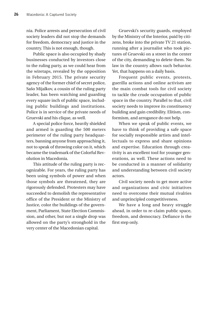nia. Police arrests and persecution of civil society leaders did not stop the demands for freedom, democracy and justice in the country. This is not enough, though.

Public space is also occupied by shady businesses conducted by investors close to the ruling party, as we could hear from the wiretaps, revealed by the opposition in February 2015. The private security agency of the former chief of secret police, Sašo Mijalkov, a cousin of the ruling party leader, has been watching and guarding every square inch of public space, including public buildings and institutions. Police is in service of the private needs of Gruevski and his clique, as well.

A special police force, heavily shielded and armed is guarding the 500 meters perimeter of the ruling party headquarters, banning anyone from approaching it, not to speak of throwing color on it, which became the trademark of the Colorful Revolution in Macedonia.

This attitude of the ruling party is recognizable. For years, the ruling party has been using symbols of power and when those symbols are threatened, they are rigorously defended. Protesters may have succeeded to demolish the representative office of the President or the Ministry of Justice, color the buildings of the government, Parliament, State Election Commission, and other, but not a single drop was allowed on the party's stronghold in the very center of the Macedonian capital.

Gruevski's security guards, employed by the Ministry of the Interior, paid by citizens, broke into the private TV 21 station, running after a journalist who took pictures of Gruevski on a street in the center of the city, demanding to delete them. No law in the country allows such behavior. Yet, that happens on a daily basis.

Frequent public events, protests, guerilla actions and online activism are the main combat tools for civil society to tackle the crude occupation of public space in the country. Parallel to that, civil society needs to improve its constituency building and gain credibility. Elitism, conformism, and arrogance do not help.

When we speak of public events, we have to think of providing a safe space for socially responsible artists and intellectuals to express and share opinions and expertise. Education through creativity is an excellent tool for younger generations, as well. These actions need to be conducted in a manner of solidarity and understanding between civil society actors.

Civil society needs to get more active and organizations and civic initiatives need to overcome their mutual rivalries and unprincipled competitiveness.

We have a long and heavy struggle ahead, in order to re-claim public space, freedom, and democracy. Defiance is the first step only.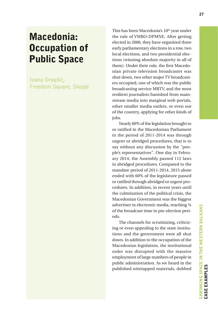### Macedonia: Occupation of Public Space

Ivana Dragšić, Freedom Square, Skopje This has been Macedonia's 10<sup>th</sup> year under the rule of VMRO-DPMNE. After getting elected in 2006, they have organized three early parliamentary elections in a row, two local elections, and two presidential elections (winning absolute majority in all of them). Under their rule, the first Macedonian private television broadcaster was shut down, two other major TV broadcasters occupied, one of which was the public broadcasting service MRTV, and the most resilient journalists banished from mainstream media into marginal web-portals, other smaller media outlets, or even out of the country, applying for other kinds of jobs.

Nearly 60% of the legislation brought to or ratified in the Macedonian Parliament in the period of 2011-2014 was through urgent or abridged procedures, that is to say without any discussion by the "people's representatives". One day in February 2014, the Assembly passed 112 laws in abridged procedures. Compared to the mandate period of 2011-2014, 2015 alone ended with 60% of the legislature passed or ratified through abridged or urgent procedures. In addition, in recent years until the culmination of the political crisis, the Macedonian Government was the biggest advertiser in electronic media, reaching ¾ of the broadcast time in pre-election periods.

The channels for scrutinizing, criticizing or even appealing to the state institutions and the government were all shut down. In addition to the occupation of the Macedonian legislation, the institutional order was disrupted with the massive employment of large numbers of people in public administration. As we heard in the published wiretapped materials, dubbed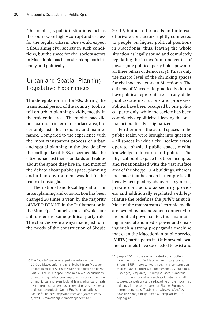"the bombs",<sup>10</sup>, public institutions such as the courts were highly corrupt and useless for the regular citizen. One would expect a flourishing civil society in such conditions, but the space for civil society actors in Macedonia has been shrinking both literally and politically.

#### Urban and Spatial Planning Legislative Experiences

The deregulation in the 90s, during the transitional period of the country, took its toll on urban planning vividly, mostly in the residential areas. The public space did not lose much in terms of surface area, but certainly lost a lot in quality and maintenance. Compared to the experience with the most transparent process of urban and spatial planning in the decade after the earthquake of 1963, it seemed like the citizens had lost their standards and values about the space they live in, and most of the debate about public space, planning and urban environment was led in the realm of nostalgia.

The national and local legislation for urban planning and construction has been changed 20 times a year, by the majority of VMRO DPMNE in the Parliament or in the Municipal Councils, most of which are still under the same political party rule. The changes were always made just to fit the needs of the construction of Skopje  $2014<sup>11</sup>$ , but also the needs and interests of private contractors, tightly connected to people on higher political positions in Macedonia, thus, leaving the whole situation as legally sound and completely regulating the issues from one center of power (one political party holds power in all three pillars of democracy). This is only the macro level of the shrinking spaces for civil society actors in Macedonia. The citizens of Macedonia practically do not have political representatives in any of the public/state institutions and processes. Politics have been occupied by one political party only, while the society has been completely depoliticized, leaving the ones that act politically - stigmatized.

Furthermore, the actual spaces in the public realm were brought into question - all spaces in which civil society actors operate: physical public space, media, knowledge, education and politics. The physical public space has been occupied and renationalized with the vast surface area of the Skopje 2014 buildings, whereas the space that has been left empty is still heavily occupied by chauvinist symbols, private contractors as security providers and additionally regulated with legislature the redefines the *public* as such. Most of the mainstream electronic media are owned by businessmen connected to the political power center, thus maintaining financial and media power and creating such a strong propaganda machine that even the Macedonian public service (MRTV) participates in. Only several local media outlets have succeeded to exist and

<sup>10</sup> The "bombs" are wiretapped materials of over 20.000 Macedonian citizens, leaked from Macedonian intelligence services through the opposition party SDSM. The wiretapped materials reveal accusations of vote fixing, police cover-up of a murder, corruption on municipal and even judicial levels, physical threats over journalists as well as orders of physical violence and counterprotests. Some English translations can be found here http://interactive.aljazeera.com/ ajb/2015/makedonija-bombe/eng/index.html

<sup>11</sup> Skopje 2014 is the single greatest construction investment project in Macedonian history (so far 640mil EUR), represented through the construction of over 100 sculptures, 34 monuments, 27 buildings, 6 garages, 5 squares, 1 triumphal gate, numerous other urban interventions such as fountains, small squares, candelabra and re-facading of the modernist buildings in the central area of Skopje. For more information: https://ba.boell.org/bs/2016/01/08/ novo-lice-skopja-megalomanski-projekat-koji-jepojeo-grad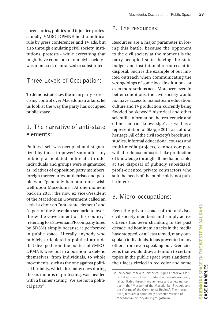cover stories, politics and injustice professionally. VMRO-DPMNE held a political rule by press conferences and TV ads, but also through emulating civil society, institutions, protests - while everything that might have come out of our civil society was repressed, neutralized or substituted.

#### Three Levels of Occupation:

To demonstrate how the main party is exercising control over Macedonian affairs, let us look at the way the party has occupied public space.

#### 1. The narrative of anti-state elements:

Politics itself was occupied and stigmatized by those in power! Soon after any publicly articulated political attitude, individuals and groups were stigmatized as: relatives of opposition party members, foreign mercenaries, antichrists and people who "generally hate and don't wish well upon Macedonia". At one moment back in 2013, the now ex vice-President of the Macedonian Government called an activist choir an "anti-state element" and "a part of the Slovenian scenario to overthrow the Government of this country" (referring to a Slovenian PR company hired by SDSM) simply because it performed in public space. Literally anybody who publicly articulated a political attitude that diverged from the politics of VMRO-DPMNE, were put in a position to defend themselves: from individuals, to whole movements, such as the one against political brutality, which, for many days during the six months of protesting, was headed with a banner stating "We are not a political party".

#### 2. The resources:

Resources are a major parameter in losing this battle, because the opponent to the civil society at the moment is the party-occupied state, having the state budget and institutional resources at its disposal. Such is the example of our limited outreach when communicating the wrongdoings of some local institutions, or even more serious acts. Moreover, even in better conditions, the civil society would not have access to mainstream education, culture and TV production, currently being flooded by skewed<sup>12</sup> historical and other scientific information, hetero-centric and ethno-centric "knowledge", as well as a representation of Skopje 2014 as cultural heritage. All of the civil society's brochures, studies, informal educational courses and multi-media projects, cannot compete with the almost industrial-like production of knowledge through all media possible, at the disposal of publicly subsidized, profit-oriented private contractors who suit the needs of the public bids, not public interest.

#### 3. Micro-occupations:

Even the private space of the activists, civil society members and simply active citizens has been shrinking in the past decade. Ad hominem attacks in the media have stopped, or at least tamed, many outspoken individuals. It has prevented many others from even speaking out. Even citizens that would draw attention to certain topics in the public space were slandered, their faces circled in red color and some

<sup>12</sup> For example: several historical figures notorious for brutal murders of their political opponents are being rehabilitated through monuments and a new narrative in the "Museum of the Macedonian Struggle and the Victims of the Communist Regime". The museum itself, features a completely distorted version of Macedonian history during Yugoslavia.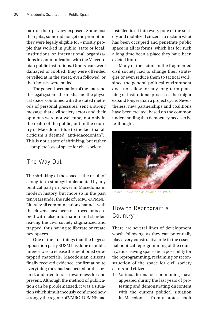part of their privacy exposed. Some lost their jobs, some did not get the promotion they were legally eligible for - mostly people that worked in public (state or local) institutions or international organizations in communication with the Macedonian public institutions. Others' cars were damaged or robbed, they were offended or yelled at in the street, even followed, or their houses were raided.

The general occupation of the state and the legal system, the media and the physical space, combined with the stated methods of personal pressures, sent a strong message that civil society actors and their opinions were not welcome, not only in the realm of the public, but in the country of Macedonia (due to the fact that all criticism is deemed "anti-Macedonian"). This is not a state of shrinking, but rather a complete loss of space for civil society.

#### The Way Out

The shrinking of the space is the result of a long-term strategy implemented by any political party in power in Macedonia in modern history, but more so in the past ten years under the rule of VMRO-DPMNE. Literally all communication channels with the citizens have been destroyed or occupied with false information and slander, leaving the civil society stigmatized and trapped, thus having to liberate or create new spaces.

One of the first things that the biggest opposition party SDSM has done in public interest was to release the mentioned wiretapped materials. Macedonian citizens finally received evidence, confirmation to everything they had suspected or discovered, and tried to raise awareness for and prevent. Although the method of publication can be problematized, it was a situation which simultaneously confirmed how strongly the regime of VMRO-DPMNE had installed itself into every pore of the society and mobilized citizens to reclaim what has been occupied and penetrate public space in all its forms, which has for such a long time been a place they have been evicted from.

Many of the actors in the fragmented civil society had to change their strategies or even reduce them to tactical work, since the general political environment does not allow for any long-term planning or institutional processes that might expand longer than a project cycle. Nevertheless, new partnerships and coalitions have been created, based on the common understanding that democracy needs to be re-thought.



Colorful revolution as of June 17, 2016

#### How to Reprogram a Country

There are several lines of development worth following, as they can potentially play a very constructive role in the essential political reprogramming of the country, thus leaving space and a possibility for the reprogramming, reclaiming or reconstruction of the space for civil society actors and citizens:

1. Various forms of commoning have appeared during the last years of protesting and demonstrating discontent with the current political situation in Macedonia - from a protest choir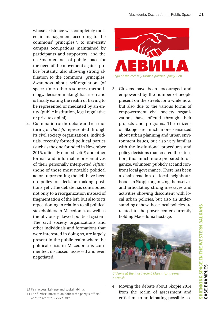whose existence was completely rooted in management according to the  $commons'$  principles<sup>13</sup>, to university campus occupations maintained by participants and supporters, and the use/maintenance of public space for the need of the movement against police brutality, also showing strong affiliation to the commons' principles. Awareness about self-regulation (of space, time, other resources, methodology, decision making) has risen and is finally exiting the realm of having to be represented or mediated by an entity (public institution, legal regulative or private capital).

- 2. Culmination of the debate and restructuring of *the left*, represented through its civil society organizations, individuals, recently formed political parties (such as the one founded in November 2015, officially named Left $14$ ) and other formal and informal representatives of their personally interpreted *leftism*  (none of those most notable political actors representing the left have been on policy or decision-making positions yet). The debate has contributed not only to a reorganization instead of fragmentation of the left, but also to its repositioning in relation to all political stakeholders in Macedonia, as well as the obviously flawed political system. The civil society organizations and other individuals and formations that were interested in doing so, are largely present in the public realm where the political crisis in Macedonia is commented, discussed, assessed and even negotiated.
- 13 Fair access, fair use and sustainability.



3. Citizens have been encouraged and empowered by the number of people present on the streets for a while now, but also due to the various forms of empowerment civil society organizations have offered through their projects and programs. The citizens of Skopje are much more sensitized about urban planning and urban environment issues, but also very familiar with the institutional procedures and policy decisions that created the situation, thus much more prepared to organize, volunteer, publicly act and confront local governance. There has been a chain-reaction of local neighbourhoods in Skopje organizing themselves and articulating strong messages and activities showing discontent with local urban policies, but also an understanding of how those local policies are related to the power center currently holding Macedonia hostage.



Citizens at the most recent March for greener Karposh

4. Moving the debate about Skopje 2014 from the realm of assessment and criticism, to anticipating possible so-

<sup>14</sup> For further information, follow the party's official website at: http://levica.mk/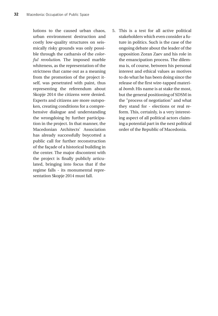lutions to the caused urban chaos, urban environment destruction and costly low-quality structures on seismically risky grounds was only possible through the catharsis of the *colorful revolution*. The imposed marble whiteness, as the representation of the strictness that came out as a meaning from the promotion of the project itself, was penetrated with paint, thus representing the referendum about Skopje 2014 the citizens were denied. Experts and citizens are more outspoken, creating conditions for a comprehensive dialogue and understanding the wrongdoing by further participation in the project. In that manner, the Macedonian Architects' Association has already successfully boycotted a public call for further reconstruction of the façade of a historical building in the center. The major discontent with the project is finally publicly articulated, bringing into focus that if the regime falls - its monumental representation Skopje 2014 must fall.

5. This is a test for all active political stakeholders which even consider a future in politics. Such is the case of the ongoing debate about the leader of the opposition Zoran Zaev and his role in the emancipation process. The dilemma is, of course, between his personal interest and ethical values as motives to do what he has been doing since the release of the first wire-tapped material *bomb.* His name is at stake the most, but the general positioning of SDSM in the "process of negotiation" and what they stand for - elections or real reform. This, certainly, is a very interesting aspect of all political actors claiming a potential part in the next political order of the Republic of Macedonia.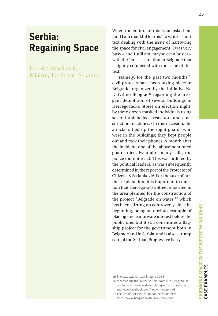# Serbia: Regaining Space

Dobrica Veselinović, Ministry for Space, Belgrade When the editors of this issue asked me (and I am thankful for this) to write a short text dealing with the issue of narrowing the space for civil engagement, I was very busy – and I still am, maybe even busier – with the "crisis" situation in Belgrade that is tightly connected with the issue of this text.

Namely, for the past two months $15$ , civil protests have been taking place in Belgrade, organized by the initiative Ne  $Da(vi)$ mo Beograd<sup>16</sup> regarding the arrogant demolition of several buildings in Hercegovačka Street on election night, by three dozen masked individuals using several unlabelled excavators and construction machines. On this occasion, the attackers tied up the night guards who were in the buildings; they kept people out and took their phones. A month after the incident, one of the abovementioned guards died. Even after many calls, the police did not react. This was ordered by the political leaders, as was subsequently determined in the report of the Protector of Citizens Saša Janković. For the sake of further explanation, it is important to mention that Hercegovačka Street is located in the area planned for the construction of the project "Belgrade on water<sup>17"</sup> which has been stirring up controversy since its beginning, being an obvious example of placing unclear private interest before the public one, but it still constitutes a flagship project for the government both in Belgrade and in Serbia, and is also a trump card of the Serbian Progressive Party.

<sup>15</sup> The text was written in June 2016

<sup>16</sup> More about the initiative "Ne da(vi)mo Beograd" is available at: www.nedavimobeograd.wordpress.com, and www.facebook.com/nedavimobeograd

<sup>17</sup> The official presentation can be found here: https://www.belgradewaterfront.com/en/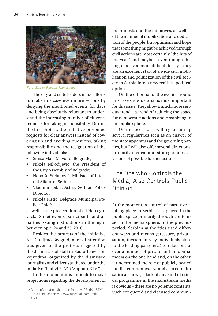

Foto: Marko Rupena, Kamerades

The city and state leaders made efforts to make this case even more serious by denying the mentioned events for days and being absolutely reluctant to understand the increasing number of citizens' requests for taking responsibility. During the first protest, the Initiative presented requests for clear answers instead of covering up and avoiding questions, taking responsibility and the resignation of the following individuals:

- Siniša Mali, Mayor of Belgrade;
- Nikola Nikodijević, the President of the City Assembly of Belgrade;
- Nebojša Stefanović, Minister of Internal Affairs of Serbia;
- Vladimir Rebić, Acting Serbian Police Director;
- Nikola Ristić, Belgrade Municipal Police Chief;

as well as the prosecution of all Hercegovačka Street events participants and all parties issuing instructions in the night between April 24 and 25, 2016.

Besides the protests of the initiative Ne Da(vi)mo Beograd, a lot of attention was given to the protests triggered by the dismissals of staff in Radio Television Vojvodina, organized by the dismissed journalists and citizens gathered under the initiative "Podrži RTV" ("Support RTV")18.

In this moment it is difficult to make projections regarding the development of the protests and the initiatives, as well as of the manner of mobilization and dedication of the people, but optimism and hope that something might be achieved through civil actions are most certainly "the hits of the year" and maybe – even though this might be even more difficult to say – they are an excellent start of a wide civil mobilization and politicization of the civil society in Serbia into a new realistic political option.

On the other hand, the events around this case show us what is most important for this issue. They show a much more serious trend - a trend of reducing the space for democratic actions and organizing in the public sphere.

On this occasion I will try to sum up several regularities seen as an answer of the state apparatus and the governing parties, but I will also offer several directions, primarily tactical and strategic ones, as visions of possible further actions.

# The One who Controls the Media, Also Controls Public Opinion

At the moment, a control of narrative is taking place in Serbia. It is placed in the public space primarily through contents set in the media sphere. In the previous period, Serbian authorities used different ways and means (pressure, privatisation, investments by individuals close to the leading party, etc.) to take control over a number of private and influential media on the one hand and, on the other, it undermined the role of publicly owned media companies. Namely, except for satirical shows, a lack of any kind of critical programme in the mainstream media is obvious – there are no polemic contents. Such conquered and cleansed communi-

<sup>18</sup> More information about the Initiative "Podrži RTV" is available on: https://www.facebook.com/PodrziRTV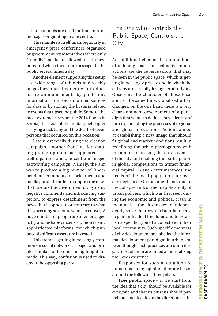cation channels are used for transmitting messages originating in one centre.

This manifests itself unambiguously in emergency press conferences organised by government representatives where only "friendly" media are allowed to ask questions and which then send messages to the public several times a day.

Another element supporting this setup is a wide range of tabloids and weekly magazines that frequently introduce future announcements by publishing information from well-informed sources for days or by stoking the hysteria related to events that upset the public. Some of the most extreme cases are the 2014 floods in Serbia, the crash of the military helicopter carrying a sick baby and the death of seven persons that occurred on this occasion.

Lately, especially during the election campaign, another frontline for shaping public opinion has appeared – a well-organised and one-centre-managed astroturfing campaign. Namely, the aim was to produce a big number of "independent" comments in social media and media portals in order to support the news that favours the government or, by using negative comments and introducing suspicion, to express detachment from the news that is opposite or contrary to what the governing structure wants to convey. A huge number of people are often engaged to try and reshape citizens' opinion t using sophisticated platforms, for which purpose significant assets are invested.

This trend is getting increasingly common on social networks as pages and profiles similar to the ones being fought are made. This way, confusion is used to discredit the opposing party.

# The One who Controls the Public Space, Controls the City

An additional element in the methods of reducing space for civil activism and actions are the repercussions that may be seen in the public space, which is getting increasingly private and in which the citizens are actually losing certain rights. Observing the character of those local and, at the same time, globalised urban changes, on the one hand there is a very clear dominant development of a paradigm that wants to define a new identity of the city, including the processes of regional and global integrations. Actions aimed at establishing a new image that should fit global and market conditions result in redefining the urban physiognomy with the aim of increasing the attractiveness of the city and enabling the participation in global competitions to attract financial capital. In such circumstances, the needs of the local population are usually neglected. On the other hand, due to the collapse and/or the inapplicability of urban policies, which was first seen during the economic and political crash in the nineties, the citizens try to independently solve their own existential needs, to gain individual freedoms and to establish a specific type of a collective in their local community. Such specific manners of city development are labelled the informal development paradigm in urbanism. Even though such practices are often illegal, most of them are aimed at normalizing their own existence.

Responses for such a situation are numerous. In my opinion, they are based around the following three pillars:

**Free public space** – if we start from the idea that a city should be available for everyone and that its citizens should participate and decide on the directions of its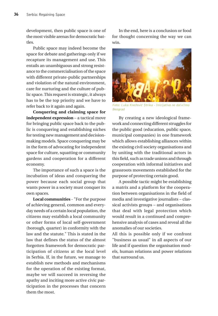development, then public space is one of the most visible arenas for democratic battles.

Public space may indeed become the space for debate and gatherings only if we recapture its management and use. This entails an unambiguous and strong resistance to the commercialisation of the space with different private-public partnerships and violation of the natural environment, care for nurturing and the culture of public space. This request is strategic, it always has to be the top priority and we have to refer back to it again and again.

**Conquering and claiming space for independent expression** – a tactical move for bringing public space back to the public is conquering and establishing niches for testing new management and decisionmaking models. Space conquering may be in the form of advocating for independent space for culture, squatting or community gardens and cooperation for a different economy.

The importance of such a space is the incubation of ideas and conquering the power because each social group that wants power in a society must conquer its own spaces.

**Local communities** - "For the purpose of achieving general, common and everyday needs of a certain local population, the citizens may establish a local community or other forms of local self-government (borough, quarter) in conformity with the law and the statute." This is stated in the law that defines the status of the almost forgotten framework for democratic participation of citizens at the local level in Serbia. If, in the future, we manage to establish new methods and mechanisms for the operation of the existing format, maybe we will succeed in reversing the apathy and inciting more active civic participation in the processes that concern them the most.

In the end, here is a conclusion or food for thought concerning the way we can win.



Foto: Luka Knežević Strika - Inicijativa ne da(vi)mo Beograd

By creating a new ideological framework and connecting different struggles for the public good (education, public space, municipal companies) in one framework which allows establishing alliances within the existing civil society organisations and by uniting with the traditional actors in this field, such as trade unions and through cooperation with informal initiatives and grassroots movements established for the purpose of protecting certain good.

A possible tactic might be establishing a matrix and a platform for the cooperation between organisations in the field of media and investigative journalists – classical activists groups – and organisations that deal with legal protection which would result in a continued and comprehensive analysis of cases and reveal all the anomalies of our societies.

All this is possible only if we confront "business as usual" in all aspects of our life and if question the organisation models, human relations and power relations that surround us.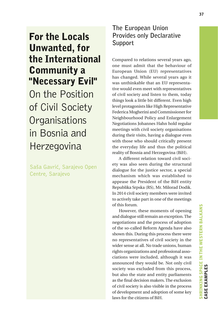# For the Locals Unwanted, for the International Community a "Necessary Evil"

On the Position of Civil Society **Organisations** in Bosnia and Herzegovina

Saša Gavrić, Sarajevo Open Centre, Sarajevo

# **The European Union Provides only Declarative Support**

Compared to relations several years ago, one must admit that the behaviour of European Union (EU) representatives has changed. While several years ago it was unthinkable that an EU representative would even meet with representatives of civil society and listen to them, today things look a little bit different. Even high level protagonists like High Representative Federica Mogherini and Commissioner for Neighbourhood Policy and Enlargement Negotiations Johannes Hahn hold regular meetings with civil society organisations during their visits, having a dialogue even with those who should critically present the everyday life and thus the political reality of Bosnia and Herzegovina (BiH).

A different relation toward civil society was also seen during the structural dialogue for the justice sector, a special mechanism which was established to appease the President of the BiH entity Republika Srpska (RS), Mr. Milorad Dodik. In 2014 civil society members were invited to actively take part in one of the meetings of this forum.

However, these moments of opening and dialogue still remain an exception. The negotiations and the process of adoption of the so-called Reform Agenda have also shown this. During this process there were no representatives of civil society in the wider sense at all. No trade unions, human rights organizations and professional associations were included, although it was announced they would be. Not only civil society was excluded from this process, but also the state and entity parliaments as the final decision makers. The exclusion of civil society is also visible in the process of development and adoption of some key laws for the citizens of BiH.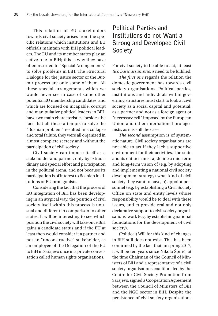This relation of EU stakeholders towards civil society arises from the specific relations which institutions and EU officials maintain with BiH political leaders. The EU and its member states play an active role in BiH; this is why they have often resorted to "Special Arrangements" to solve problems in BiH. The Structural Dialogue for the justice sector or the Butmir process are only some of them. All these special arrangements which we would never see in case of some other potential EU membership candidates, and which are focused on incapable, corrupt and manipulative political leaders in BiH, have two main characteristics: besides the fact that all these attempts to solve the "Bosnian problem" resulted in a collapse and total failure, they were all organized in almost complete secrecy and without the participation of civil society.

Civil society can impose itself as a stakeholder and partner, only by extraordinary and special effort and participation in the political arena, and not because its participation is of interest to Bosnian institutions or EU protagonists.

Considering the fact that the process of EU integration of BiH has been developing in an atypical way, the position of civil society itself within this process is unusual and different in comparison to other states. It will be interesting to see which position the civil society will take once BiH gains a candidate status and if the EU at least then would consider it a partner and not an "unconstructive" stakeholder, as an employee of the Delegation of the EU to BiH in Sarajevo once in a private conversation called human rights organisations.

# **Political Parties and Institutions do not Want a Strong and Developed Civil Society**

For civil society to be able to act, at least *two basic assumptions* need to be fulfilled.

*The first one* regards the relation the domestic government has towards civil society organisations. Political parties, institutions and individuals within governing structures must start to look at civil society as a social capital and potential, as a partner and not as a foreign agent or "necessary evil" imposed by the European Union and other international protagonists, as it is still the case.

*The second* assumption is of systematic nature. Civil society organisations are not able to act if they lack a supportive environment for their activities. The state and its entities must a) define a mid-term and long-term vision of (e.g. by adopting and implementing a national civil society development strategy) what kind of civil society they want to have, b) appoint personnel (e.g. by establishing a Civil Society Office on state and entity level) whose responsibility would be to deal with these issues, and c) provide real and not only declarative support to civil society organisations' work (e.g. by establishing national foundations for the development of civil society).

(Political) Will for this kind of changes in BiH still does not exist. This has been confirmed by the fact that, in spring 2017, it will be ten years since Nikola Špirić, at the time Chairman of the Council of Ministers of BiH and a representative of a civil society organisations coalition, led by the Centre for Civil Society Promotion from Sarajevo, signed a Cooperation Agreement between the Council of Ministers of BiH and the NGO sector in BiH. Despite the persistence of civil society organizations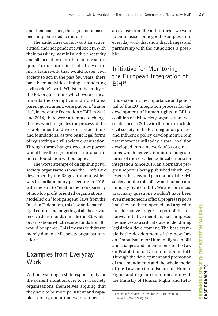and their coalitions, this agreement hasn't been implemented to this day.

The authorities do not want an active, critical and independent civil society. With their passivity, administrative inactivity and silence, they contribute to the status quo. Furthermore, instead of developing a framework that would foster civil society to act, in the past few years, there have been activities aiming at hindering civil society's work. Whilst in the entity of the RS, organisations which were critical towards the corruptive and non-transparent government, were put on a "traitor list", in the entity Federation of BiH in 2013 and 2014, there were attempts to change the law which regulates the process of the establishment and work of associations and foundations, as two basic legal forms of registering a civil society organisation. Through these changes, executive powers would have the right to abolish an association or foundation without appeal.

The worst attempt of disciplining civil society organisations was the Draft Law developed by the RS government, which was in parliamentary procedure in 2015, with the aim to "enable the transparency of not-for-profit oriented organisations". Modelled on "foreign agent" laws from the Russian Federation, this law anticipated a rigid control and targeting of all those who receive donor funds outside the RS, whilst organisations which receive funds from RS would be spared. This law was withdrawn merely due to civil society organisations' efforts.

# **Examples from Everyday Work**

Without wanting to shift responsibility for the current situation over to civil society organisations themselves arguing that they have to be more persistent and capable – an argument that we often hear as

an excuse from the authorities – we want to emphasise some good examples from everyday work that show that changes and partnership with the authorities is possible:

# Initiative for Monitoring the European Integration of BiH19

Understanding the importance and potential of the EU integration process for the development of human rights in BiH, a coalition of civil society organisations was established in 2012 with the aim to include civil society in the EU integration process and influence policy development. From that moment until today, a small coalition developed into a network of 30 organisations which actively monitor changes in terms of the so-called political criteria for integration. Since 2013, an alternative progress report is being published which represents the view and perception of the civil society on the rule of law and human and minority rights in BiH. We are convinced that many questions wouldn't have been even mentioned in official progress reports had they not been opened and argued in the alternative progress report of this Initiative. Initiative members have imposed themselves as a critical stakeholder during legislation development. The best example is the development of the new Law on Ombudsman for Human Rights in BiH and changes and amendments to the Law on Prohibition of Discrimination in BiH. Through the development and promotion of the amendments and the whole model of the Law on Ombudsman for Human Rights and regular communication with the Ministry of Human Rights and Refu-

<sup>19</sup> More information is available on the website www.eu-monitoring.ba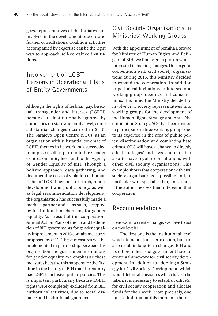gees, representatives of the Initiative are involved in the development process and further consultations. Coalition activities accompanied by expertise can be the right way to approach self-contained institutions.

## Involvement of LGBT Persons in Operational Plans of Entity Governments

Although the rights of lesbian, gay, bisexual, transgender and intersex (LGBTI) persons are institutionally ignored by authorities on state and entity level, some substantial changes occurred in 2015. The Sarajevo Open Centre (SOC), as an organisation with substantial coverage of LGBTI themes in its work, has succeeded to impose itself as partner to the Gender Centres on entity level and to the Agency of Gender Equality of BiH. Through a holistic approach, data gathering, and documenting cases of violation of human rights of LGBTI persons, research, report development and public policy, as well as legal recommendation development, the organisation has successfully made a mark as partner and is, as such, accepted by institutional mechanisms for gender equality. As a result of this cooperation, Annual Action Plans of the RS and Federation of BiH governments for gender equality improvement in 2016 contain measures proposed by SOC. These measures will be implemented in partnership between this organisation and government institutions for gender equality. We emphasise these measures because this happens for the first time in the history of BiH that the country has LGBTI-inclusive public policies. This is important particularly because LGBTI rights were completely excluded from BiH authorities' activities, due to social distance and institutional ignorance.

# Civil Society Organisations in Ministries' Working Groups

With the appointment of Semiha Borovac for Minister of Human Rights and Refugees of BiH, we finally got a person who is interested in making changes. Due to good cooperation with civil society organisations during 2015, this Ministry decided to expand the cooperation. In addition to periodical invitations to intersectoral working group meetings and consultations, this time, the Ministry decided to involve civil society representatives into working groups for the development of the Human Rights Strategy and Anti-Discrimination Strategy. SOC has been invited to participate in three working groups due to its expertise in the area of public policy, discrimination and combating hate crimes. SOC will have a chance to directly affect strategies' and laws' contents, but also to have regular consultations with other civil society organisations. This example shows that cooperation with civil society organisations is possible and, in particular with specialised organisations, if the authorities see their interest in that cooperation.

### **Recommendations**

If we want to create change, we have to act on two levels:

The first one is the institutional level which demands long-term action, but can also result in long-term changes. BiH and its different levels of government have to create a framework for civil society development. In addition to adopting a Strategy for Civil Society Development, which would define all measures which have to be taken, it is necessary to establish office(s) for civil society cooperation and allocate funds for their work. More precisely, one must admit that at this moment, there is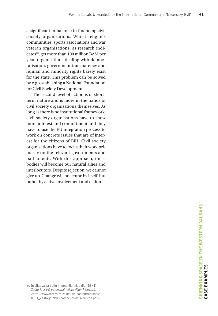a significant imbalance in financing civil society organisations. Whilst religious communities, sports associations and war veteran organisations, as research indicates<sup>20</sup>, get more than 100 million BAM per year, organisations dealing with democratisation, government transparency and human and minority rights barely exist for the state. This problem can be solved by e.g. establishing a National Foundation for Civil Society Development.

The second level of action is of shortterm nature and is more in the hands of civil society organisations themselves. As long as there is no institutional framework, civil society organisations have to show more interest and commitment and they have to use the EU integration process to work on concrete issues that are of interest for the citizens of BiH. Civil society organisations have to focus their work primarily on the relevant governments and parliaments. With this approach, these bodies will become our natural allies and interlocutors. Despite rejection, we cannot give up. Change will not come by itself, but rather by active involvement and action.

<sup>20</sup> Inicijativa za bolju i humaniju inkluziju (IBHI), Zašto je NVO potencijal neiskorišten? (2012), <http://www.mreza-mira.net/wp-content/uploads/ IBHI\_Zasto-je-NVO-potencijal-neiskoristen.pdf>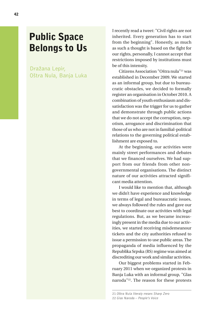# Public Space Belongs to Us

Dražana Lepir, Oštra Nula, Banja Luka I recently read a tweet: "Civil rights are not inherited. Every generation has to start from the beginning". Honestly, as much as such a thought is based on the fight for our rights, personally, I cannot accept that restrictions imposed by institutions must be of this intensity.

Citizens Association "Oštra nula"21 was established in December 2009. We started as an informal group, but due to bureaucratic obstacles, we decided to formally register an organisation in October 2010. A combination of youth enthusiasm and dissatisfaction was the trigger for us to gather and demonstrate through public actions that we do not accept the corruption, nepotism, arrogance and discrimination that those of us who are not in familial-political relations to the governing political establishment are exposed to.

At the beginning, our activities were mainly street performances and debates that we financed ourselves. We had support from our friends from other nongovernmental organisations. The distinct nature of our activities attracted significant media attention.

I would like to mention that, although we didn't have experience and knowledge in terms of legal and bureaucratic issues, we always followed the rules and gave our best to coordinate our activities with legal regulations. But, as we became increasingly present in the media due to our activities, we started receiving misdemeanour tickets and the city authorities refused to issue a permission to use public areas. The propaganda of media influenced by the Republika Srpska (RS) regime was aimed at discrediting our work and similar activities.

Our biggest problems started in February 2011 when we organized protests in Banja Luka with an informal group, "Glas naroda"22. The reason for these protests

<sup>21</sup> Oštra Nula literaly means Sharp Zero 22 Glas Naroda – People's Voice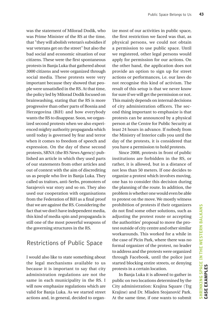was the statement of Milorad Dodik, who was Prime Minister of the RS at the time, that "they will abolish veteran's subsidies if war veterans get on the street" but also the bad social and economic situation of our citizens. These were the first spontaneous protests in Banja Luka that gathered about 3000 citizens and were organized through social media. These protests were very important because they showed that people were unsatisfied in the RS. At that time, the policy led by Milorad Dodik focused on brainwashing, stating that the RS is more progressive than other parts of Bosnia and Herzegovina (BiH) and how everybody wants the RS to disappear. Soon, we organized second protests when we also experienced mighty authority propaganda which until today is governed by fear and terror when it comes to freedom of speech and expression. On the day of these second protests, SRNA (the RS News Agency) published an article in which they used parts of our statements from other articles and out of context with the aim of discrediting us as people who live in Banja Luka. They called us traitors, anti-Serbs, promoters of Sarajevo's war story and so on. They also used our cooperation with organisations from the Federation of BiH as a final proof that we are against the RS. Considering the fact that we don't have independent media, this kind of media spin and propaganda is still one of the most powerful weapons of the governing structures in the RS.

### Restrictions of Public Space

I would also like to state something about the legal mechanisms available to us because it is important to say that city administration regulations are not the same in each municipality in the RS. I will now emphasize regulations which are valid for Banja Luka. As we started street actions and, in general, decided to organize most of our activities in public space, the first restriction we faced was that, as physical persons, we could not obtain a permission to use public space. Until we registered, other legal persons would apply for permission for our actions. On the other hand, the application does not provide an option to sign up for street actions or performances, i.e. our laws do not recognise this kind of activism. The result of this setup is that we never know for sure if we will get the permission or not. This mainly depends on internal decisions of city administration officers. The second thing important to emphasize is that protests can be announced by a physical person at the Centre for Public Security at least 24 hours in advance. If nobody from the Ministry of Interior calls you until the day of the protests, it is considered that you have a permission to hold protests.

Since 2008, protests in front of public institutions are forbidden in the RS, or rather, it is allowed, but in a distance of not less than 50 meters. If one decides to organize a protest which involves moving, one has to consider this decision during the planning of the route. In addition, the problem is whether one would even be able to protest on the move. We mostly witness prohibition of protests if their organizers do not find some other solutions, such as adjusting the protest route or accepting the authorities' proposal to move the protest outside of city centre and other similar workarounds. This worked for a while in the case of Picin Park, where there was no formal organizer of the protest, no leader to address and the protests were organized through Facebook, until the police just started blocking entire streets, or denying protests in a certain location.

In Banja Luka it is allowed to gather in public on two locations determined by the City administration: Krajina Square (Trg Krajine) and Dr. Mladen Stojanović Park. At the same time, if one wants to submit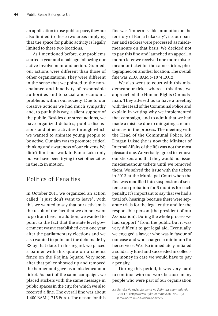an application to use public space, they are also limited to these two areas implying that the space for public activity is legally limited to these two locations.

As I mentioned before, our problems started a year and a half ago following our active involvement and action. Granted, our actions were different than those of other organizations. They were different in the sense that we pointed to the nonchalance and inactivity of responsible authorities and to social and economic problems within our society. Due to our creative actions we had much sympathy and, to put it this way, a silent support of the public. Besides our street actions, we have organized debates, public discussions and other activities through which we wanted to animate young people to be active. Our aim was to promote critical thinking and awareness of our citizens. We didn't limit our work to Banja Luka only but we have been trying to set other cities in the RS in motion.

### Politics of Penalties

In October 2011 we organized an action called "I just don't want to leave". With this we wanted to say that our activism is the result of the fact that we do not want to go from here. In addition, we wanted to point to the fact that the state level government wasn't established even one year after the parliamentary elections and we also wanted to point out the debt made by RS by that date. In this regard, we placed a banner with this quote on a cinema fence on the Krajina Square. Very soon after that police showed up and removed the banner and gave us a misdemeanour ticket. As part of the same campaign, we placed stickers with the same message in public spaces in the city, for which we also received a fine. The overall fine was about 1.400 BAM (~715 Euro). The reason for this fine was "impermissible promotion on the territory of Banja Luka City", i.e. our banner and stickers were processed as misdemeanours on that basis. We decided not to pay this fine and launched an appeal. A month later we received one more misdemeanour ticket for the same sticker, photographed on another location. The overall fine was 2.100 BAM (~1074 EUR).

We also went to court with this misdemeanour ticket whereas this time, we approached the Human Rights Ombudsman. They advised us to have a meeting with the Head of the Communal Police and explain in writing why we implemented that campaign, and to admit that we had made a mistake due to mitigating circumstances in the process. The meeting with the Head of the Communal Police, Mr. Dragan Lukač (he is now the Minister of Internal Affairs of the RS) was not the most pleasant one. We verbally agreed to remove our stickers and that they would not issue misdemeanour tickets until we removed them. We solved the issue with the tickets in 2013 at the Municipal Court when the fine was modified into suspension of sentence on probation for 6 months for each penalty. It's important to say that we had a total of 6 hearings because there were separate trials for the legal entity and for the responsible person (the president of our Association). During the whole process we had support<sup>23</sup> from the public but it was very difficult to get legal aid. Eventually, we engaged a lawyer who was in favour of our case and who charged a minimum for her services. We also immediately initiated a solidarity fund and succeeded in collecting money in case we would have to pay a penalty.

During this period, it was very hard to continue with our work because many people who were part of our organisation

<sup>23</sup> Uglješa Vuković, Ja samo ne želim da odem odavde (2011), <http://www.6yka.com/novost/14520/jasamo-ne-zelim-da-odem-odavde>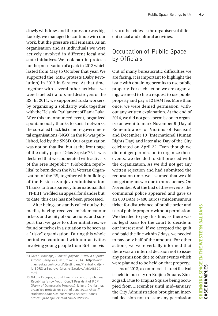slowly withdrew, and the pressure was big. Luckily, we managed to continue with our work, but the pressure still remains. As an organisation and as individuals we were actively involved in different local and state initiatives. We took part in protests for the preservation of a park in 2012 which lasted from May to October that year. We supported the JMBG protests (Baby Revolution) in 2013 in Sarajevo. At that time, together with several other activists, we were labelled traitors and destroyers of the RS. In 2014, we supported Tuzla workers, by organizing a solidarity walk together with the Helsinki Parliament of Banja Luka. After this unannounced event, organized spontaneously thanks to social networks, the so-called black list of non- governmental organisations (NGO) in the RS was published, led by the SNSD. Our organization was not on that list, but at the front page of the daily paper "Glas Srpske"24, it was declared that we cooperated with activists of the Free Republic<sup>25</sup> (Slobodna republika) to burn down the War Veteran Organization of the RS, together with buildings of the Eastern Sarajevo Administration. Thanks to Transparency International BiH (TI-BIH) we filed an appeal for slander but, to date, this case has not been processed.

After being constantly called out by the media, having received misdemeanour tickets and acuity of our actions, and support that we gave to other initiatives, we found ourselves in a situation to be seen as a "risky" organization. During this whole period we continued with our activities involving young people from BiH and visits to other cities as the organisers of different social and cultural activities.

### Occupation of Public Space by Officials

Out of many bureaucratic difficulties we are facing, it is important to highlight the issue with obtaining permits to use public property. For each action we are organizing, we need to file a request to use public property and pay a 12 BAM fee. More than once, we were denied permission, without any written explanation. At the end of 2014, we did not get a permission to organize an event to mark November 9 (Day of Remembrance of Victims of Fascism) and December 10 (International Human Rights Day) and later also Day of the City celebrated on April 22. Even though we did not get permission to organize these events, we decided to still proceed with the organization. As we did not get any written rejection and had submitted the request on time, we assumed that we did not get any answer due to bureaucracy. On November 9, at the first of these events, the communal police appeared and gave us an 800 BAM (~400 Euros) misdemeanour ticket for disturbance of public order and use of public property without permission. We decided to pay this fine, as there was no legal basis for the court to decide in our interest and, if we accepted the guilt and paid the fine within 7 days, we needed to pay only half of the amount. For other actions, we were verbally informed that there was an internal decision not to issue any permission due to other events which were planned to be held on that property.

 As of 2013, a commercial street festival is held in our city on Krajina Square, Zimzograd. Due to Krajina Square being occupied from December until mid–January, the City Administration brought an internal decision not to issue any permission

<sup>24</sup> Goran Maunaga, Planirali paljenje BORS-a i uprave Istočno Sarajevo, Glas Srpske, (2014), http://www. glassrpske.com/novosti/vijesti\_dana/Planirali-paljenje-BORS-a-i-uprave-Istocno-Sarajevo/lat/148329. html

<sup>25</sup> Nikola Dronjak, at that time President of Slobodna Republika is now Youth Coucil President of PDP (Party of Democratic Progress). Nikola Dronjak has organized protests on 12th of June 2013 <http:// studomat.ba/uprkos-zabranama-studenti-danasprotestuju-banjaluckim-ulicama/12238/>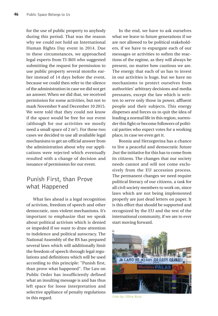for the use of public property to anybody during this period. That was the reason why we could not hold an International Human Rights Day event in 2014. Due to these circumstances, we approached legal experts from TI-BiH who suggested submitting the request for permission to use public property several months earlier instead of 14 days before the event, because we could then refer to the silence of the administration in case we did not get an answer. When we did that, we received permission for some activities, but not to mark November 9 and December 10 2015. We were told that they could not know if the space would be free for our event (although for our activities we mostly need a small space of 2  $\mathrm{m}^{2}$ ). For these two cases we decided to use all available legal mechanisms to get an official answer from the administration about why our applications were rejected which eventually resulted with a change of decision and issuance of permission for our event.

### Punish First, than Prove what Happened

What lies ahead is a legal recognition of activism, freedom of speech and other democratic, non-violent mechanisms. It's important to emphasize that we speak about political activism which is denied or impeded if we want to draw attention to indolence and political autocracy. The National Assembly of the RS has prepared several laws which will additionally limit the freedom of speech through legal regulations and definitions which will be used according to this principle: "Punish first, than prove what happened". The Law on Public Order has insufficiently defined what an insulting message is and has thus left space for loose interpretation and selective appliance of penalty regulations in this regard.

In the end, we have to ask ourselves what we leave to future generations if we are not allowed to be political stakeholders, if we have to expurgate each of our messages or activities to soften the reactions of the regime, as they will always be present, no matter how cautious we are. The energy that each of us has to invest in our activities is huge, but we have no mechanisms to protect ourselves from authorities' arbitrary decisions and media pressures, except the law which is written to serve only those in power, affluent people and their subjects. This energy disperses and forces us to quit the idea of leading a normal life in this region, surrender this fight or become followers of political parties who expect votes for a working place, in case we even get it.

Bosnia and Herzegovina has a chance to live a peaceful and democratic future ,but the initiative for this has to come from its citizens. The changes that our society needs cannot and will not come exclusively from the EU accession process. The permanent changes we need require political literacy of our citizens, a task for all civil society members to work on, since laws which are not being implemented properly are just dead letters on paper. It is this effort that should be supported and recognized by the EU and the rest of the international community, if we are to ever start moving forward.



Foto by: Oštra Nula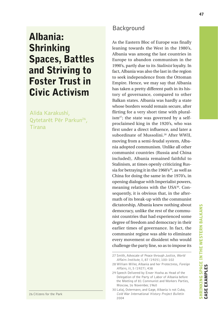# Albania: Shrinking Spaces, Battles and Striving to Foster Trust in Civic Activism

Alida Karakushi, Qytetarët Për Parkun<sup>26</sup>, Tirana

26 Citizens for the Park

### Background

As the Eastern Bloc of Europe was finally leaning towards the West in the 1980's, Albania was among the last countries in Europe to abandon communism in the 1990's, partly due to its *Stalinist* loyalty. In fact, Albania was also the last in the region to seek independence from the Ottoman Empire. Hence, we may say that Albania has taken a pretty different path in its history of governance, compared to other Balkan states. Albania was hardly a state whose borders would remain secure, after flirting for a very short time with plural $ism<sup>27</sup>$ ; the state was governed by a selfproclaimed king in the 1920's, who was first under a direct influence, and later a subordinate of Mussolini.28 After WWII, moving from a semi-feudal system, Albania adopted communism. Unlike all other communist countries (Russia and China included), Albania remained faithful to Stalinism, at times openly criticizing Russia for betraying it in the 1960's<sup>29</sup>, as well as China for doing the same in the 1970's, in opening dialogue with Imperialist powers, meaning relations with the USA30. Consequently, it is obvious that, in the aftermath of its break-up with the communist dictatorship, Albania knew nothing about democracy, unlike the rest of the communist countries that had experienced some degree of freedom and democracy in their earlier times of governance. In fact, the communist regime was able to eliminate every movement or dissident who would challenge the party line, so as to impose its

<sup>27</sup> Smith, Advocate of Peace through Justice, World Affairs Institute, ii, 87 (1925), 100–102

<sup>28</sup> William Miller, Albania and her Protectress, Foreign Affairs, iii, 5 (1927), 438

<sup>29</sup> Speech Delivered by Enver Hoxha as Head of the Delegation of the Party of Labor of Albania before the Meeting of 81 Communist and Workers Parties, Moscow, 16 November, 1960

<sup>30</sup> Lalaj, Ostermann, and Gage, Albania is not Cuba, Cold War International History Project Bulletin 2004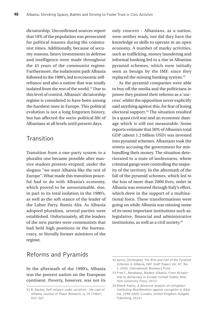dictatorship. Unconfirmed sources report that 18% of the population was persecuted for political reasons during the communist times. Additionally, because of security reasons, heavy investments in defense and intelligence were made throughout the 45 years of the communist regime. Furthermore, the isolationist path Albania followed in the 1980's, led to economic selfreliance and also a nation that was totally isolated from the rest of the world.31 Due to this level of control, Albania's' dictatorship regime is considered to have been among the harshest ones in Europe. This political evolution is not a long forgotten history, but has affected the socio-political life of Albanians at all levels until present days.

#### **Transition**

Transition from a one-party system to a pluralist one became possible after massive student protests erupted, under the slogans "we want Albania like the rest of Europe". What made this transition peaceful had to do with Albania's economy, which proved to be unsustainable, due, in part to its total isolation in the 1980's, as well as the soft stance of the leader of the Labor Party, Ramiz Alia. As Albania adopted pluralism, several parties were established. Unfortunately, all the leaders of the new parties were communists that had held high positions in the bureaucracy, or literally former ministers of the regime.

only concern - Albanians, as a nation, were neither ready, nor did they have the knowledge or skills to operate in an open economy. A number of murky activities, such as trafficking, money laundering and informal banking led to a rise in Albanian pyramid schemes, which were initially seen as benign by the IMF, since they replaced the missing banking system.32

As the pyramid companies were able to buy off the media and the politicians in power they praised their reforms as a 'success', whilst the opposition never explicitly said anything against this, for fear of losing electoral support.<sup>33</sup> The situation resulted in a quasi civil war and an economic damage which is still not measurable. Some reports estimate that 50% of Albania's total GDP (about 1.2 billion USD) was invested into pyramid schemes. Albanians took the streets accusing the government for mishandling their money. The situation deteriorated to a state of lawlessness, where criminal gangs were controlling the majority of the territory. In the aftermath of the fall of the pyramid schemes, which led to the loss of more than 2000 lives, order in Albania was restored through Italy's effort, which drew in the support of a multinational force. These transformations were going on while Albania was missing some of its most important institutions such as: legislative, financial and administrative institutions, as well as a civil society.34

### Reforms and Pyramids

In the aftermath of the 1990's, Albania was the poorest nation on the European continent. Poverty, however, was not its

<sup>31</sup> B. Backer, Self-reliance under socialism - the case of Albania, Journal of Peace Research, iv, 19 (1982), 355–367.

<sup>32</sup> Jarvis, Christopher, The Rise and Fall of the Pyramid Schemes in Albania, IMF Staff Papers Vol. 47, No. 1. 2000. International Monetary Fund

<sup>33</sup> Fred C. Abrahams, Modern Albania: From dictatorship to democracy in Europe (United States: New York University Press, 2015)

<sup>34</sup> Blendi Kajsiu, A discourse analysis of corruption: Instituting Neoliberalism against corruption in Albania, 1998-2005 (London, United Kingdom: Ashgate Publishing, 2015)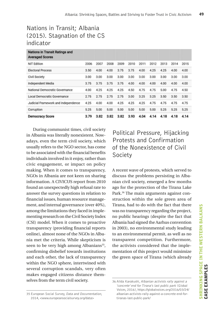# Nations in Transit; Albania (2015). Stagnation of the CS indicator

| Nations in Transit Ratings and<br><b>Averaged Scores</b> |      |      |      |      |      |      |      |      |      |      |
|----------------------------------------------------------|------|------|------|------|------|------|------|------|------|------|
| <b>NIT Edition</b>                                       | 2006 | 2007 | 2008 | 2009 | 2010 | 2011 | 2012 | 2013 | 2014 | 2015 |
| <b>Electoral Process</b>                                 | 3.50 | 4.00 | 4.00 | 3.75 | 3.75 | 4.00 | 4.25 | 4.25 | 4.00 | 4.00 |
| Civil Society                                            | 3.00 | 3.00 | 3.00 | 3.00 | 3.00 | 3.00 | 3.00 | 3.00 | 3.00 | 3.00 |
| Independent Media                                        | 3.75 | 3.75 | 3.75 | 3.75 | 4.00 | 4.00 | 4.00 | 4.00 | 4.00 | 4.00 |
| National Democratic Governance                           | 4.00 | 4.25 | 4.25 | 4.25 | 4.50 | 4.75 | 4.75 | 5.00 | 4.75 | 4.50 |
| Local Democratic Governance                              | 2.75 | 2.75 | 2.75 | 2.75 | 3.00 | 3.25 | 3.25 | 3.50 | 3.50 | 3.50 |
| Judicial Framework and Independence                      | 4.25 | 4.00 | 4.00 | 4.25 | 4.25 | 4.25 | 4.75 | 4.75 | 4.75 | 4.75 |
| Corruption                                               | 5.25 | 5.00 | 5.00 | 5.00 | 5.00 | 5.00 | 5.00 | 5.25 | 5.25 | 5.25 |
| <b>Democracy Score</b>                                   | 3.79 | 3.82 | 3.82 | 3.82 | 3.93 | 4.04 | 4.14 | 4.18 | 4.18 | 4.14 |

During communist times, civil society in Albania was literally nonexistent. Nowadays, even the term civil society, which usually refers to the NGO sector, has come to be associated with the financial benefits individuals involved in it enjoy, rather than civic engagement, or impact on policy making. When it comes to transparency, NGOs in Albania are not keen on sharing information. A CIVICUS report from 2010 found an unexpectedly high refusal rate to answer the survey questions in relation to financial issues, human resource management, and internal governance (over 40%), among the limitations they faced in implementing research on the Civil Society Index (CSI) model. When it comes to proactive transparency (providing financial reports online), almost none of the NGOs in Albania met the criteria. While skepticism is seen to be very high among Albanians<sup>35</sup>, confirming disbelief towards institutions and each other, the lack of transparency within the NGO sphere, intertwined with several corruption scandals, very often makes engaged citizens distance themselves from the term civil society.

# Political Pressure, Hijacking Protests and Confirmation of the Nonexistence of Civil Society

A recent wave of protests, which served to discuss the problems persisting in Albanian civil society, emerged a few months ago for the protection of the Tirana Lake Park.36 The main arguments against construction within the sole green area of Tirana, had to do with the fact that there was no transparency regarding the project, no public hearings (despite the fact that Albania had signed the Aarhus convention in 2003), no environmental study leading to an environmental permit, as well as no transparent competition. Furthermore, the activists considered that the implementation of this project would minimize the green space of Tirana (which already

<sup>36</sup> Alida Karakushi, Albanian activists rally against a 'concrete' end for Tirana's last public park (Global Voices, 2016), https://globalvoices.org/2016/03/24/ albanian-activists-rally-against-a-concrete-end-fortiranas-last-public-park/

<sup>35</sup> European Social Survey, Data and Documentation, 2014, <www.europeansocialsurvey.org/data>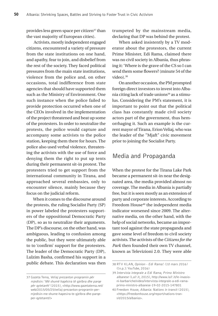provides less green space per citizen<sup>37</sup> than the vast majority of European cities).

 Activists, mostly independent engaged citizens, encountered a variety of pressure from the state institutions on one hand, and apathy, fear to join, and disbelief from the rest of the society. They faced political pressures from the main state institutions, violence from the police and, on other occasions, total indifference from state agencies that should have supported them such as the Ministry of Environment. One such instance when the police failed to provide protection occurred when one of the CEOs involved in the implementation of the project threatened and beat up some of the protesters. In order to neutralize the protests, the police would capture and accompany some activists to the police station, keeping them there for hours. The police also used verbal violence, threatening the activists with the use of force and denying them the right to put up tents during their permanent sit-in protest. The protesters tried to get support from the international community in Tirana, and approached several embassies, only to encounter silence, mainly because they focus on the judicial reform.

When it comes to the discourse around the protests, the ruling Socialist Party (SP) in power labeled the protesters supporters of the oppositional Democratic Party (DP), so as to neutralize their arguments. The DP's discourse, on the other hand, was ambiguous, leading to confusion among the public, but they were ultimately able to to 'confirm' support for the protesters. The leader of the Democratic Party (DP), Lulzim Basha, confirmed his support in a public debate. This declaration was then trumpeted by the mainstream media, declaring that DP was behind the protest.

When asked insistently by a TV moderator about the protestors, the current Prime Minister, Edi Rama, claimed there was no civil society in Albania, thus phrasing it: 'Where is the grave of the CS so I can send them some flowers? (minute 54 of the video).<sup>38</sup>

On another occasion, the PM prompted foreign direct investors to invest into Albania citing lack of trade unions<sup>39</sup> as a stimulus. Considering the PM's statement, it is important to point out that the political class has constantly made civil society actors part of the government, thus hemorrhaging it. Such an example is the current mayor of Tirana, Erion Veliaj, who was the leader of the "Mjaft" civic movement prior to joining the Socialist Party.

#### Media and Propaganda

When the protest for the Tirana Lake Park became a permanent sit-in near the designated area, the media provided almost no coverage. The media in Albania is partially free, but it is seen mostly as an extension of party and corporate interests. According to Freedom House<sup>40</sup> the independent media indicator worsened since 2009. The alternative media, on the other hand, with the help of social networks, became an important tool against the state propaganda and gave some level of freedom to civil society activists. The activists of the *Citizens for the Park* then founded their own TV channel, known as Televizioni 2.0. They were able

<sup>37</sup> Gazeta Tema, Veliaj prezanton programin për mjedisin: 'Më shumë hapësira të gjelbra dhe parqe për qytetarët' (2015), <http://www.gazetatema.net/ web/2015/05/25/veliaj-prezanton-programin-permjedisin-me-shume-hapesira-te-gjelbra-dhe-parqeper-qytetaret/>

<sup>38</sup> RTV KLAN, Opinion - Edi Rama! (10 mars 2016) ([n.p.]: YouTube, 2016)

<sup>39</sup> Intervista integrale a Edi Rama, Primo Ministro albanese (La7.it, 2015), http://www.la7.it/le-invasioni-barbariche/video/intervista-integrale-a-edi-ramaprimo-ministro-albanese-19-02-2015-147801

<sup>40</sup> Freedom House, Albania: Nations in transit (2015), <https://freedomhouse.org/report/nations-transit/2015/albania>.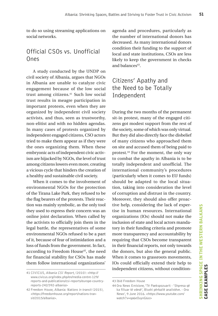to do so using streaming applications on social networks.

### Official CSOs vs. Unofficial Ones

A study conducted by the UNDP on civil society of Albania, argues that NGOs in Albania are unable to catalyze civic engagement because of the low social trust among citizens.<sup>41</sup> Such low social trust results in meagre participation in important protests, even when they are organized by independent civil society activists, and thus, seen as trustworthy, non-elitist and with no hidden agendas. In many cases of protests organized by independent engaged citizens, CSO actors tried to make them appear as if they were the ones organizing them. When these embryonic acts of independent civic activism are hijacked by NGOs, the level of trust among citizens lowers even more, creating a vicious cycle that hinders the creation of a healthy and sustainable civil society.

When it comes to the involvement of environmental NGOs for the protection of the Tirana Lake Park, they refused to be the flag bearers of the protests. Their reaction was mainly symbolic, as the only tool they used to express their concern was an online joint declaration. When called by the activists to officially join them in the legal battle, the representatives of some environmental NGOs refused to be a part of it, because of fear of intimidation and a loss of funds from the government. In fact, according to Freedom House<sup>42</sup>, the need for financial stability for CSOs has made them follow international organizations'

agenda and procedures, particularly as the number of international donors has decreased. As many international donors condition their funding to the support of local and state institutions, CSOs are less likely to keep the government in checks and balances<sup>43</sup>.

# Citizens' Apathy and the Need to be Totally Independent

During the two months of the permanent sit-in protest, many of the engaged citizens got modest support from the rest of the society, some of which was only virtual. But they did also directly face the disbelief of many citizens who approached them on site and accused them of being paid to protest.44 For the moment, the only way to combat the apathy in Albania is to be totally independent and unofficial. The international community's procedures (particularly when it comes to EU funds) should be adapted to the local situation, taking into consideration the level of corruption and distrust in the country. Moreover, they should also offer proactive help, considering the lack of expertise in human resources. International organizations (IOs) should not make the inclusion of state and local actors mandatory in their funding criteria and promote more transparency and accountability by requiring that CSOs become transparent in their financial reports, not only towards the donors, but also the general public. When it comes to grassroots movements, IOs could officially extend their help to independent citizens, without condition-

<sup>41</sup> CIVICUS, Albania CSI Report, (2010): <http:// www.civicus.org/index.php/en/media-centre-129/ reports-and-publications/csi-reports/europe-countryreports-242/392-albania>

<sup>42</sup> Freedom House, Albania: Nations in transit (2015), <https://freedomhouse.org/report/nations-transit/2015/albania>.

<sup>43</sup> Ibid Freedom House

<sup>44</sup> Ora News Emisione, 'Të Paekspozuarit - 'Shpresa që ka filluar të vdesë', Blushi përballë analistëve. - Ora News', 9 June 2016. <https://www.youtube.com/ watch?v=qa6eOuynG6o>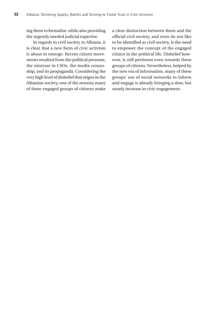ing them to formalize, while also providing the urgently needed judicial expertise.

In regards to civil society in Albania, it is clear that a new form of civic activism is about to emerge. Recent citizen movements resulted from the political pressure, the mistrust in CSOs, the media censorship, and its propaganda. Considering the very high level of disbelief that reigns in the Albanian society, one of the reasons many of these engaged groups of citizens make a clear distinction between them and the official civil society, and even do not like to be identified as civil society, is the need to empower the concept of the engaged citizen in the political life. Disbelief however, is still pertinent even towards these groups of citizens. Nevertheless, helped by the new era of information, many of these groups' use of social networks to inform and engage is already bringing a slow, but steady increase in civic engagement.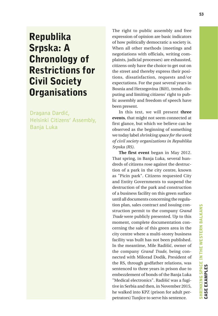# Republika Srpska: A Chronology of Restrictions for Civil Society **Organisations**

Dragana Dardić, Helsinki Citizens' Assembly, Banja Luka

The right to public assembly and free expression of opinion are basic indicators of how politically democratic a society is. When all other methods (meetings and negotiations with officials, writing complaints, judicial processes) are exhausted, citizens only have the choice to get out on the street and thereby express their positions, dissatisfaction, requests and/or expectations. For the past several years in Bosnia and Herzegovina (BiH), trends disputing and limiting citizens' right to public assembly and freedom of speech have been present.

In this text, we will present **three events**, that might not seem connected at first glance, but which we believe can be observed as the beginning of something we today label *shrinking space for the work of civil society organizations in Republika Srpska (RS).*

**The first event** began in May 2012. That spring, in Banja Luka, several hundreds of citizens rose against the destruction of a park in the city centre, known as "Picin park". Citizens requested City and Entity Governments to suspend the destruction of the park and construction of a business facility on this green surface until all documents concerning the regulation plan, sales contract and issuing construction permit to the company *Grand Trade* were publicly presented. Up to this moment, complete documentation concerning the sale of this green area in the city centre where a multi-storey business facility was built has not been published. In the meantime, Mile Radišić, owner of the company *Grand Trade*, being connected with Milorad Dodik, President of the RS, through godfather relations, was sentenced to three years in prison due to embezzlement of bonds of the Banja Luka "Medical electronics". Radišić was a fugitive in Serbia and then, in November 2015, he walked into KPZ (prison for adult perpetrators) Tunjice to serve his sentence.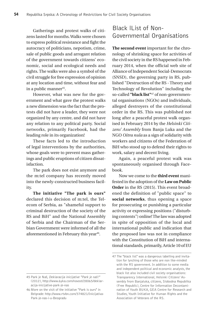Gatherings and protest walks of citizens lasted for months. Walks were chosen to express political resistance and fight the autocracy of politicians, nepotism, crime, sale of public goods and arrogant relation of the government towards citizens' economic, social and ecological needs and rights. The walks were also a symbol of the civil struggle for free expression of opinion at any location and time, without fear and in a public manner<sup>45</sup>.

However, what was new for the government and what gave the protest walks a new dimension was the fact that the protests did not have a leader, they were not organized by any centre, and did not have any relation to any political party. Social networks, primarily Facebook, had the leading role in its organization!

These facts led to the introduction of legal interventions by the authorities, whose goals were to prevent mass gatherings and public eruptions of citizen dissatisfaction.

The park does not exist anymore and the m:tel company has recently moved into the newly-constructed business facility.

**The initiative "The park is ours"** declared this decision of m:tel, the Telecom of Serbia, as "shameful support to criminal destruction of the society of the RS and BiH" and the National Assembly of Serbia and the Chairman of the Serbian Government were informed of all the aforementioned in February this year<sup>46</sup>.

# Black lList of Non-Governmental Organisations

**The second event** important for the chronology of shrinking space for activities of the civil society in the RS happened in February 2014, when the official web site of Alliance of Independent Social-Democrats (SNSD), the governing party in RS, published "Destruction of the RS - Theory and Technology of Revolution" including the so-called **"black list"**47 of non-governmental organisations (NGOs) and individuals, alleged destroyers of the constitutional order in the RS. This was published not long after a peaceful protest walk organised in February 2014 by the *Helsinki Citizens' Assembly* from Banja Luka and the NGO *Oštra nula* as a sign of solidarity with workers and citizens of the Federation of BiH who stood up to defend their rights to work, salary and decent living.

Again, a peaceful protest walk was spontaneously organised through Facebook.

Now we come to the **third event** manifested in the adoption of the **Law on Public Order** in the RS (2015). This event broadened the definition of "public space" to **social networks**, thus opening a space for prosecuting or punishing a particular activity or expressing positions ("disturbing contents") online! The law was adopted in spite of opposition of the local and international public and indication that the proposed law was not in compliance with the Constitution of BiH and international standards, primarily, Article 10 of EU

<sup>45</sup> Park je Naš, Deklaracija inicijative "Park je naš!" (2012), http://www.6yka.com/novost/28065/deklaracija-inicijative-park-je-nas

<sup>46</sup> More on the visit of the initiative "Park is ours" in Belgrade: http://www.rtvbn.com/374821/Inicijativa-Park-je-nas-i-u-Beogradu

<sup>47</sup> The "black list" was a dangerous labelling and invitation for lynching of those who are non like-minded with the RS government. In addition to some media and independent political and economic analysts, the black list also included civil society organisations: Transparency International, Helsinki Citizens' Assembly from Banjaluka, citizens, Slobodna Republika (Free Republic), Centre for Information Decontamination of Youth BUKA, GEA Centre for Research and Studies, Youth Initiative for Human Rights and the Association of Veterans of the RS.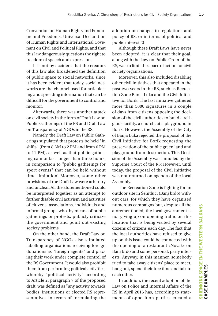Convention on Human Rights and Fundamental Freedoms, Universal Declaration of Human Rights and International Covenant on Civil and Political Rights, and that this law dangerously questions the right to freedom of speech and expression.

It is not by accident that the creators of this law also broadened the definition of public space to social networks, since it has been evident that today, social networks are the channel used for articulating and spreading information that can be difficult for the government to control and monitor.

Afterwards, there was another attack on civil society in the form of Draft Law on Public Gatherings of the RS and Draft Law on Transparency of NGOs in the RS.

Namely, the Draft Law on Public Gatherings stipulated that protests be held "in shifts" (from 8 AM to 2 PM and from 6 PM to 11 PM), as well as that public gathering cannot last longer than three hours, in comparison to "public gatherings for sport events" that can be held without time limitation! Moreover, some other provisions of the Draft Law were arbitrary and unclear. All the aforementioned could be interpreted together as an attempt to further disable civil activism and activities of citizens' associations, individuals and informal groups who, by means of public gatherings or protests, publicly criticize the government and point out existing society problems.

On the other hand, the Draft Law on Transparency of NGOs also stipulated labelling organisations receiving foreign donations as "foreign agents" and placing their work under complete control of the RS Government. It would also prohibit them from performing political activities, whereby "political activity" according to Article 2, paragraph 7 of the proposed draft, was defined as "any activity towards bodies, institutions or elected RS representatives in terms of formulating the adoption or changes to regulations and policy of RS, or in terms of political and public interest"?!

Although these Draft Laws have never been adopted, it is clear that their goal, along with the Law on Public Order of the RS, was to limit the space of action for civil society organisations.

Moreover, this also included disabling other civil initiatives that appeared in the past two years in the RS, such as Recreation Zone Banja Luka and the Civil Initiative for Borik. The last initiative gathered more than 5000 signatures in a couple of days from citizens opposing the decision of the civil authorities to build a religious facility, a church, at a playground in Borik. However, the Assembly of the City of Banja Luka rejected the proposal of the Civil Initiative for Borik requesting the preservation of the public green land and playground from destruction. This Decision of the Assembly was annulled by the Supreme Court of the RS! However, until today, the proposal of the Civil Initiative was not returned on agenda of the local Assembly.

The Recreation Zone is fighting for an outdoor site in Šehitluci (Banj brdo) without cars, for which they have organised numerous campaigns but, despite all the aforementioned, the local government is not giving up on opening traffic on this location that is being visited by several dozens of citizens each day. The fact that the local authorities have refused to give up on this issue could be connected with the opening of a restaurant «Novak» on Banj brdo and some personal, party interests. Anyway, in this manner, somebody tried to take away citizens' place to meet, hang out, spend their free time and talk to each other.

In addition, the recent adoption of the Law on Police and Internal Affairs of the RS in April 2016 has, according to statements of opposition parties, created a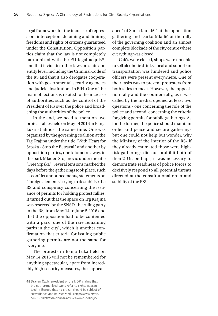legal framework for the increase of repression, interception, detaining and limiting freedoms and rights of citizens guaranteed under the Constitution. Opposition parties claim that the law is not completely harmonized with the EU legal acquis<sup>48</sup>, and that it violates other laws on state and entity level, including the Criminal Code of the RS and that it also derogates cooperation with governmental security agencies and judicial institutions in BiH. One of the main objections is related to the increase of authorities, such as the control of the President of RS over the police and broadening the authorities of the police.

In the end, we need to mention two protest rallies held on May 14 2016 in Banja Luka at almost the same time. One was organized by the governing coalition at the Trg Krajina under the title "With Heart for Srpska - Stop the Betrayal" and another by opposition parties, one kilometre away, in the park Mladen Stojanović under the title "Free Srpska". Several tensions marked the days before the gatherings took place, such as conflict announcements, statements on "foreign elements" trying to destabilise the RS and conspiracy concerning the issuance of permits for holding protest rallies. It turned out that the space on Trg Krajina was reserved by the SNSD, the ruling party in the RS, from May 14 to June 5 2016 and that the opposition had to be contented with a park (one of the rare remaining parks in the city), which is another confirmation that criteria for issuing public gathering permits are not the same for everyone.

The protests in Banja Luka held on May 14 2016 will not be remembered for anything spectacular, apart from incredibly high security measures, the "appearance" of Sonja Karadžić at the opposition gathering and Darko Mladić at the rally of the governing coalition and an almost complete blockade of the city centre where everything was closed.

Cafés were closed, shops were not able to sell alcoholic drinks, local and suburban transportation was hindered and police officers were present everywhere. One of their tasks was to prevent protesters from both sides to meet. However, the opposition rally and the counter-rally, as it was called by the media, opened at least two questions - one concerning the role of the police and second, concerning the criteria for giving permits for public gatherings. As for the former, the police should maintain order and peace and secure gatherings but one could not help but wonder, why the Ministry of the Interior of the RS- if they already estimated those were highrisk gatherings-did not prohibit both of them?! Or, perhaps, it was necessary to demonstrate readiness of police forces to decisively respond to all potential threats directed at the constitutional order and stability of the RS?!

<sup>48</sup> Dragan Čavić, president of the NDP, claims that the not harmonised parts refer to rights guaranteed in Europe that no citizen should be subject of surveillance and be recorded. <http://www.rtvbn. com/369892/Sta-donosi-novi-Zakon-o-policiji>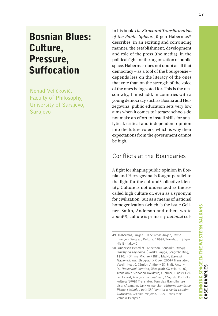# Bosnian Blues: Culture, Pressure, Suffocation

Nenad Veličković, Faculty of Philosophy, University of Sarajevo, Sarajevo

In his book *The Structural Transformation*  of the Public Sphere, Jürgen Habermas<sup>49</sup> describes, in an exciting and convincing manner, the establishment, development and role of the press (the media), in the political fight for the organization of public space. Habermas does not doubt at all that democracy – as a tool of the bourgeoisie – depends less on the literacy of the ones that vote than on the strength of the voice of the ones being voted for. This is the reason why, I must add, in countries with a young democracy such as Bosnia and Herzegovina, public education sets very low aims when it comes to literacy; schools do not make an effort to install skills for analytical, critical and independent opinion into the future voters, which is why their expectations from the government cannot be high.

#### Conflicts at the Boundaries

A fight for shaping public opinion in Bosnia and Herzegovina is fought parallel to the fight for the cultural/collective identity. Culture is not understood as the socalled high culture or, even as a synonym for civilization, but as a means of national homogenization (which is the issue Gellner, Smith, Anderson and others wrote about50); culture is primarily *national* cul-

<sup>49</sup> (Habermas, Jurgen) Habernmas Jirgen, Javno mnenje, (Beograd, Kultura, 1969), Translator: Gligorije Ernjaković

<sup>50</sup> (Anderson Benedict) Anderson, Benedikt, Nacija, izmišljena zajednica, Školska knjiga, (Zagreb: Bilig, 1990); (Billing, Michael) Bilig, Majkl, Banalni Nacionalizam, (Beograd: XX vek, 2009) Translator: Veselin Kostić; (Smith, Anthony D) Smit, Antony D., Nacionalni identitet, (Beograd: XX vek, 2010), Translator: Slobodan Đorđević; (Gellner, Ernest) Gelner Ernest, Nacije i nacionalizam, (Zagreb: Politička kultura, 1998) Translator: Tomislav Gamulin; see also: (Assmann, Jan) Asman Jan, Kulturno pamćenje, Pismo, sjećanje i politički identitet u ranim visokim kulturama, (Zenica: Vrijeme, 2005) Translator: Vahidin Preljević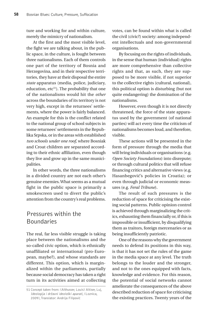ture and working for and within culture, merely the mimicry of nationalism.

At the first and the most visible level, the fight we are talking about, in the public space, in the culture, is fought between three nationalisms. Each of them controls one part of the territory of Bosnia and Herzegovina, and in their respective territories, they have at their disposal the entire *state* apparatus (media, police, judiciary, education, etc<sup>51</sup>). The probability that one of the nationalisms would hit the *other* across the boundaries of its territory is not very high, except in the returnees' settlements, where the power is fairly balanced. An example for this is the conflict related to the national group of school subjects in some returnees' settlements in the Republika Srpska, or in the areas with established *two schools under one roof*, where Bosniak and Croat children are separated according to their ethnic affiliation, even though they live and grow up in the same municipalities.

In other words, the three nationalisms in a divided country are not each other's genuine enemies. What seems as a mutual fight in the public space is primarily a smokescreen used to divert the public's attention from the country's real problems.

# Pressures within the Boundaries

The real, far less visible struggle is taking place between the nationalisms and the so-called civic option, which is ethnically unaffiliated or international (pro-European, maybe?), and whose standards are different. This option, which is marginalized within the parliaments, partially because social democracy has taken a right turn in its activities aimed at collecting votes, can be found within what is called the civil (civic?) society: among independent intellectuals and non-governmental organisations.

By focusing on the rights of individuals, in the sense that human (individual) rights are more comprehensive than collective rights and that, as such, they are supposed to be more visible, if not superior to the collective rights (cultural, national), this political option is disturbing (but not quite endangering) the domination of the nationalisms.

However, even though it is not directly threatened, the force of the state apparatus used by the government (of national parties) will act every time the criticism of nationalisms becomes loud, and therefore, visible.

These actions will be presented in the form of pressure through the media that will bring individuals or organisations (e.g. *Open Society Foundations*) into disrepute; or through cultural politics that will refuse financing critics and alternative views (e.g. Hasanbegović's policies in Croatia); or even through judicial or economic measures (e.g. *Feral Tribune*).

The result of such pressures is the reduction of space for criticising the existing social patterns. Public opinion control is achieved through marginalizing the critics, exhausting them financially or, if this is impossible or insufficient, by disqualifying them as traitors, foreign mercenaries or as being insufficiently patriotic.

One of the reasons why the government needs to defend its positions in this way, is that it has not set the rules of the game in the media space at any level. The truth belongs to the louder and the stronger, and not to the ones equipped with facts, knowledge and evidence. For this reason, the potential of social networks cannot ameliorate the consequences of the above described reduction of space for criticising the existing practices. Twenty years of the

<sup>51</sup> Concept taken from: (Althusser, Louis) Altiser, Luj, Ideologija i državni ideološki aparati, (Loznica, 2009), Translator: Andrija Filipović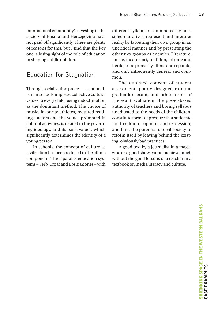international community's investing in the society of Bosnia and Herzegovina have not paid off significantly. There are plenty of reasons for this, but I find that the key one is losing sight of the role of education in shaping public opinion.

### Education for Stagnation

Through socialization processes, nationalism in schools imposes collective cultural values to every child, using indoctrination as the dominant method. The choice of music, favourite athletes, required readings, actors and the values promoted in cultural activities, is related to the governing ideology, and its basic values, which significantly determines the identity of a young person.

In schools, the concept of culture as civilization has been reduced to the ethnic component. Three parallel education systems – Serb, Croat and Bosniak ones – with different syllabuses, dominated by onesided narratives, represent and interpret reality by favouring their own group in an uncritical manner and by presenting the other two groups as enemies. Literature, music, theatre, art, tradition, folklore and heritage are primarily ethnic and separate, and only infrequently general and common.

The outdated concept of student assessment, poorly designed external graduation exam, and other forms of irrelevant evaluation, the power-based authority of teachers and boring syllabus unadjusted to the needs of the children, constitute forms of pressure that suffocate the freedom of opinion and expression, and limit the potential of civil society to reform itself by leaving behind the existing, obviously bad practices.

A good text by a journalist in a magazine or a good show cannot achieve much without the good lessons of a teacher in a textbook on media literacy and culture.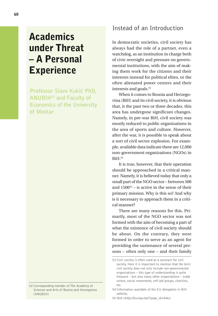# **Academics** under Threat – A Personal **Experience**

Professor Slavo Kukić PhD, ANUBIH52 and Faculty of Economics of the University of Mostar

# Instead of an Introduction

In democratic societies, civil society has always had the role of a partner, even a watchdog, as an institution in charge both of civic oversight and pressure on governmental institutions, with the aim of making them work for the citizens and their interests instead for political elites, or the often alienated power centers and their interests and goals.<sup>53</sup>

When it comes to Bosnia and Herzegovina (BiH) and its civil society, it is obvious that, it the past two or three decades, this area has undergone significant changes. Namely, in pre-war BiH, civil society was mostly reduced to public organizations in the area of sports and culture. However, after the war, it is possible to speak about a sort of civil sector explosion. For example, available data indicate there are 12,000 non-government organizations (NGOs) in BiH.54

It is true, however, that their operation should be approached in a critical manner. Namely, it is believed today that only a small part of the NGO sector – between 500 and  $1500^{55}$  – is active in the sense of their primary mission. Why is this so? And why is it necessary to approach them in a critical manner?

There are many reasons for this. Primarily, most of the NGO sector was not formed with the aim of becoming a part of what the existence of civil society should be about. On the contrary, they were formed in order to serve as an agent for providing the sustenance of several persons – often only one – and their family

<sup>52</sup> Corresponding member of The Academy of Sciences and Arts of Bosnia and Herzegovina (ANUBIH)

<sup>53</sup> Civic society is often used as a synonym for civil society. Here it is important to mention that the term civil society does not only include non-governmental organisations – this type of understanding is quite frequent – but also many other organisations – trade unions, social movements, self-aid groups, charities, etc.

<sup>54</sup> Information available of the EU delegation in BiH website,

<sup>55</sup> Ibid <http://europa.ba/?page\_id=446>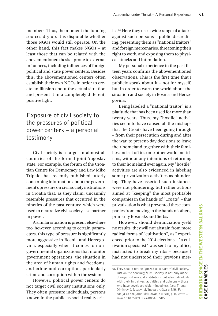members. Thus, the moment the funding sources dry up, it is disputable whether those NGOs would still operate. On the other hand, this fact makes NGOs – at least those that can be related with the abovementioned thesis – prone to external influences, including influences of foreign political and state power centers. Besides this, the abovementioned centers often establish their own NGOs in order to create an illusion about the actual situation and present it in a completely different, positive light.

# Exposure of civil society to the pressures of political power centers – a personal testimony

Civil society is a target in almost all countries of the formal joint Yugoslav state. For example, the forum of the Croatian Centre for Democracy and Law Miko Tripalo, has recently published utterly concerning information about the government's pressure on civil society institutions in Croatia that, as they claim, uncannily resemble pressures that occurred in the nineties of the past century, which were used to neutralize civil society as a partner in power.

A similar situation is present elsewhere too, however, according to certain parameters, this type of pressure is significantly more aggressive in Bosnia and Herzegovina, especially when it comes to nongovernmental organizations that monitor government operations, the situation in the area of human rights and freedoms, and crime and corruption, particularly crime and corruption within the system.

However, political power centers do not target civil society institutions only. They often pressure individuals, persons known in the public as social reality critics.56 Here they use a wide range of attacks against such persons – public discrediting, presenting them as "national traitors" and foreign mercenaries, threatening their right to work, and exposing them to physical attacks and intimidation.

My personal experience in the past fifteen years confirms the abovementioned observations. This is the first time that I publicly speak about it – not for myself, but in order to warn the world about the situation and society in Bosnia and Herzegovina.

Being labeled a "national traitor" is a platitude that has been used for more than twenty years. Thus, my "hostile" activities seem to have caused all the mishaps that the Croats have been going through – from their persecution during and after the war, to present-day decisions to leave their homeland together with their families and set off to some other world meridians, without any intentions of returning to their homeland ever again. My "hostile" activities are also evidenced in labeling some privatization activities as plundering. They have asserted such instances were not plundering, but rather actions aimed at "keeping" the most profitable companies in the hands of "Croats" – that privatization is what prevented these companies from moving to the hands of others, primarily Bosniaks and Serbs.

However, should denunciation yield no results, they will not abstain from more radical forms of "cultivation", as I experienced prior to the 2014 elections – "a cultivation specialist" was sent to my office, instructed to break my ribs – because I had not understood their previous mes-

<sup>56</sup> They should not be ignored as a part of civil society. Just on the contrary, "Civil society is not only made of organisations and institutions but also individuals with their initiatives, activities and opinions – those who have developed civic-mindedness (see: Tijana Dimitrović, Izazovi civilnoga društva u BiH, Fondacija za socijalno uključivanje u BiH, p. 8, <http:// www.sif.ba/dok/1386600343.pdf>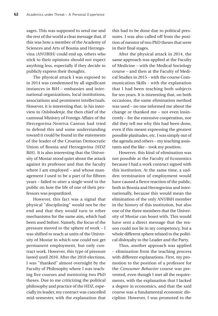sages. This was supposed to send me and the rest of the world a clear message that, if this was how a member of the Academy of Sciences and Arts of Bosnia and Herzegovina (ANUBIH) could end up, others who stick to their opinions should not expect anything less, especially if they decide to publicly express their thoughts.

The physical attack I was exposed to in 2014 was condemned by all significant instances in BiH – embassies and international organizations, local institutions, associations and prominent intellectuals. However, it is interesting that, in his interview to *Oslobođenje*, the then chief of the cantonal Ministry of Foreign Affairs of the Hercegovina-Neretva Canton had tried to defend this and some understanding toward it could be found in the statements of the leader of the Croatian Democratic Union of Bosnia and Herzegovina (HDZ BiH). It is also interesting that the University of Mostar stood quiet about the attack against its professor and that the faculty where I am employed – and whose management I used to be a part of for fifteen years – failed to utter a single word to the public on how the life of one of their professors was jeopardized.

However, this fact was a signal that physical "disciplining" would not be the end and that they would turn to other mechanisms for the same aim, which had been used before. Namely, the focus of the pressure moved to the sphere of work – I was shifted to teach at units of the University of Mostar in which one could not get permanent employment, but only contract work. However, this type of pressure lasted until 2010. After the 2010 elections, I was "thanked" almost overnight by the Faculty of Philosophy where I was teaching five courses and mentoring two PhD theses. Due to me criticizing the political philosophy and practice of the HDZ, especially its leader, my contract was cancelled mid-semester, with the explanation that this had to be done due to political pressures. I was also called off from the position of mentor of two PhD theses that were in their final stages.

After the physical attack in 2014, the same approach was applied at the Faculty of Medicine – with the Medical Sociology course – and then at the Faculty of Medical Studies in 2015 – with the course Communication Skills - with the explanation that I had been teaching both subjects for ten years. It is interesting that, on both occasions, the same elimination method was used – no one informed me about the change or thanked me – not even insincerely – for the extensive cooperation, nor did they tell me why this had been done, even if this meant expressing the greatest possible platitudes, etc. I was simply out of the agenda and others – my teaching assistants and the like – took my position.

However, this kind of elimination was not possible at the Faculty of Economics because I had a work contract signed with this institution. At the same time, a sudden termination of employment would have caused a fierce reaction of the public, both in Bosnia and Herzegovina and internationally, because this would mean the elimination of the only ANUBiH member in the history of this institution, but also one of the three members that the University of Mostar can boast with. This would have sent a direct message that the reason could not lie in my competency, but a whole different sphere related to the political disloyalty to the Leader and the Party.

Thus, another approach was applied – elimination from the teaching process with different explanations. First, my promotion to the position of a professor for the *Consumer Behavior* course was prevented, even though I met all the requirements, with the explanation that I lacked a degree in economics, and that the said course was a fundamental economic discipline. However, I was promoted to the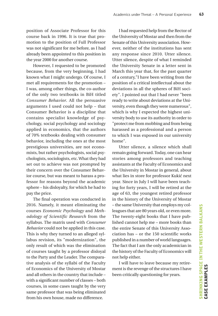position of Associate Professor for this course back in 1996. It is true that promotion to the position of Full Professor was not significant for me before, as I had already been appointed to this position in the year 2000 for another course.

However, I requested to be promoted because, from the very beginning, I had known what I might undergo. Of course, I met all requirements for the promotion – I was, among other things, the co-author of the only two textbooks in BiH titled *Consumer Behavior*. All the persuasive arguments I used could not help – that Consumer Behavior is a discipline that contains specialist knowledge of psychology, social psychology and sociology applied in economics, that the authors of 70% textbooks dealing with consumer behavior, including the ones at the most prestigious universities, are not economists, but rather psychologists, social psychologists, sociologists, etc. What they had set out to achieve was not prompted by their concern over the Consumer Behavior course, but was meant to harass a professor for reasons beyond the academic sphere – his disloyalty, for which he had to pay the price.

The final operation was conducted in 2016. Namely, it meant eliminating the courses *Economic Psychology* and *Methodology of Scientific Research* from the syllabus. The matrix used with *Consumer Behavior* could not be applied in this case. This is why they turned to an alleged syllabus revision, its "modernization", the only result of which was the elimination of courses taught by a professor disloyal to the Party and the Leader. The comparative analysis of the syllabi of the Faculty of Economics of the University of Mostar and all others in the country that include – with a significant number of classes – both courses, in some cases taught by the very same professor that was being eliminated from his own house, made no difference.

I had requested help from the Rector of the University of Mostar and then from the Senate of this University association. However, neither of the institutions has sent any response since 2010. Utter silence. Utter silence, despite of what I reminded the University Senate in a letter sent in March this year that, for the past quarter of a century,"I have been writing from the position of a critical intellectual about the deviations in all the spheres of BiH society". I pointed out that I had never "been ready to write about deviations at the University, even though they were numerous", which is why I expected the highest university body to use its authority in order to "protect me from mobbing and from being harassed as a professional and a person to which I was exposed in our university home".

Utter silence, a silence which shall remain going forward. Today, one can hear stories among professors and teaching assistants at the Faculty of Economics and the University in Mostar in general, about what lies in store for professor Kukić next year. Since in July I will have been teaching for forty years, I will be retired at the age of 63, the youngest retired professor in the history of the University of Mostar – the same University that employs my colleagues that are 80 years old, or even more. The twenty-eight books that I have published cannot help me – more books than the entire Senate of this University Association has – or the 150 scientific works published in a number of world languages. The fact that I am the only academician in the history of the Faculty of Economics will not help either.

I will have to leave because my retirement is the revenge of the structures I have been critically questioning for years.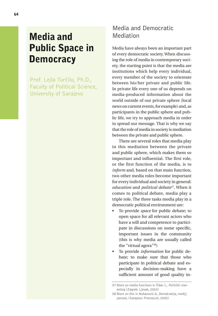# Media and Public Space in **Democracy**

Prof. Lejla Turčilo, Ph.D., Faculty of Political Science, University of Sarajevo

# Media and Democratic Mediation

Media have always been an important part of every democratic society. When discussing the role of media in contemporary society, the starting point is that the media are institutions which help every individual, every member of the society to orientate between his/her private and public life. In private life every one of us depends on media-produced information about the world outside of our private sphere (local news on current events, for example) and, as participants in the public sphere and public life, we try to approach media in order to spread our message. That is why we say that the role of media in society is mediation between the private and public sphere.

There are several roles that media play in this mediation between the private and public sphere, which makes them so important and influential. The first role, or the first function of the media, is to *inform* and, based on that main function, two other media roles become important for every individual and society in general: *education* and *political debate57.* When it comes to political debate, media play a triple role. The three tasks media play in a democratic political environment are:

- To provide *space* for public debate; to open space for all relevant actors who have a will and competence to participate in discussions on some specific, important issues in the community (this is why media are usually called the "virtual agora"58)
- To provide *information* for public debate; to make sure that those who participate in political debate and especially in decision-making have a sufficient amount of good quality in-

<sup>57</sup> More on media functions in Šiber I., Politički marketing (Zagreb: Ljevak, 2003)

<sup>58</sup> More on this in Nuhanović.A, Demokratija, mediji, javnost, (Sarajevo: Promocult, 2005)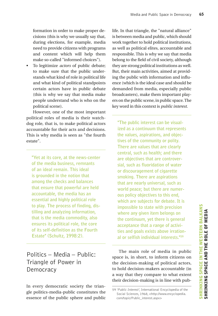formation in order to make proper decisions (this is why we usually say that, during elections, for example, media need to provide citizens with programs and content which will help them make so-called "informed choices").

• To legitimize *actors* of public debate; to make sure that the public understands what kind of role in political life and what kind of political standpoints certain actors have in public debate (this is why we say that media make people understand who is who on the political scene).

However, one of the most important political roles of media is their watchdog role, that is, to make political actors accountable for their acts and decisions. This is why media is seen as "the fourth estate".

**"Yet at its core, at the news-center of the media business, remnants of an ideal remain. This ideal is grounded in the notion that among the checks and balances that ensure that powerful are held accountable, the media has an essential and highly political role to play. The process of finding, distilling and analyzing information, that is the media commodity, also ensures its political role, the core of its self-definition as the Fourth Estate" (Schultz, 1998:2).**

# Politics – Media – Public: Triangle of Power in Democracy

In every democratic society the triangle politics-media-public constitutes the essence of the public sphere and public life. In that triangle, the "natural alliance" is between media and public, which should work together to hold political institutions, as well as political elites, accountable and responsible. This is why we say that media belong to the field of civil society, although they are strong political institutions as well. But, their main activities, aimed at providing the public with information and influence (which is the ideal case and should be demanded from media, especially public broadcasters), make them important players on the public scene, in public space. The key word in this context is *public interest.*

**"The public interest can be visualized as a continuum that represents the values, aspirations, and objectives of the community or polity. There are values that are clearly central, such as health; and there are objectives that are controversial, such as fluoridation of water or discouragement of cigarette smoking. There are aspirations that are nearly universal, such as world peace; but there are numerous policy objectives to this end, which are subjects for debate. It is impossible to state with precision where any given item belongs on the continuum, yet there is general acceptance that a range of activities and goals exists above irrational or selfish individual interests."59**

The main role of media in public space is, in short, to inform citizens on the decision-making of political actors, to hold decision-makers accountable (in a way that they compare to what extent their decision-making is in line with pub-

<sup>59</sup> 'Public Interest', International Encyclopedia of the Social Sciences, 1968, <http://www.encyclopedia. com/topic/Public\_interest.aspx>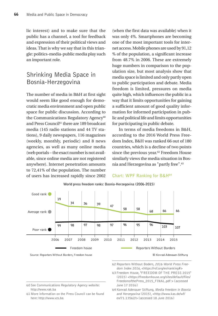lic interest) and to make sure that the public has a channel, a tool for feedback and expression of their political views and ideas. That is why we say that in this triangle: politics-media-public media play such an important role.

### Shrinking Media Space in Bosnia-Herzegovina

The number of media in B&H at first sight would seem like good enough for democratic media environment and open public space for public discussion. According to the Communications Regulatory Agency<sup>60</sup> and Press Council61 there are 189 broadcast media (145 radio stations and 44 TV stations), 9 daily newspapers, 116 magazines (weekly, monthly, periodic) and 8 news agencies, as well as many online media (web portals – the exact number is not available, since online media are not registered anywhere). Internet penetration amounts to 72,41% of the population. The number of users has increased rapidly since 2002

(when the first data was available) when it was only 4%. Smartphones are becoming one of the most important tools for internet access. Mobile phones are used by 91,12 % of the population, a significant increase from 48.7% in 2006. These are extremely huge numbers in comparison to the population size, but most analysis show that media space is limited and only partly open to public participation and debate. Media freedom is limited, pressures on media quite high, which influences the public in a way that it limits opportunities for gaining a sufficient amount of good quality information for informed participation in public and political life and limits opportunities for participating in public debate.

In terms of media freedoms in B&H, according to the 2016 World Press Freedom Index, B&H was ranked 66 out of 180 countries, which is a decline of two points since the previous year.<sup>62</sup> Freedom House similarly views the media situation in Bosnia and Herzegovina as "partly free".63

**Chart: WPF Ranking for B&H64**

#### Good rank 19 34 36 39 47 58 58 66 66 68 Average rank 96 96 97 95 97 99 98 98 103 107 Poor rank 2006 2007 2008 2009 2010 2011 2012 2013 2014 2015 Freedom house

World press freedom ranks: Bosnia-Herzegovina (2006-2015)

Source: Reporters Without Borders, Freedom house

Reporters Without Borders

© Konrad-Adenauer-Stiftung

- 62 Reporters Without Boders, 2016 World Press Freedom Index 2016, <https://rsf.org/en/ranking#>
- 63 Freedom House, "FREEDOM OF THE PRESS 2015" (2015) <https://freedomhouse.org/sites/default/files/ FreedomofthePress\_2015\_FINAL.pdf > Laccessed June 17 2016]

60 See Communications Regulatory Agency website: http://www.rak.ba

61 More information on the Press Council can be found here: http://www.vzs.ba

64 Konrad Adenauer Stiftung, Media freedom in Bosnia and Herzegovina (2015), <http://www.kas.de/wf/ en/71.13562/> [accessed 18 June 2016]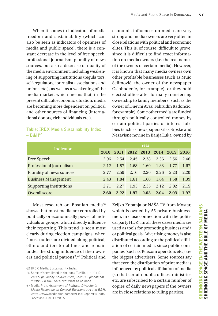When it comes to indicators of media freedom and sustainability (which can also be seen as indicators of openness of media and public space), there is a constant decrease in the level of free speech, professional journalism, plurality of news sources, but also a decrease of quality of the media environment, including weakening of supporting institutions (regula tors, self-regulators, journalist associations and unions etc.), as well as a weakening of the media market, which means that, in the present difficult economic situation, media are becoming more dependent on political and other sources of financing (international donors, rich individuals etc.).

#### **Table: IREX Media Sustainability Index – B&H65**

economic influences on media are very strong and media owners are very often in close relations with political and economic elites. This is, of course, difficult to prove, since it is difficult to find exact information on media owners (i.e. the real names of the owners of certain media). However, it is known that many media owners own other profitable businesses (such as Mujo Selimović, the owner of the newspaper Oslobođenje, for example), or they hold elected office after formally transferring ownership to family members (such as the owner of Dnevni Avaz, Fahrudin Radončić, for example). Some other media are funded through politically-controlled money by certain political parties or interest lobbies (such as newspapers Glas Srpske and Nezavisne novine in Banja Luka, owned by

|                                | Year |      |      |           |      |      |      |  |  |
|--------------------------------|------|------|------|-----------|------|------|------|--|--|
| Indicator                      |      | 2011 |      | 2012 2013 | 2014 | 2015 | 2016 |  |  |
| Free Speech                    | 2.96 | 2.54 | 2.45 | 2.38      | 2.36 | 2.56 | 2.46 |  |  |
| <b>Professional Journalism</b> | 2.12 | 1.87 | 1.68 | 1.60      | 1.83 | 1.77 | 1.67 |  |  |
| Plurality of news sources      | 2.77 | 2.59 | 2.16 | 2.20      | 2.26 | 2.23 | 2.20 |  |  |
| <b>Business Management</b>     | 2.43 | 1.84 | 1.61 | 1.60      | 1.64 | 1.58 | 1.39 |  |  |
| Supporting institutions        | 2.71 | 2.27 | 1.95 | 2.35      | 2.12 | 2.02 | 2.15 |  |  |
| Overall score                  | 2.60 | 2.22 | 1.97 | 2.03      | 2.04 | 2.03 | 1.97 |  |  |

Most research on Bosnian media<sup>66</sup> shows that most media are controlled by politically or economically powerful individuals or groups, which directly influence their reporting. This trend is seen most clearly during election campaigns, when "most outlets are divided along political, ethnic and territorial lines and remain under the strong influence of their owners and political patrons".67 Political and Željko Kopanja or NAŠA TV from Mostar, which is owned by 55 private businessmen, in close connection with the political party HDZ). In all these cases media are used as tools for promoting business and/ or political goals. Advertising money is also distributed according to the political affiliation of certain media, since public companies (such as Telecom operators etc.) are the biggest advertisers. Some sources say that even the distribution of print media is influenced by political affiliation of media (so that certain public offices, ministries etc. are subscribed to a certain number of copies of daily newspapers if the owners are in close relations to ruling parties).

<sup>65</sup> IREX Media Sustainabilty Index

<sup>66</sup> Some of them listed in the book Turčilo L. (2011). Zaradi pa vladaj: politika-mediji-biznis u globalnom društvu i u BiH. Sarajevo: Vlastita naklada

<sup>67</sup> Media Plan, Assesment of Political Diversity in Media Reporting on General Elections 2014 in B&H, <http://www.mediaplan.ba/docs/FinalReportEN.pdf> [accessed June 17 2016]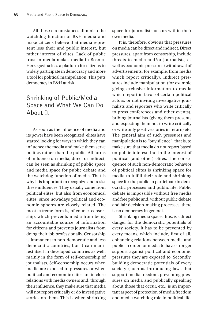All these circumstances diminish the watchdog function of B&H media and make citizens believe that media represent less their and public interest, but rather interest of elites. Lack of public trust in media makes media in Bosnia-Herzegovina less a platform for citizens to widely participate in democracy and more a tool for political manipulation. This puts democracy in B&H at risk.

# Shrinking of Public/Media Space and What We Can Do About It

As soon as the influence of media and its power have been recognized, elites have started looking for ways in which they can influence the media and make them serve politics rather than the public. All forms of influence on media, direct or indirect, can be seen as shrinking of public space and media space for public debate and the watchdog function of media. That is why it is important to recognize and resist these influences. They usually come from political elites, but also from economical elites, since nowadays political and economic spheres are closely related. The most extreme form is, of course, censorship, which prevents media from being an accountable source of information for citizens and prevents journalists from doing their job professionally. Censorship is immanent to non-democratic and less democratic countries, but it can manifest itself in developed countries as well, mainly in the form of self-censorship of journalists. Self-censorship occurs when media are exposed to pressures or when political and economic elites are in close relations with media owners and, through their influence, they make sure that media will not report critically or do investigative stories on them. This is when shrinking space for journalists occurs within their own media.

It is, therefore, obvious that pressures on media can be direct and indirect. Direct pressures, apart from censorship, include threats to media and/or journalists, as well as economic pressures (withdrawal of advertisements, for example, from media which report critically). Indirect pressures include manipulation (for example giving exclusive information to media which report in favor of certain political actors, or not inviting investigative journalists and reporters who write critically to press conferences and other events), bribing journalists (giving them presents and expecting them not to write critically or write only positive stories in return) etc. The general aim of such pressures and manipulation is to "buy silence", that is, to make sure that media do not report based on public interest, but in the interest of political (and other) elites. The consequence of such non-democratic behavior of political elites is shrinking space for media to fulfill their role and shrinking space for the public to participate in democratic processes and public life. Public debate is impossible without free media and free public and, without public debate and fair decision-making processes, there is no democracy in general.

Shrinking media space, thus, is a direct danger for the democratic potentials of every society. It has to be prevented by every means, which include, first of all, enhancing relations between media and public in order for media to have stronger support against political and economic pressures they are exposed to. Secondly, building democratic potentials of every society (such as introducing laws that support media freedom, preventing pressures on media and publically speaking about those that occur, etc.) is an important aspect of protection of media freedom and media watchdog role in political life.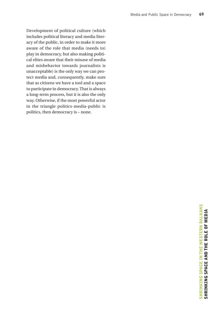Development of political culture (which includes political literacy and media literacy of the public, in order to make it more aware of the role that media (needs to) play in democracy, but also making political elites aware that their misuse of media and misbehavior towards journalists is unacceptable) is the only way we can protect media and, consequently, make sure that as citizens we have a tool and a space to participate in democracy. That is always a long-term process, but it is also the only way. Otherwise, if the most powerful actor in the triangle politics-media-public is politics, then democracy is – none.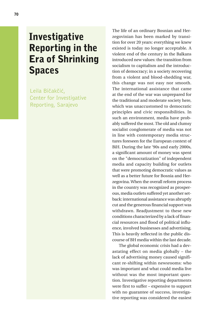# **Investigative** Reporting in the Era of Shrinking Spaces

Leila Bičakčić, Center for Investigative Reporting, Sarajevo

The life of an ordinary Bosnian and Herzegovinian has been marked by transition for over 20 years: everything we knew existed is today no longer acceptable. A violent end of the century in the Balkans introduced new values: the transition from socialism to capitalism and the introduction of democracy; in a society recovering from a violent and blood-shedding war, this change was not easy nor smooth. The international assistance that came at the end of the war was unprepared for the traditional and moderate society here, which was unaccustomed to democratic principles and civic responsibilities. In such an environment, media have probably suffered the most. The old and clumsy socialist conglomerate of media was not in line with contemporary media structures foreseen for the European context of BiH. During the late '90s and early 2000s, a significant amount of money was spent on the "democratization" of independent media and capacity building for outlets that were promoting democratic values as well as a better future for Bosnia and Herzegovina. When the overall reform process in the country was recognized as prosperous, media outlets suffered yet another setback: international assistance was abruptly cut and the generous financial support was withdrawn. Readjustment to these new conditions characterized by a lack of financial resources and flood of political influence, involved businesses and advertising. This is heavily reflected in the public discourse of BH media within the last decade.

The global economic crisis had a devastating effect on media globally – the lack of advertising money caused significant re-shifting within newsrooms: who was important and what could media live without was the most important question. Investigative reporting departments were first to suffer – expensive to support with no guarantee of success, investigative reporting was considered the easiest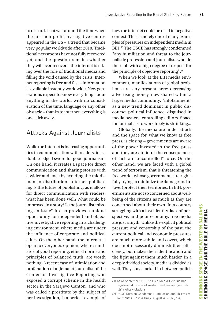to discard. That was around the time when the first non-profit investigative centres appeared in the US – a trend that became very popular worldwide after 2010. Traditional newsrooms have not fully recovered yet, and the question remains whether they will ever recover – the internet is taking over the role of traditional media and filling the void caused by the crisis. Internet reporting is free and fast – information is available instantly worldwide. New generations expect to know everything about anything in the world, with no consideration of the time, language or any other obstacle – thanks to internet, everything is one click away.

### Attacks Against Journalists

While the Internet is increasing opportunities in communication with readers, it is a double-edged sword for good journalism. On one hand, it creates a space for direct communication and sharing stories with a wider audience by avoiding the middle man in distribution. Internet publishing is the future of publishing, as it allows for direct communication with readers: what has been done well? What could be improved in a story? Is the journalist missing an issue? It also provides a unique opportunity for independent and objective investigative reporting in a challenging environment, where media are under the influence of corporate and political elites. On the other hand, the internet is open to everyone's opinion, where standards of good reporting, ethical norms and principles of balanced truth, are worth nothing. A recent case of intimidation and profanation of a (female) journalist of the Center for Investigative Reporting who exposed a corrupt scheme in the health sector in the Sarajevo Canton, and who was called a prostitute by the subject of her investigation, is a perfect example of how the internet could be used in negative context. This is merely one of many examples of pressures on independent media in BiH.68 The OSCE has strongly condemned "any humiliation and threat to the journalistic profession and journalists who do their job with a high degree of respect for the principle of objective reporting".69

When we look at the BiH media environment, manifestations of global problems are very present here: decreasing advertising money, now shared within a larger media community; "infotainment" as a new trend dominant in public discourse; political influence, disguised in media owners, controlling editors. Space for journalists to work freely is shrinking...

Globally, the media are under attack and the space for, what we know as free press, is closing – governments are aware of the power invested in the free press and they are afraid of the consequences of such an "uncontrolled" force. On the other hand, we are faced with a global trend of terrorism, that is threatening the free world, whose governments are rightfully trying to minimize the damage and to (over)protect their territories. In BiH, governments are not so concerned about wellbeing of the citizens as much as they are concerned about their own. In a country struggling with a lost identity, lack of perspective, and poor economy, free media are just a myth! Unlike the explicit political pressure and censorship of the past, the current political and economic pressures are much more subtle and covert, which does not necessarily diminish their efficiency, but makes their identification and the fight against them much harder. In a deeply divided society, media is divided as well. They stay stacked in between politi-

<sup>68</sup> As of September 15, The Free Media Helpline had registered 41 cases of media freedoms and journalists' rights violations

<sup>69</sup> OSCE Mission Condemns Humiliation and Threats to Journalists, Bosnia Daily, August 4, 2016, p.4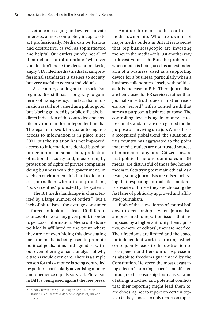cal/ethnic messaging, and owners' private interests, almost completely incapable to act professionally. Media can be furious and destructive, as well as sophisticated and helpful. Our outlets (surely, not all of them) choose a third option: "whatever you do, don't make the decision maker(s) angry". Divided media (media lacking professional standards) is useless to society, but very useful to corrupt individuals.

As a country coming out of a socialism regime, BiH still has a long way to go in terms of transparency. The fact that information is still not valued as a public good, but is being guarded by public officials, is a direct indication of the controlled and hostile environment for independent media. The legal framework for guaranteeing free access to information is in place since 2001, but the situation has not improved: access to information is denied based on protection of personal data, protection of national security and, most often, by protection of rights of private companies doing business with the government. In such an environment, it is hard to do honest journalism without compromising "power centres" protected by the system.

The BH media landscape is characterized by a large number of outlets<sup>70</sup>, but a lack of pluralism - the average consumer is forced to look at at least 10 different sources of news at any given point, in order to get basic information. Media outlets are politically affiliated to the point where they are not even hiding this devastating fact: the media is being used to promote political goals, aims and agendas, without even offering a basic analysis of why citizens would even care. There is a simple reason for this – money is being controlled by politics, particularly advertising money, and obedience equals survival. Pluralism in BiH is being used against the free press.

Another form of media control is media ownership. Who are owners of major media outlets in BiH? It is no secret that big businesspeople are investing money in the media – it is just another way to invest your cash. But, the problem is when media is being used as an extended arm of a business, used as a supporting device for a business, particularly when a business collaborates closely with politics, as it is the case in BiH. Then, journalists are being used for PR services, rather than journalism – truth doesn't matter, readers are "served" with a tainted truth that serves a purpose, a business purpose. The controlling device is, again, money – professional standards are disregarded for the purpose of surviving on a job. While this is a recognized global trend, the situation in this country has aggravated to the point that media outlets are not trusted sources of information anymore. Citizens, aware that political rhetoric dominates in BH media, are distrustful of those few honest media outlets trying to remain ethical. As a result, young journalists are raised believing that respecting journalistic standards is a waste of time – they are choosing the fast lane of politically approved and affiliated journalism.

Both of these two forms of control boil down to censorship – when journalists are pressured to report on issues that are imposed by a higher authority (being politics, owners, or editors), they are not free. Their freedoms are limited and the space for independent work is shrinking, which consequently leads to the destruction of free speech and freedom of expression, as absolute freedoms guaranteed by the Constitution. However, the most devastating effect of shrinking space is manifested through self – censorship. Journalists, aware of strings attached and potential conflicts that their reporting might lead them to, are choosing not to report on certain topics. Or, they choose to only report on topics

<sup>70</sup> 5 daily newspapers; 184 magazines; 148 radio stations; 47 TV stations; 6 news agencies; 80 web portals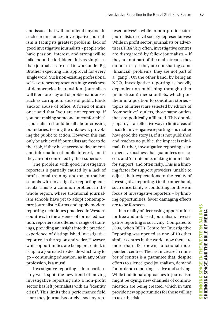and issues that will not offend anyone. In such circumstances, investigative journalism is facing its greatest problem: lack of good investigative journalists - people who have passion, interest, and strong will to talk about the forbidden. It is as simple as that: journalists are used to work under Big Brother expecting His approval for every single word. Such non-existing professional self-awareness represents a huge weakness of democracies in transition. Journalists will therefore stay out of problematic areas, such as corruption, abuse of public funds and/or abuse of office. A friend of mine once said that "you are not reporting, if you not making someone uncomfortable" - journalism should be all about crossing boundaries, testing the unknown, provoking the public to action. However, this can only be achieved if journalists are free to do their job, if they have access to documents and information of public interest, and if they are not controlled by their superiors.

The problem with good investigative reporters is partially caused by a lack of professional training and/or journalism schools with investigative reporting curricula. This is a common problem in the whole region, where traditional journalism schools have yet to adopt contemporary journalistic forms and apply modern reporting techniques practiced in Western countries. In the absence of formal education, reporters are offered a range of trainings, providing an insight into the practical experience of distinguished investigative reporters in the region and wider. However, while opportunities are being presented, it is up to a journalist to decide which way to go – continuing education, as in any other profession, is a must!

Investigative reporting is in a particularly weak spot: the new trend of moving investigative reporting into a non-profit sector has left journalists with an "identity crisis". This limits their performance field – are they journalists or civil society representatives? - while in non-profit sector: journalists or civil society representatives? While in profit sector: journalists or advertisers/PRs? Very often, investigative centres are disregarded by fellow journalists – if they are not part of the mainstream, they do not exist; if they are not sharing same (financial) problems, they are not part of a "gang". On the other hand, by being an NGO, investigative reporting is heavily dependent on publishing through other (mainstream) media outlets, which puts them in a position to condition stories – topics of interest are selected by editors of "competitive" outlets, those same outlets that are politically affiliated. This double jeopardy is an effective way to limit areas of focus for investigative reporting – no matter how good the story is, if it is not published and reaches no public, the impact is minimal. Further, investigative reporting is an expensive business that guarantees no success and/or outcome, making it unreliable for support, and often risky. This is a limiting factor for support providers, unable to adjust their expectations to the reality of investigative reporting. On the other hand, such uncertainty is comforting for those in focus of investigative reporters – by limiting opportunities, fewer damaging effects are to be foreseen.

In a reality of decreasing opportunities for free and unbiased journalism, investigative reporting is surviving. Compared to 2004, when BiH's Centre for Investigative Reporting was opened as one of 10 other similar centres in the world, now there are more than 100 known, functional independent centres. The fast increase in number of centres is a guarantee that, despite efforts to silence good journalism, demand for in-depth reporting is alive and striving. While traditional approaches to journalism might be dying, new channels of communication are being created, which in turn provide new opportunities for those willing to take the risk.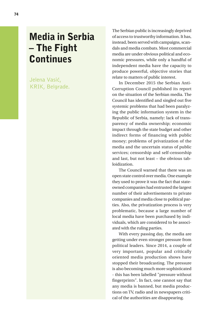# Media in Serbia – The Fight **Continues**

Jelena Vasić, KRIK, Belgrade. The Serbian public is increasingly deprived of access to trustworthy information. It has, instead, been served with campaigns, scandals and media combats. Most commercial media are under obvious political and economic pressures, while only a handful of independent media have the capacity to produce powerful, objective stories that relate to matters of public interest.

In December 2015 the Serbian Anti-Corruption Council published its report on the situation of the Serbian media. The Council has identified and singled out five systemic problems that had been paralyzing the public information system in the Republic of Serbia, namely: lack of transparency of media ownership; economic impact through the state budget and other indirect forms of financing with public money; problems of privatization of the media and the uncertain status of public services; censorship and self-censorship and last, but not least – the obvious tabloidization.

The Council warned that there was an open state control over media. One example they used to prove it was the fact that stateowned companies had entrusted the largest number of their advertisements to private companies and media close to political parties. Also, the privatization process is very problematic, because a large number of local media have been purchased by individuals, which are considered to be associated with the ruling parties.

With every passing day, the media are getting under even stronger pressure from political leaders. Since 2014, a couple of very important, popular and critically oriented media production shows have stopped their broadcasting. The pressure is also becoming much more sophisticated - this has been labelled "pressure without fingerprints". In fact, one cannot say that any media is banned, but media productions on TV, radio and in newspapers critical of the authorities are disappearing.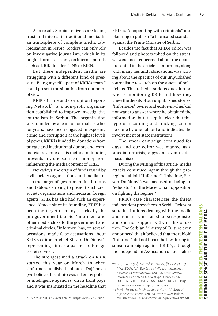As a result, Serbian citizens are losing trust and interest in traditional media. In an atmosphere of complete media tabloidization in Serbia, readers can only rely on investigative journalism, which in its original form exists only on internet portals such as KRIK, Insider, CINS or BIRN.

But these independent media are struggling with a different kind of pressure. Being myself a part of KRIK's team I could present the situation from our point of view.

KRIK - Crime and Corruption Reporting Network71 is a non-profit organization established to improve investigative journalism in Serbia. The organization was founded by a team of journalists who, for years, have been engaged in exposing crime and corruption at the highest levels of power. KRIK is funded by donations from private and institutional donors and commercial revenues. This method of funding prevents any one source of money from influencing the media content of KRIK.

Nowadays, the origin of funds raised by civil society organisations and media are also the target of government institutions and tabloids striving to present such civil society organisations and media as 'foreign agents'. KRIK has also had such an experience. Almost since its founding, KRIK has been the target of many attacks by the pro-government tabloid "Informer" and other media close to the government and criminal circles. "Informer" has, on several occasions, made false accusations about KRIK's editor-in-chief Stevan Dojčinović, representing him as a partner to foreign secret services.

The strongest media attack on KRIK started this year on March 18 when «Informer» published a photo of Dojčinović (we believe this photo was taken by police or intelligence agencies) on its front page and it was insinuated in the headline that KRIK is "cooperating with criminals" and planning to publish "a fabricated scandal» against the Prime Minister of Serbia.

Besides the fact that KRIK›s editor was followed and photographed on the street, we were most concerned about the details presented in the article - «Informer», along with many lies and fabrications, was writing about the specifics of our unpublished journalistic research on the assets of politicians. This raised a serious question on who is monitoring KRIK and how they knew the details of our unpublished stories. "Informer›s" owner and editor-in-chief did not want to answer where he obtained the information, but it is quite clear that this type of recording and tracking cannot be done by one tabloid and indicates the involvement of state institutions.

The smear campaign continued for days and our editor was marked as a «media terrorist», «spy» and even «sadomasochist».

During the writing of this article, media attacks continued, again though the proregime tabloid "Informer". This time, Stevan Dojčinović was accused of being an "educator" of the Macedonian opposition on fighting the regime72.

KRIK's case characterizes the threat independent press faces in Serbia. Relevant state institutions dealing with the media and human rights, failed to be responsive and did not support KRIK in this situation. The Serbian Ministry of Culture even announced that it believed that the tabloid "Informer" did not break the law during its smear campaign against KRIK73, although the Independent Association of Journalists

<sup>72</sup> Informer, DOJČINOVIĆ BI DA RUŠI VLAST I U MAKEDONIJI: Evo šta se krije iza takozvanog nezavisnog novinarstva!, (2016), <http://www. informer.rs/print/74974/vesti/politika/74974/ DOJCINOVIC-RUSI-VLAST-MAKEDONIJI-krijetakozvanog-nezavisnog-novinarstva>

<sup>73</sup> Pavle Petrović, Ministarstvo kulture: "Informer" nije prekršio zakon' (2016), https://www.krik.rs/ ministarstvo-kulture-informer-nije-prekrsio-zakon/0

<sup>71</sup> More about Krik available at: https://www.krik.rs/en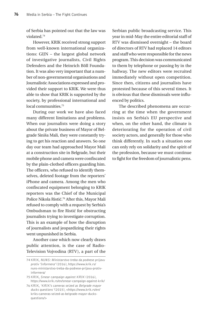of Serbia has pointed out that the law was violated.74

However, KRIK received strong support from well-known international organizations: GIJN – the largest global network of investigative journalists, Civil Rights Defenders and the Heinrich Böll Foundation. It was also very important that a number of non-governmental organisations and Journalistic Associations expressed and provided their support to KRIK. We were thus able to show that KRIK is supported by the society, by professional international and local communities.75

During our work we have also faced many different limitations and problems. When our journalists were doing a story about the private business of Mayor of Belgrade Siniša Mali, they were constantly trying to get his reaction and answers. So one day our team had approached Mayor Mali at a construction site in Belgrade, but their mobile phone and camera were confiscated by the plain-clothed officers guarding him. The officers, who refused to identify themselves, deleted footage from the reporters' iPhone and camera. Among the men who confiscated equipment belonging to KRIK reporters was the Chief of the Municipal Police Nikola Ristić.76 After this, Mayor Mali refused to comply with a request by Serbia's Ombudsman to fire Ristić for obstructing journalists trying to investigate corruption. This is an example of how the disruption of journalists and jeopardizing their rights went unpunished in Serbia.

Another case which now clearly draws public attention, is the case of Radio-Television Vojvodina (RTV), a part of the Serbian public broadcasting service. This year in mid-May the entire editorial staff of RTV was dismissed overnight – the board of directors of RTV had replaced 14 editors and staff who were responsible for the news program. This decision was communicated to them by telephone or passing by in the hallway. The new editors were recruited immediately without open competition. Since then, citizens and journalists have protested because of this several times. It is obvious that these dismissals were influenced by politics.

The described phenomena are occurring at the time when the government insists on Serbia's EU perspective and when, on the other hand, the climate is deteriorating for the operation of civil society actors, and generally for those who think differently. In such a situation one can only rely on solidarity and the spirit of the profession, because we must continue to fight for the freedom of journalistic pens.

<sup>74</sup> KRIK, NUNS: Ministarstvo treba da podnese prijavu protiv 'Informera' (2016), https://www.krik.rs/ nuns-ministarstvo-treba-da-podnese-prijavu-protivinformera/

<sup>75</sup> KRIK, Smear campaign against KRIK (2016), https://www.krik.rs/en/smear-campaign-against-krik/

<sup>76</sup> KRIK, 'KRIK's cameras seized as Belgrade mayor ducks questions '(2015), <https://www.krik.rs/en/ kriks-cameras-seized-as-belgrade-mayor-ducksquestions/>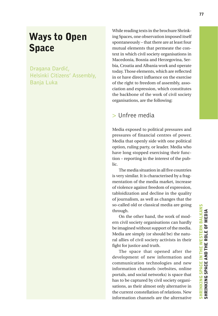# Ways to Open Space

Dragana Dardić, Helsinki Citizens' Assembly, Banja Luka

While reading texts in the brochure Shrinking Spaces, one observation imposed itself spontaneously – that there are at least four mutual elements that permeate the context in which civil society organisations in Macedonia, Bosnia and Herzegovina, Serbia, Croatia and Albania work and operate today. Those elements, which are reflected in or have direct influence on the exercise of the right to freedom of assembly, association and expression, which constitutes the backbone of the work of civil society organisations, are the following:

#### > Unfree media

Media exposed to political pressures and pressures of financial centres of power. Media that openly side with one political option, ruling party, or leader. Media who have long stopped exercising their function – reporting in the interest of the public.

The media situation in all five countries is very similar. It is characterised by a fragmentation of the media market, increase of violence against freedom of expression, tabloidization and decline in the quality of journalism, as well as changes that the so-called old or classical media are going through.

On the other hand, the work of modern civil society organisations can hardly be imagined without support of the media. Media are simply (or should be) the natural allies of civil society activists in their fight for justice and truth.

The space that opened after the development of new information and communication technologies and new information channels (websites, online portals, and social networks) is space that has to be captured by civil society organisations, as their almost only alternative in the current constellation of relations. New information channels are the alternative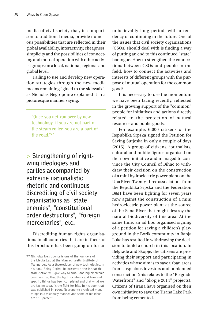media of civil society that, in comparison to traditional media, provide numerous possibilities that are reflected in their global availability, interactivity, cheapness, simplicity and the possibilities of connecting and mutual operation with other activist groups on a local, national, regional and global level.

Failing to use and develop new operation strategies through the new media means remaining "glued to the sidewalk", as Nicholas Negroponte explained it in a picturesque manner saying:

**"Once you get run over by new technology, if you are not part of the steam roller, you are a part of the road."77**

> **Strengthening of rightwing ideologies and parties accompanied by extreme nationalistic rhetoric and continuous discrediting of civil society organisations as "state enemies", "constitutional order destructors", "foreign mercenaries", etc.**

Discrediting human rights organisations in all countries that are in focus of this brochure has been going on for an unbelievably long period, with a tendency of continuing in the future. One of the issues that civil society organizations (CSOs) should deal with is finding a way of putting an end to this continued "state" harangue. How to strengthen the connections between CSOs and people in the field, how to connect the activities and interests of different groups with the purpose of mutual operation for the common good?

It is necessary to use the momentum we have been facing recently, reflected in the growing support of the "common" people for initiatives and actions directly related to the protection of natural resources and public goods.

For example, 6,000 citizens of the Republika Srpska signed the Petition for Saving Sutjeska in only a couple of days (2015). A group of citizens, journalists, cultural and public figures organised on their own initiative and managed to convince the City Council of Bihać to withdraw their decision on the construction of a mini hydroelectric power plant on the Una River. Twenty-three associations from the Republika Srpska and the Federation B&H have been fighting for seven years now against the construction of a mini hydroelectric power plant at the source of the Sana River that might destroy the natural biodiversity of this area. At the same time, an ad hoc organised signing of a petition for saving a children's playground in the Borik community in Banja Luka has resulted in withdrawing the decision to build a church in this location. In Belgrade and Skopje, the citizens are providing their support and participating in activities whose aim is to save urban areas from suspicious investors and unplanned construction (this relates to the "Belgrade Waterfront" and "Skopje 2014" projects). Citizens of Tirana have organised on their own initiative to save the Tirana Lake Park from being cemented.

<sup>77</sup> Nicholas Negroponte is one of the founders of the Media Lab at the Massachusetts Institute of Technology. As a theoretician of new technologies, in his book Being Digital, he presents a thesis that the state-nation will give way to small and big electronic communities; that the fight for atoms and firm and specific things has been completed and that what we are facing today is the fight for bits. In his book that was published in 1996, Negroponte predicted many things in a visionary manner, and some of his ideas are still present.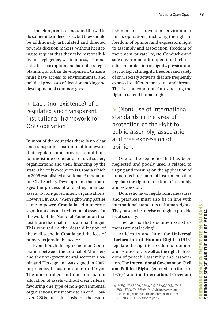Therefore, a critical mass and the will to do something indeed exist, but they should be additionally articulated and directed towards decision makers, without hesitating to request that they take responsibility for negligence, wastefulness, criminal activities, corruption and lack of strategic planning of urban development. Citizens must have access to environmental and political processes of decision making and development of common goods.

### > Lack (nonexistence) of a regulated and transparent institutional framework for CSO operation

In most of the countries there is no clear and transparent institutional framework that regulates and provides conditions for undisturbed operation of civil society organizations and their financing by the state. The only exception is Croatia which in 2006 established a National Foundation for Civil Society Development that manages the process of allocating financial assets to non-government organisations. However, in 2016, when right-wing parties came to power, Croatia faced numerous significant cuts and reduction of assets for the work of the National Foundation that lost more than half of its annual budget. This resulted in the destabilization of the civil scene in Croatia and the loss of numerous jobs in this sector.

Even though the Agreement on Cooperation between the Council of Ministers and the non-governmental sector in Bosnia and Herzegovina was signed in 2007, in practice, it has not come to life yet. The uncontrolled and non-transparent allocation of assets without clear criteria, favouring one type of non-governmental organisations, must come to an end. However, CSOs must first insist on the establishment of a convenient environment for its operations, including the right to freedom of opinion and expression, right to assembly and association, freedom of movement, private life, etc. Conducive and safe environment for operation includes efficient protection of dignity, physical and psychological integrity, freedom and safety of civil society activists that are frequently exposed to different pressures and threats. This is a precondition for exercising the right to defend human rights.

> (Non) use of international standards in the area of protection of the right to public assembly, association and free expression of opinion.

One of the segments that has been neglected and poorly used is related to urging and insisting on the application of numerous international instruments that regulate the right to freedom of assembly and expression.

Domestic laws, regulations, measures and practices must also be in line with international standards of human rights. They have to be precise enough to provide legal security.

The fact is that documents/instruments are not lacking!

Articles 19 and 20 of the **Universal Declaration of Human Rights** (1948) regulate the right to freedom of opinion and expression, as well as the right to freedom of peaceful assembly and association. The **International Covenant on Civil and Political Rights** (entered into force in 1976)78 and the **International Covenant** 

<sup>78</sup> 'MEĐUNARODNI PAKT O GRAĐANSKIM I POLITIČKIM PRAVIMA' <http://www.ombudsmen.gov.ba/documents/obmudsmen\_doc-2013031901595385cro.pdf>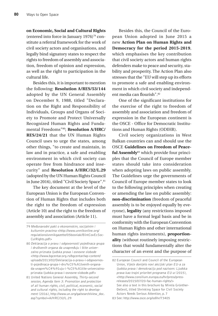**on Economic, Social and Cultural Rights** (entered into force in January 1976)79 constitute a referral framework for the work of civil society actors and organisations, and legally bind signatory states to respect the rights to freedom of assembly and association, freedom of opinion and expression, as well as the right to participation in the cultural life.

Besides this, it is important to mention the following: **Resolution A/RES/53/144** adopted by the UN General Assembly on December 9, 1988, titled "Declaration on the Right and Responsibility of Individuals, Groups and Organs of Society to Promote and Protect Universally Recognized Human Rights and Fundamental Freedoms"80; **Resolution A/HRC/ RES/24/21** that the UN Human Rights Council uses to urge the states, among other things, "to create and maintain, in law and in practice, a safe and enabling environment in which civil society can operate free from hindrance and insecurity" and **Resolution A/HRC/32/L.29**  (adopted by the UN Human Rights Council in June 2016), titled "Civil Society Space".81

The key document at the level of the European Union is the European Convention of Human Rights that includes both the right to the freedom of expression (Article 10) and the right to the freedom of assembly and association (Article 11).

Besides this, the Council of the European Union adopted in June 2015 a new **Action Plan on Human Rights and Democracy for the period 2015-2019**, which emphasises the key contribution that civil society actors and human rights defenders make to peace and security, stability and prosperity. The Action Plan also stresses that the "EU will step up its efforts to promote a safe and enabling environment in which civil society and independent media can flourish".82

One of the significant institutions for the exercise of the right to freedom of assembly and association and freedom of expression in the European continent is the OSCE - Office for Democratic Institutions and Human Rights (ODIHR).

Civil society organizations in West Balkan countries can and should use the OSCE **Guidelines on Freedom of Peaceful Assembly**83 which provide four principles that the Council of Europe member states should take into consideration when adopting laws on public assembly. The Guidelines urge the governments of Council of Europe member states to look to the following principles when creating or amending the law on public assembly: **non-discrimination** (freedom of peaceful assembly is to be enjoyed equally by everyone), **legality** (any restrictions imposed must have a formal legal basis and be in conformity with the European Convention on Human Rights and other international human rights instruments), **proportionality** (without routinely imposing restrictions that would fundamentally alter the character of an event and the purpose of

<sup>79</sup> Međunarodni pakt o ekonomskim, socijalnim i kulturnim pravima <http://www.unmikonline.org/ regulations/unmikgazette/05bosniak/BIntCovEcSoc-CulRights.pdf>

<sup>80</sup> Deklaracija o pravu i odgovornosti pojedinaca grupa i društvenih organa da unapređuju i štite univerzalno priznata ljudska prava i osnovne slobode <http://www.bgcentar.org.rs/bgcentar/wp-content/ uploads/2013/02/Deklaracija-o-pravu-i-odgovornosti-pojedinaca-grupa-i-dru%C5%A1tvenih-organada-unapre%C4%91uju-i-%C5%A1tite-univerzalnopriznata-ljudska-prava-i-osnovne-slobode.pdf>

<sup>81</sup> United Nations General Assembly, Thirty-second session, Agenda item 3: Promotion and protection of all human rights, civil, political, economic, social and cultural rights, including the right to development (2016), http://www.un.org/ga/search/view\_doc. asp?symbol=A/HRC/32/L.29

<sup>82</sup> European Council and Council of the European Union, Vijeće donijelo novi akcijski plan EU-a za ljudska prava i demokraciju pod nazivom: Ljudska prava kao trajni prioritet programa EU-a (2015), <http://www.consilium.europa.eu/hr/press/pressreleases/2015/07/20-fac-human-rights/> See also a text in this brochure by Mirela Grünther-Đečević, titled Shrinking Space for Civil Society Actors Needs Serious Attention, p. 7

<sup>83</sup> See: http://www.osce.org/odihr/73405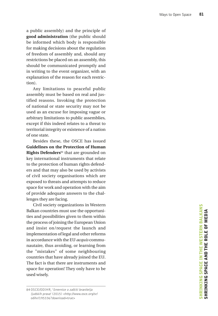a public assembly) and the principle of **good administration** (the public should be informed which body is responsible for making decisions about the regulation of freedom of assembly and, should any restrictions be placed on an assembly, this should be communicated promptly and in writing to the event organizer, with an explanation of the reason for each restric tion).

Any limitations to peaceful public assembly must be based on real and jus tified reasons. Invoking the protection of national or state security may not be used as an excuse for imposing vague or arbitrary limitations to public assemblies, except if this indeed relates to a threat to territorial integrity or existence of a nation of one state.

Besides these, the OSCE has issued **Guidelines on the Protection of Human Rights Defenders**84 that are grounded on key international instruments that relate to the protection of human rights defend ers and that may also be used by activists of civil society organisations which are exposed to threats and attempts to reduce space for work and operation with the aim of provide adequate answers to the chal lenges they are facing.

Civil society organizations in Western Balkan countries must use the opportuni ties and possibilities given to them within the process of joining the European Union and insist on/request the launch and implementation of legal and other reforms in accordance with the EU *acquis* commu nautaire, thus avoiding, or learning from the "mistakes" of some neighbouring countries that have already joined the EU. The fact is that there are instruments and space for operation! They only have to be used wisely.

<sup>84</sup> OSCE/ODIHR, 'Smernice o zaštiti branitelja ljudskih prava' (2015) <http://www.osce.org/sr/ odihr/195336?download=true>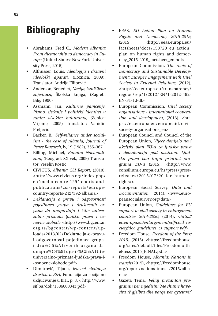# **Bibliography**

- Abrahams, Fred C., *Modern Albania: From dictatorship to democracy in Europe* (United States: New York University Press, 2015)
- Althusser, Louis, *Ideologija i državni ideološki aparati,* (Loznica, 2009), Translator: Andrija Filipović
- Anderson, Benedict, *Nacija, izmišljena zajednica*, Školska knjiga, (Zagreb: Bilig,1990)
- Assmann, Jan, *Kulturno pamćenje*, *Pismo, sjećanje i politički identitet u ranim visokim kulturama, (*Zenica: Vrijeme, 2005) Translator: Vahidin Preljević
- Backer, B., *Self-reliance under socialism - the case of Albania*, *Journal of Peace Research*, iv, 19 (1982), 355–367
- Billing, Michael, *Banalni Nacionalizam*, (Beograd: XX vek, 2009) Translator: Veselin Kostić
- CIVICUS, *Albania CSI Report*, (2010), <http://www.civicus.org/index.php/ en/media-centre-129/reports-andpublications/csi-reports/europecountry-reports-242/392-albania>
- *Deklaracija o pravu i odgovornosti pojedinaca grupa i društvenih organa da unapređuju i štite univerzalno priznata ljudska prava i osnovne slobode* <http://www.bgcentar. org.rs/bgcentar/wp-content/uploads/2013/02/Deklaracija-o-pravui-odgovornosti-pojedinaca-grupai-dru%C5%A1tvenih-organa-daunapre%C4%91uju-i-%C5%A1titeuniverzalno-priznata-ljudska-prava-i- -osnovne-slobode.pdf>
- Dimitrović, Tijana, *Izazovi civilnoga društva u BiH*, Fondacija za socijalno uključivanje u BiH, p. 8, < http://www. sif.ba/dok/1386600343.pdf>
- EEAS, *EU Action Plan on Human Rights and Democracy 2015-2019*, (2015), <http://eeas.europa.eu/ factsheets/docs/150720\_eu\_action\_ plan\_on\_human\_rights\_and\_democracy\_2015-2019\_factsheet\_en.pdf>
- European Commission*, The roots of Democracy and Sustainable Development: Europe's Engagement with Civil Society in External Relations*, (2012), <http://ec.europa.eu/transparency/ regdoc/rep/1/2012/EN/1-2012-492- EN-F1-1.Pdf>
- European Commission, *Civil society organisations - international cooperation and development*, (2013), <https://ec.europa.eu/europeaid/civilsociety-organisations\_en>
- European Council and Council of the European Union, *Vijeće donijelo novi akcijski plan EU-a za ljudska prava i demokraciju pod nazivom: Ljudska prava kao trajni prioritet programa EU-a* (2015), <http://www. consilium.europa.eu/hr/press/pressreleases/2015/07/20-fac-humanrights/>
- European Social Survey, *Data and Documentation*, (2014). <www.europeansocialsurvey.org/data>
- European Union*, Guidelines for EU support to civil society in enlargement countries 2014-2020*, (2014), *<http:// ec.europa.eu/enlargement/pdf/civil\_society/doc\_guidelines\_cs\_support.pdf>*
- Freedom House, *Freedom of the Press 2015,* (2015) <https://freedomhouse. org/sites/default/files/FreedomofthePress\_2015\_FINAL.pdf >
- Freedom House, *Albania: Nations in transit* (2015), <https://freedomhouse. org/report/nations-transit/2015/albania>
- Gazeta Tema, *Veliaj prezanton programin për mjedisin: 'Më shumë hapësira të gjelbra dhe parqe për qytetarët'*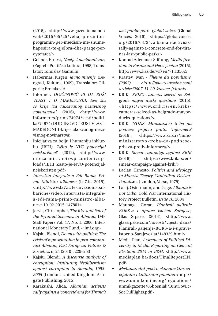(2015), <http://www.gazetatema.net/ web/2015/05/25/veliaj-prezantonprogramin-per-mjedisin-me-shumehapesira-te-gjelbra-dhe-parqe-perqytetaret/>

- Gellner, Ernest, *Nacije i nacionalizam*, (Zagreb: Politička kultura, 1998) Translator: Tomislav Gamulin;
- Habermas, Jurgen, *Javno mnenje*, (Beograd, Kultura, 1969), Translator: Gligorije Ernjaković
- Informer, *DOJČINOVIĆ BI DA RUŠI VLAST I U MAKEDONIJI: Evo šta se krije iza takozvanog nezavisnog novinarstva!*, (2016), <http://www. informer.rs/print/74974/vesti/politika/74974/DOJCINOVIC-RUSI-VLAST-MAKEDONIJI-krije-takozvanog-nezavisnog-novinarstva>
- Inicijativa za bolju i humaniju inkluziju (IBHI*), Za*š*to je NVO potencijal neiskori*š*ten?* (2012), <http://www. mreza-mira.net/wp-content/uploads/IBHI\_Zasto-je-NVO-potencijalneiskoristen.pdf>
- *Intervista integrale a Edi Rama, Primo Ministro albanese* (La7.it, 2015), <http://www.la7.it/le-invasioni-barbariche/video/intervista-integralea-edi-rama-primo-ministro-albanese-19-02-2015-147801>
- Jarvis, Christopher, *The Rise and Fall of the Pyramid Schemes in Albania*, IMF Staff Papers Vol. 47, No. 1. 2000. International Monetary Fund, < imf.org>
- Kajsiu, Blendi, *Down with politics!: The crisis of representation in post-communist Albania, East European Politics & Societies*, ii, 24 (2010), 229–253
- Kajsiu, Blendi, *A discourse analysis of corruption: Instituting Neoliberalism against corruption in Albania, 1998- 2005* (London, United Kingdom: Ashgate Publishing, 2015)
- Karakushi, Alida, *Albanian activists rally against a 'concrete' end for Tirana's*

*last public park · global voices* (Global Voices, 2016), <https://globalvoices. org/2016/03/24/albanian-activistsrally-against-a-concrete-end-for-tiranas-last-public-park/>

- Konrad Adenauer Stiftung, *Media freedom in Bosnia and Herzegovina* (2015), http://www.kas.de/wf/en/71.13562/
- Krastev, Ivan  *l'heure du populisme, (2007) <http://www.eurozine.com/ articles/2007-11-20-krastev-fr.html>*
- KRIK, *KRIK's cameras seized as Belgrade mayor ducks questions* (2015), <https://www.krik.rs/en/krikscameras-seized-as-belgrade-mayorducks-questions/>
- KRIK, *NUNS: Ministarstvo treba da podnese prijavu protiv 'Informera'* (2016), <https://www.krik.rs/nunsministarstvo-treba-da-podneseprijavu-protiv-informera/>
- KRIK, *Smear campaign against KRIK* (2016), <https://www.krik.rs/en/ smear-campaign-against-krik/>
- Laclau, Ernesto, *Politics and ideology in Marxist Theory. Capitalism-Fasism-Populis*m, (London, Verso, 1979)
- Lalaj, Ostermann, and Gage, *Albania is not Cuba*, Cold War International History Project Bulletin*, Issue 16,* 2004
- Maunaga, Goran, *Planirali paljenje BORS-a i uprave Istočno Sarajevo*, Glas Srpske, (2014), <http://www. glassrpske.com/novosti/vijesti\_dana/ Planirali-paljenje-BORS-a-i-uprave-Istocno-Sarajevo/lat/148329.html>
- Media Plan, *Assesment of Political Diversity in Media Reporting on General Elections 2014 in B&H,* <http://www. mediaplan.ba/docs/FinalReportEN. pdf>
- *Međunarodni pakt o ekonomskim, socijalnim i kulturnim pravima* <http:// www.unmikonline.org/regulations/ unmikgazette/05bosniak/BIntCovEc-SocCulRights.pdf>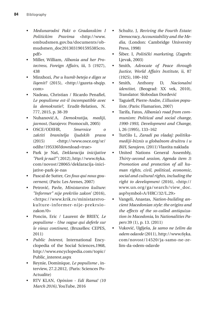- *Medunarodni Pakt o Gradanskim I Politickim Pravima* <http://www. ombudsmen.gov.ba/documents/obmudsmen\_doc2013031901595385cro. pdf>
- Miller, William, *Albania and her Protectress*, *Foreign Affairs*, iii, 5 (1927), 438
- Minxhozi, *Pse u humb beteja e diges se liqenit?* (2015), <http://gazeta-shqip. com>
- Nadeau, Christian / Ricardo Penafiel, *Le populisme est-il incompatible avec la demokratie?*, Erudit-Relation, N. 777, 2015, p. 38-39
- Nuhanović.A, *Demokratija, mediji, javnost,* (Sarajevo: Promocult, 2005)
- OSCE/ODIHR, *Smernice o za*š*titi branitelja ljudskih prava*  (2015) <http://www.osce.org/sr/ odihr/195336?download=true>
- Park je Naš, *Deklaracija inicijative "Park je naš!"* ( 2012), http://www.6yka. com/novost/28065/deklaracija-inicijative-park-je-nas
- Pascal de Sutter, *Ces fous qui nous gouvernent*, (Paris: Les Arenes, 2007)
- Petrović, Pavle, *Ministarstvo kulture: "Informer" nije prekršio zakon'* (2016), <https://www.krik.rs/ministarstvokulture-informer-nije-prekrsiozakon/0>
- Poncin, Eric / Laurent de BRIEY, *Le populisme - Une vague qui deferle sur le vieux continent*, (Bruxelles: CEPES, 2011)
- *Public Interest*, International Encyclopedia of the Social Sciences,1968, http://www.encyclopedia.com/topic/ Public\_interest.aspx
- Reynie, Dominique, *Le populisme* , interview, 27.2.2012, (Paris: Sciences Po-Actualite)
- RTV KLAN, *Opinion Edi Rama! (10 March 2016)*, YouTube, 2016
- Schultz. J, *Reviving the Fourth Estate: Democracy, Accountability and the Media,* (London: Cambridge University Press, 1998)
- Šiber. I, *Politički marketing,* (Zagreb: Ljevak, 2003)
- Smith, *Advocate of Peace through Justice*, *World Affairs Institute*, ii, 87 (1925), 100–102
- Smith, Anthony D, *Nacionalni identitet*, (Beograd: XX vek, 2010), Translator: Slobodan Đorđević
- Taguieff, Pierre-Andre, *L'illusion populiste,* (Paris: Flamarion, 2007)
- Tarifa, Fatos, *Albania's road from communism: Political and social change, 1990-1993*, *Development and Change*, i, 26 (1995), 133–162
- Turčilo L, *Zaradi pa vladaj: politikamediji-biznis u globalnom društvu i u BiH, Sarajevo*, (2011) Vlastita naklada
- United Nations General Assembly, *Thirty-second session, Agenda item 3: Promotion and protection of all human rights, civil, political, economic, social and cultural rights, including the right to development* (2016), <http:// www.un.org/ga/search/view\_doc. asp?symbol=A/HRC/32/L.29>
- Vangeli, Anastas, *Nation-building ancient Macedonian style: the origins and the effects of the so-called antiquization in Macedonia*, In *Nationalities Papers* 39 (1), p. 13. (2011)
- Vuković, Uglješa, *Ja samo ne želim da odem odavde* (2011), http://www.6yka. com/novost/14520/ja-samo-ne-zelim-da-odem-odavde